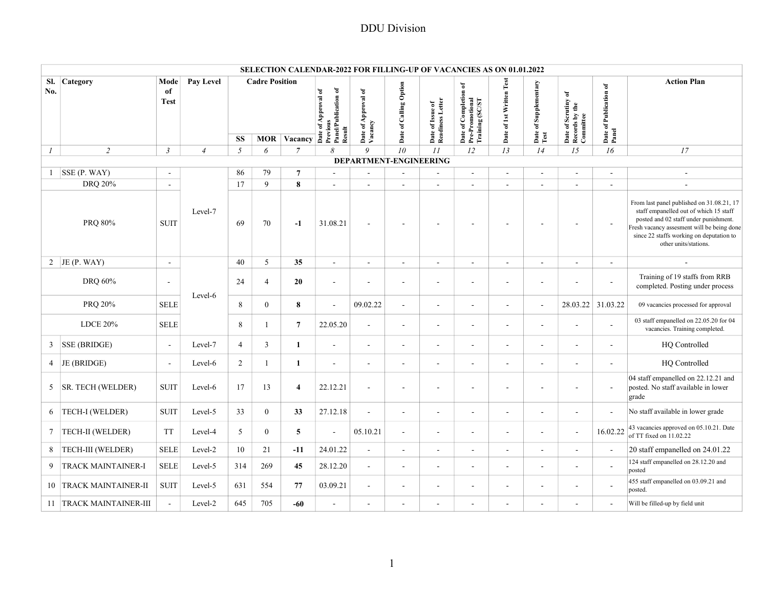|                  |                           |                           |                |                        |                       |                                      |                                                                   | <b>SELECTION CALENDAR-2022 FOR FILLING-UP OF VACANCIES AS ON 01.01.2022</b> |                          |                                      |                                                             |                          |                               |                                                    |                                 |                                                                                                                                                                                                                                                 |
|------------------|---------------------------|---------------------------|----------------|------------------------|-----------------------|--------------------------------------|-------------------------------------------------------------------|-----------------------------------------------------------------------------|--------------------------|--------------------------------------|-------------------------------------------------------------|--------------------------|-------------------------------|----------------------------------------------------|---------------------------------|-------------------------------------------------------------------------------------------------------------------------------------------------------------------------------------------------------------------------------------------------|
| SI.<br>No.       | Category                  | Mode<br>of<br><b>Test</b> | Pay Level      |                        | <b>Cadre Position</b> |                                      | Date of Approval of<br>Previous<br>Panel/Publication of<br>Result | Date of Approval of<br>Vacancy                                              | Date of Calling Option   | Date of Issue of<br>Readiness Letter | Date of Completion of<br>Pre-Promotional<br>Training (SC/ST | Date of 1st Written Test | Date of Supplementary<br>Test | Date of Scrutiny of<br>Records by the<br>Committee | Date of Publication of<br>Panel | <b>Action Plan</b>                                                                                                                                                                                                                              |
|                  |                           |                           |                | $\mathbf{S}\mathbf{S}$ |                       | <b>MOR</b> Vacancy<br>$\overline{7}$ | 8                                                                 | 9                                                                           | 10                       |                                      |                                                             |                          |                               |                                                    |                                 |                                                                                                                                                                                                                                                 |
| $\boldsymbol{l}$ | $\overline{c}$            | $\mathfrak{Z}$            | $\overline{4}$ | $\mathfrak{H}$         | 6                     |                                      |                                                                   | DEPARTMENT-ENGINEERING                                                      |                          | II                                   | 12                                                          | 13                       | 14                            | 15                                                 | 16                              | $\ensuremath{\textit{17}}$                                                                                                                                                                                                                      |
| $\mathbf{1}$     | SSE(P. WAY)               | $\sim$                    |                | 86                     | 79                    | $\overline{7}$                       | $\sim$                                                            | $\sim$                                                                      | $\overline{\phantom{a}}$ | $\blacksquare$                       | $\sim$                                                      | ÷.                       | $\sim$                        | $\sim$                                             | $\sim$                          | $\sim$                                                                                                                                                                                                                                          |
|                  | <b>DRQ 20%</b>            | $\sim$                    |                | 17                     | $\mathbf{Q}$          | 8                                    | $\sim$                                                            | $\sim$                                                                      | $\sim$                   | $\sim$                               | $\overline{a}$                                              | ÷.                       | $\sim$                        | $\overline{a}$                                     | $\sim$                          |                                                                                                                                                                                                                                                 |
|                  | PRQ 80%                   | <b>SUIT</b>               | Level-7        | 69                     | 70                    | $-1$                                 | 31.08.21                                                          | $\overline{\phantom{a}}$                                                    |                          |                                      |                                                             |                          |                               | $\overline{\phantom{a}}$                           | $\overline{\phantom{a}}$        | From last panel published on 31.08.21, 17<br>staff empanelled out of which 15 staff<br>posted and 02 staff under punishment.<br>Fresh vacancy assesment will be being done<br>since 22 staffs working on deputation to<br>other units/stations. |
|                  | 2 JE (P. WAY)             | $\sim$                    |                | 40                     | 5                     | 35                                   | $\sim$                                                            | ×.                                                                          | $\sim$                   | $\mathbf{r}$                         | $\sim$                                                      | ÷.                       | $\sim$                        | $\sim$                                             | $\sim$                          |                                                                                                                                                                                                                                                 |
|                  | DRQ 60%                   | ÷.                        |                | 24                     | $\overline{4}$        | 20                                   | $\overline{\phantom{a}}$                                          |                                                                             | $\overline{\phantom{a}}$ | ÷,                                   | ÷,                                                          |                          |                               | ÷,                                                 | $\blacksquare$                  | Training of 19 staffs from RRB<br>completed. Posting under process                                                                                                                                                                              |
|                  | PRQ 20%                   | <b>SELE</b>               | Level-6        | 8                      | $\mathbf{0}$          | 8                                    | $\sim$                                                            | 09.02.22                                                                    | $\sim$                   | $\overline{\phantom{a}}$             | $\overline{\phantom{a}}$                                    |                          | $\sim$                        | 28.03.22 31.03.22                                  |                                 | 09 vacancies processed for approval                                                                                                                                                                                                             |
|                  | <b>LDCE 20%</b>           | <b>SELE</b>               |                | 8                      | $\mathbf{1}$          | $\overline{7}$                       | 22.05.20                                                          | $\overline{a}$                                                              | $\blacksquare$           | $\sim$                               | $\overline{\phantom{a}}$                                    | $\blacksquare$           | $\blacksquare$                | ÷,                                                 | $\overline{\phantom{a}}$        | 03 staff empanelled on 22.05.20 for 04<br>vacancies. Training completed.                                                                                                                                                                        |
| 3                | <b>SSE (BRIDGE)</b>       | $\sim$                    | Level-7        | $\overline{4}$         | 3                     | 1                                    | $\sim$                                                            | $\sim$                                                                      | $\overline{\phantom{a}}$ | $\blacksquare$                       | $\blacksquare$                                              | $\blacksquare$           | $\sim$                        | $\blacksquare$                                     | $\sim$                          | HQ Controlled                                                                                                                                                                                                                                   |
| 4                | JE (BRIDGE)               | $\overline{a}$            | Level-6        | $\overline{2}$         | $\mathbf{1}$          | $\mathbf{1}$                         | $\sim$                                                            | $\sim$                                                                      | $\sim$                   | $\mathbf{r}$                         | ä,                                                          | $\overline{\phantom{a}}$ | $\sim$                        | $\overline{a}$                                     | $\sim$                          | HQ Controlled                                                                                                                                                                                                                                   |
| 5                | SR. TECH (WELDER)         | <b>SUIT</b>               | Level-6        | 17                     | 13                    | $\overline{4}$                       | 22.12.21                                                          | $\sim$                                                                      | $\overline{\phantom{a}}$ | $\blacksquare$                       | ÷,                                                          | $\overline{\phantom{a}}$ | $\overline{\phantom{a}}$      | $\blacksquare$                                     | $\overline{\phantom{a}}$        | 04 staff empanelled on 22.12.21 and<br>posted. No staff available in lower<br>grade                                                                                                                                                             |
| 6                | TECH-I (WELDER)           | <b>SUIT</b>               | Level-5        | 33                     | $\overline{0}$        | 33                                   | 27.12.18                                                          | L.                                                                          | $\sim$                   | $\overline{\phantom{a}}$             | ä,                                                          | $\blacksquare$           |                               | $\overline{\phantom{a}}$                           | $\blacksquare$                  | No staff available in lower grade                                                                                                                                                                                                               |
| 7                | TECH-II (WELDER)          | <b>TT</b>                 | Level-4        | 5                      | $\mathbf{0}$          | 5                                    | $\overline{\phantom{a}}$                                          | 05.10.21                                                                    | $\blacksquare$           | $\blacksquare$                       | ÷,                                                          | $\blacksquare$           | $\sim$                        | $\blacksquare$                                     | 16.02.22                        | 43 vacancies approved on 05.10.21. Date<br>of TT fixed on $11.02.22$                                                                                                                                                                            |
| 8                | TECH-III (WELDER)         | <b>SELE</b>               | Level-2        | 10                     | 21                    | $-11$                                | 24.01.22                                                          | $\sim$                                                                      |                          | $\blacksquare$                       | ä,                                                          | $\overline{\phantom{a}}$ |                               | $\sim$                                             | $\overline{a}$                  | 20 staff empanelled on 24.01.22                                                                                                                                                                                                                 |
| 9                | TRACK MAINTAINER-I        | <b>SELE</b>               | Level-5        | 314                    | 269                   | 45                                   | 28.12.20                                                          | ÷.                                                                          |                          | $\overline{\phantom{a}}$             | ä,                                                          |                          |                               | $\overline{\phantom{a}}$                           |                                 | 124 staff empanelled on 28.12.20 and<br>posted                                                                                                                                                                                                  |
| 10               | TRACK MAINTAINER-II       | <b>SUIT</b>               | Level-5        | 631                    | 554                   | 77                                   | 03.09.21                                                          | $\overline{\phantom{a}}$                                                    | $\overline{\phantom{a}}$ | $\overline{\phantom{a}}$             | ÷,                                                          | $\blacksquare$           |                               | $\blacksquare$                                     | $\overline{\phantom{a}}$        | 455 staff empanelled on 03.09.21 and<br>posted.                                                                                                                                                                                                 |
|                  | 11   TRACK MAINTAINER-III |                           | Level-2        | 645                    | 705                   | $-60$                                | ÷,                                                                | ۰                                                                           |                          | $\overline{\phantom{a}}$             | ÷,                                                          | $\blacksquare$           |                               | $\overline{\phantom{a}}$                           |                                 | Will be filled-up by field unit                                                                                                                                                                                                                 |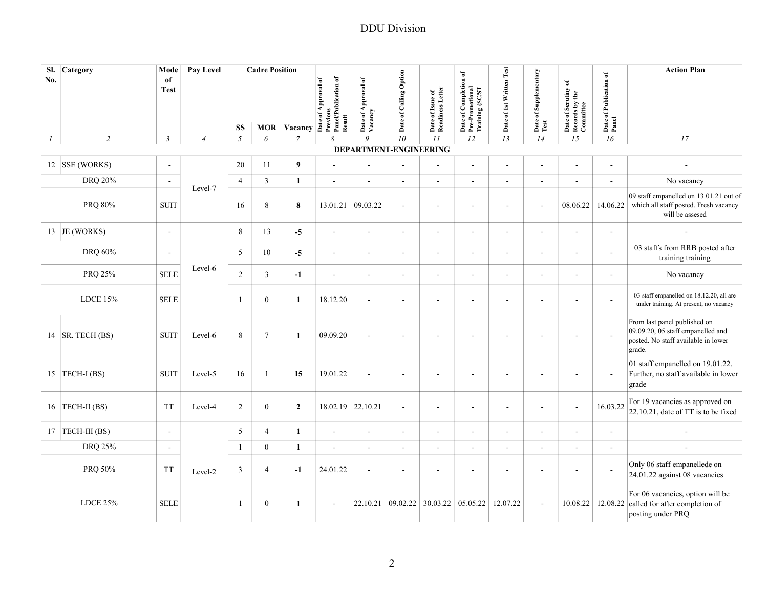| No.              | Sl. Category             | Mode<br>of               | Pay Level      |                | <b>Cadre Position</b> |                                                                                                                                                                                                                                                                                                                                                                                                           |                                |                                        |                          |                                      |                                                             |                          |                          |                                                    |                                 | <b>Action Plan</b>                                                                                                 |
|------------------|--------------------------|--------------------------|----------------|----------------|-----------------------|-----------------------------------------------------------------------------------------------------------------------------------------------------------------------------------------------------------------------------------------------------------------------------------------------------------------------------------------------------------------------------------------------------------|--------------------------------|----------------------------------------|--------------------------|--------------------------------------|-------------------------------------------------------------|--------------------------|--------------------------|----------------------------------------------------|---------------------------------|--------------------------------------------------------------------------------------------------------------------|
|                  |                          | <b>Test</b>              |                |                |                       | $\frac{1}{\sqrt{1-\frac{1}{2}}}\n\frac{1}{\sqrt{1-\frac{1}{2}}}\n\frac{1}{\sqrt{1-\frac{1}{2}}}\n\frac{1}{\sqrt{1-\frac{1}{2}}}\n\frac{1}{\sqrt{1-\frac{1}{2}}}\n\frac{1}{\sqrt{1-\frac{1}{2}}}\n\frac{1}{\sqrt{1-\frac{1}{2}}}\n\frac{1}{\sqrt{1-\frac{1}{2}}}\n\frac{1}{\sqrt{1-\frac{1}{2}}}\n\frac{1}{\sqrt{1-\frac{1}{2}}}\n\frac{1}{\sqrt{1-\frac{1}{2}}}\n\frac{1}{\sqrt{1-\frac{1}{2}}}\n\frac{1$ | Panel/Publication of<br>Result | of Approval of<br>Date of A<br>Vacancy | Date of Calling Option   | Date of Issue of<br>Readiness Letter | Date of Completion of<br>Pre-Promotional<br>Training (SC/ST | Date of 1st Written Test | Date of Supplementary    | Date of Scrutiny of<br>Records by the<br>Committee | Date of Publication of<br>Panel |                                                                                                                    |
|                  |                          |                          |                | <b>SS</b>      |                       |                                                                                                                                                                                                                                                                                                                                                                                                           |                                |                                        |                          |                                      |                                                             |                          | Test                     |                                                    |                                 |                                                                                                                    |
| $\boldsymbol{I}$ | $\overline{2}$           | $\mathfrak{Z}$           | $\overline{4}$ | 5              | 6                     | $\overline{7}$                                                                                                                                                                                                                                                                                                                                                                                            | 8                              | 9                                      | 10                       | II                                   | 12                                                          | 13                       | 14                       | 15                                                 | 16                              | 17                                                                                                                 |
|                  |                          |                          |                |                |                       |                                                                                                                                                                                                                                                                                                                                                                                                           |                                | DEPARTMENT-ENGINEERING                 |                          |                                      |                                                             |                          |                          |                                                    |                                 |                                                                                                                    |
|                  | 12 SSE (WORKS)           | $\sim$                   |                | 20             | 11                    | 9                                                                                                                                                                                                                                                                                                                                                                                                         | $\sim$                         | ×.                                     | $\sim$                   | $\sim$                               | L.                                                          | $\sim$                   | $\sim$                   | ÷,                                                 | $\sim$                          | $\sim$                                                                                                             |
|                  | DRQ 20%                  | $\overline{\phantom{a}}$ |                | $\overline{4}$ | $\overline{3}$        | $\mathbf{1}$                                                                                                                                                                                                                                                                                                                                                                                              | $\blacksquare$                 | $\sim$                                 | $\blacksquare$           | $\blacksquare$                       | ÷,                                                          | $\sim$                   | $\sim$                   | $\blacksquare$                                     | $\blacksquare$                  | No vacancy                                                                                                         |
|                  | PRQ 80%                  | <b>SUIT</b>              | Level-7        | 16             | $8\,$                 | 8                                                                                                                                                                                                                                                                                                                                                                                                         | 13.01.21                       | 09.03.22                               | $\sim$                   | $\blacksquare$                       | ä,                                                          | ÷.                       | $\sim$                   | 08.06.22                                           | 14.06.22                        | 09 staff empanelled on 13.01.21 out of<br>which all staff posted. Fresh vacancy<br>will be assesed                 |
|                  | 13 JE (WORKS)            | $\sim$                   |                | 8              | 13                    | $-5$                                                                                                                                                                                                                                                                                                                                                                                                      | $\blacksquare$                 | $\sim$                                 | $\blacksquare$           | $\sim$                               | $\blacksquare$                                              | $\sim$                   | $\sim$                   | $\blacksquare$                                     | $\sim$                          | $\sim$                                                                                                             |
|                  | DRQ 60%                  | $\sim$                   |                | 5              | 10                    | $-5$                                                                                                                                                                                                                                                                                                                                                                                                      | $\blacksquare$                 | $\sim$                                 | $\overline{\phantom{a}}$ | $\blacksquare$                       | $\blacksquare$                                              | $\sim$                   | $\sim$                   | ÷.                                                 | $\sim$                          | 03 staffs from RRB posted after<br>training training                                                               |
|                  | PRQ 25%                  | <b>SELE</b>              | Level-6        | $\overline{2}$ | 3                     | $-1$                                                                                                                                                                                                                                                                                                                                                                                                      | $\blacksquare$                 | $\sim$                                 | $\overline{\phantom{a}}$ | $\blacksquare$                       | $\blacksquare$                                              | $\blacksquare$           | $\sim$                   | $\blacksquare$                                     | $\blacksquare$                  | No vacancy                                                                                                         |
|                  | LDCE 15%                 | <b>SELE</b>              |                | $\mathbf{1}$   | $\mathbf{0}$          | $\mathbf{1}$                                                                                                                                                                                                                                                                                                                                                                                              | 18.12.20                       | $\sim$                                 | $\overline{\phantom{a}}$ | $\blacksquare$                       | $\blacksquare$                                              | $\sim$                   | $\sim$                   | $\overline{a}$                                     | $\sim$                          | 03 staff empanelled on 18.12.20, all are<br>under training. At present, no vacancy                                 |
|                  | 14 $\vert$ SR. TECH (BS) | <b>SUIT</b>              | Level-6        | 8              | $7\phantom{.0}$       | $\mathbf{1}$                                                                                                                                                                                                                                                                                                                                                                                              | 09.09.20                       |                                        |                          | ÷,                                   |                                                             |                          |                          |                                                    |                                 | From last panel published on<br>09.09.20, 05 staff empanelled and<br>posted. No staff available in lower<br>grade. |
|                  | 15 TECH-I (BS)           | <b>SUIT</b>              | Level-5        | 16             | 1                     | 15                                                                                                                                                                                                                                                                                                                                                                                                        | 19.01.22                       |                                        |                          | $\overline{\phantom{a}}$             | ÷,                                                          |                          |                          |                                                    | $\overline{\phantom{a}}$        | 01 staff empanelled on 19.01.22.<br>Further, no staff available in lower<br>grade                                  |
|                  | 16   TECH-II (BS)        | <b>TT</b>                | Level-4        | 2              | $\overline{0}$        | $\overline{2}$                                                                                                                                                                                                                                                                                                                                                                                            | 18.02.19                       | 22.10.21                               | $\sim$                   | $\sim$                               | ä,                                                          | ÷.                       | $\overline{\phantom{a}}$ | ä,                                                 | 16.03.22                        | For 19 vacancies as approved on<br>22.10.21, date of TT is to be fixed                                             |
|                  | 17 TECH-III (BS)         | $\overline{a}$           |                | 5              | $\overline{4}$        | $\mathbf{1}$                                                                                                                                                                                                                                                                                                                                                                                              | $\overline{a}$                 | ×.                                     | $\sim$                   | $\sim$                               | ÷,                                                          | $\sim$                   | $\sim$                   | ÷,                                                 | ÷,                              |                                                                                                                    |
|                  | DRQ 25%                  | $\sim$                   |                | 1              | $\mathbf{0}$          | 1                                                                                                                                                                                                                                                                                                                                                                                                         | $\blacksquare$                 | ×.                                     | $\overline{\phantom{a}}$ | $\overline{\phantom{a}}$             | $\blacksquare$                                              |                          | $\sim$                   | $\blacksquare$                                     | $\blacksquare$                  |                                                                                                                    |
|                  | PRQ 50%                  | <b>TT</b>                | Level-2        | 3              | 4                     | $-1$                                                                                                                                                                                                                                                                                                                                                                                                      | 24.01.22                       |                                        |                          | $\overline{\phantom{a}}$             |                                                             |                          |                          | $\overline{\phantom{a}}$                           |                                 | Only 06 staff empanellede on<br>24.01.22 against 08 vacancies                                                      |
|                  | <b>LDCE 25%</b>          | <b>SELE</b>              |                | $\mathbf{1}$   | $\mathbf{0}$          | 1                                                                                                                                                                                                                                                                                                                                                                                                         | $\overline{\phantom{a}}$       | 22.10.21                               | 09.02.22                 | 30.03.22                             | 05.05.22                                                    | 12.07.22                 | $\blacksquare$           |                                                    | 10.08.22 12.08.22               | For 06 vacancies, option will be<br>called for after completion of<br>posting under PRQ                            |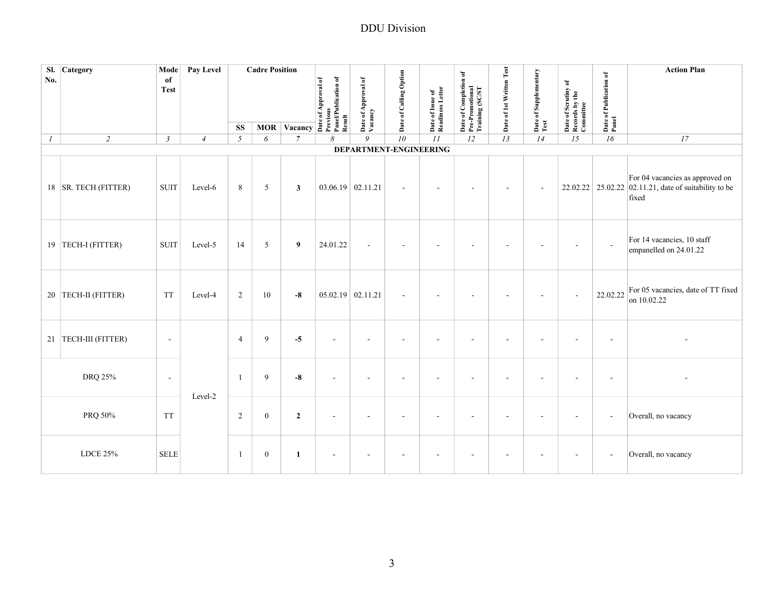| No.           | Sl. Category           | Mode<br>of<br><b>Test</b> | Pay Level      |                         | <b>Cadre Position</b> |                | MOR Vacancy $\overrightarrow{AB}$ $\overrightarrow{AB}$ $\overrightarrow{BC}$ $\overrightarrow{AB}$ $\overrightarrow{BC}$ $\overrightarrow{BC}$ $\overrightarrow{BC}$ $\overrightarrow{BC}$ $\overrightarrow{BC}$ $\overrightarrow{BC}$ $\overrightarrow{BC}$ $\overrightarrow{BC}$ $\overrightarrow{BC}$ $\overrightarrow{BC}$ $\overrightarrow{BC}$ $\overrightarrow{BC}$ $\overrightarrow{BC}$ $\overrightarrow{BC}$ $\overrightarrow{BC}$ $\overrightarrow{BC}$ $\overrightarrow{BC}$ $\overrightarrow{BC}$ $\overrightarrow{BC}$ $\$ | Date of Approval of<br>Vacancy | Date of Calling Option   | Date of Issue of<br>Readiness Letter | Date of Completion of<br>Pre-Promotional<br>Training (SC/ST | Date of 1st Written Test | Date of Supplementary<br>Test | Date of Scrutiny of<br>Records by the<br>Committee | Date of Publication of<br>Panel | <b>Action Plan</b>                                                                                |
|---------------|------------------------|---------------------------|----------------|-------------------------|-----------------------|----------------|-------------------------------------------------------------------------------------------------------------------------------------------------------------------------------------------------------------------------------------------------------------------------------------------------------------------------------------------------------------------------------------------------------------------------------------------------------------------------------------------------------------------------------------------|--------------------------------|--------------------------|--------------------------------------|-------------------------------------------------------------|--------------------------|-------------------------------|----------------------------------------------------|---------------------------------|---------------------------------------------------------------------------------------------------|
| $\mathcal{I}$ | $\overline{2}$         | $\mathfrak{Z}$            |                | <b>SS</b><br>$\sqrt{2}$ | 6                     | $\overline{7}$ | $\boldsymbol{\mathcal{S}}$                                                                                                                                                                                                                                                                                                                                                                                                                                                                                                                | 9                              | $\overline{10}$          | II                                   | 12                                                          | 13                       | $\overline{14}$               | $\overline{15}$                                    | $\overline{16}$                 | 17                                                                                                |
|               |                        |                           | $\overline{4}$ |                         |                       |                |                                                                                                                                                                                                                                                                                                                                                                                                                                                                                                                                           | DEPARTMENT-ENGINEERING         |                          |                                      |                                                             |                          |                               |                                                    |                                 |                                                                                                   |
|               | 18   SR. TECH (FITTER) | <b>SUIT</b>               | Level-6        | 8                       | 5                     | $\mathbf{3}$   | 03.06.19 02.11.21                                                                                                                                                                                                                                                                                                                                                                                                                                                                                                                         |                                | $\blacksquare$           | $\blacksquare$                       |                                                             | $\sim$                   | ÷,                            |                                                    |                                 | For 04 vacancies as approved on<br>22.02.22 25.02.22 02.11.21, date of suitability to be<br>fixed |
|               | 19 TECH-I (FITTER)     | <b>SUIT</b>               | Level-5        | 14                      | 5                     | 9              | 24.01.22                                                                                                                                                                                                                                                                                                                                                                                                                                                                                                                                  | $\sim$                         | $\overline{\phantom{a}}$ | $\sim$                               |                                                             | ÷                        | $\overline{\phantom{a}}$      | $\sim$                                             | $\sim$                          | For 14 vacancies, 10 staff<br>empanelled on 24.01.22                                              |
|               | 20 TECH-II (FITTER)    | <b>TT</b>                 | Level-4        | 2                       | 10                    | $-8$           | $05.02.19$ 02.11.21                                                                                                                                                                                                                                                                                                                                                                                                                                                                                                                       |                                | $\blacksquare$           |                                      |                                                             |                          |                               | $\overline{\phantom{a}}$                           | 22.02.22                        | For 05 vacancies, date of TT fixed<br>on 10.02.22                                                 |
|               | 21   TECH-III (FITTER) | $\overline{\phantom{a}}$  |                | $\overline{4}$          | 9                     | $-5$           |                                                                                                                                                                                                                                                                                                                                                                                                                                                                                                                                           |                                | $\overline{\phantom{a}}$ |                                      |                                                             |                          |                               |                                                    | ÷.                              |                                                                                                   |
|               | DRQ 25%                | $\overline{\phantom{a}}$  | Level-2        | -1                      | 9                     | $-8$           |                                                                                                                                                                                                                                                                                                                                                                                                                                                                                                                                           |                                | $\overline{a}$           | $\blacksquare$                       |                                                             | $\overline{\phantom{a}}$ | ÷,                            | ä,                                                 | $\overline{\phantom{a}}$        |                                                                                                   |
|               | PRQ 50%                | <b>TT</b>                 |                | 2                       | $\boldsymbol{0}$      | $\mathbf{2}$   |                                                                                                                                                                                                                                                                                                                                                                                                                                                                                                                                           |                                | $\overline{\phantom{a}}$ | $\overline{a}$                       |                                                             |                          |                               |                                                    | $\overline{\phantom{a}}$        | Overall, no vacancy                                                                               |
|               | <b>LDCE 25%</b>        | <b>SELE</b>               |                | -1                      | $\mathbf{0}$          | 1              | $\sim$                                                                                                                                                                                                                                                                                                                                                                                                                                                                                                                                    | $\sim$                         | $\overline{\phantom{a}}$ | $\blacksquare$                       |                                                             | $\overline{\phantom{a}}$ | $\overline{a}$                | $\sim$                                             | $\overline{\phantom{a}}$        | Overall, no vacancy                                                                               |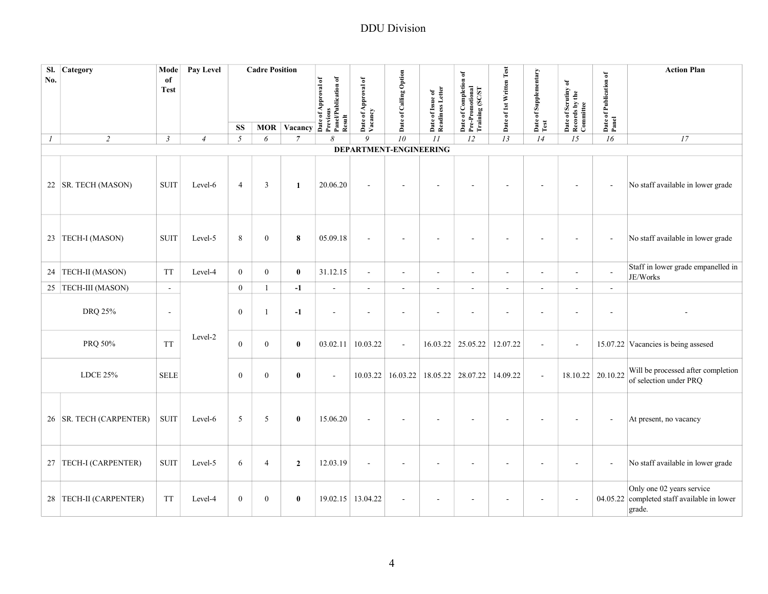| No.           | Sl. Category            | Mode<br>of<br><b>Test</b> | Pay Level      |                  | <b>Cadre Position</b> |                                                                                                                                                                                                                                |                      |                                |                          |                                      | Date of Completion of<br>Pre-Promotional<br>Training (SC/ST | Date of 1st Written Test |                       |                                                    |                                 | <b>Action Plan</b>                                                        |
|---------------|-------------------------|---------------------------|----------------|------------------|-----------------------|--------------------------------------------------------------------------------------------------------------------------------------------------------------------------------------------------------------------------------|----------------------|--------------------------------|--------------------------|--------------------------------------|-------------------------------------------------------------|--------------------------|-----------------------|----------------------------------------------------|---------------------------------|---------------------------------------------------------------------------|
|               |                         |                           |                |                  |                       | MOR Vacancy a set of the set of the set of the set of the set of the set of the set of the set of the set of the set of the set of the set of the set of the set of the set of the set of the set of the set of the set of the | Panel/Publication of | Date of Approval of<br>Vacancy | Date of Calling Option   | Date of Issue of<br>Readiness Letter |                                                             |                          | Date of Supplementary | Date of Scrutiny of<br>Records by the<br>Committee | Date of Publication of<br>Panel |                                                                           |
|               |                         |                           |                | <b>SS</b>        |                       |                                                                                                                                                                                                                                | Result               |                                |                          |                                      |                                                             |                          | Test                  |                                                    |                                 |                                                                           |
| $\mathcal{I}$ | $\sqrt{2}$              | $\mathfrak{Z}$            | $\overline{4}$ | $\sqrt{2}$       | 6                     | $\overline{7}$                                                                                                                                                                                                                 | 8                    | $\overline{Q}$                 | 10                       | II                                   | 12                                                          | 13                       | 14                    | 15                                                 | 16                              | 17                                                                        |
|               | 22   SR. TECH (MASON)   | <b>SUIT</b>               | Level-6        | $\overline{4}$   | $\overline{3}$        | 1                                                                                                                                                                                                                              | 20.06.20             |                                | DEPARTMENT-ENGINEERING   |                                      |                                                             |                          |                       |                                                    |                                 | No staff available in lower grade                                         |
|               | 23 TECH-I (MASON)       | <b>SUIT</b>               | Level-5        | 8                | $\mathbf{0}$          | 8                                                                                                                                                                                                                              | 05.09.18             |                                | $\blacksquare$           | $\overline{\phantom{a}}$             |                                                             |                          |                       |                                                    | $\overline{\phantom{a}}$        | No staff available in lower grade                                         |
|               | 24   TECH-II (MASON)    | <b>TT</b>                 | Level-4        | $\mathbf{0}$     | $\overline{0}$        | $\bf{0}$                                                                                                                                                                                                                       | 31.12.15             | $\sim$                         | $\blacksquare$           | $\blacksquare$                       | $\blacksquare$                                              | $\overline{\phantom{a}}$ | $\sim$                | $\blacksquare$                                     | $\sim$                          | Staff in lower grade empanelled in<br>JE/Works                            |
|               | 25 TECH-III (MASON)     | $\sim$                    |                | $\mathbf{0}$     | $\mathbf{1}$          | $-1$                                                                                                                                                                                                                           | $\sim$               | $\sim$                         | $\sim$                   | $\sim$                               | $\mathbf{r}$                                                | $\sim$                   | $\sim$                | ×.                                                 | $\sim$                          |                                                                           |
|               | DRQ 25%                 | $\blacksquare$            |                | $\boldsymbol{0}$ | 1                     | $-1$                                                                                                                                                                                                                           | ä,                   |                                | ÷,                       | $\blacksquare$                       |                                                             |                          |                       |                                                    |                                 |                                                                           |
|               | PRQ 50%                 | <b>TT</b>                 | Level-2        | $\mathbf{0}$     | $\overline{0}$        | $\bf{0}$                                                                                                                                                                                                                       | 03.02.11             | 10.03.22                       | $\overline{\phantom{a}}$ |                                      | 16.03.22 25.05.22                                           | 12.07.22                 | $\blacksquare$        |                                                    |                                 | 15.07.22 Vacancies is being assesed                                       |
|               | <b>LDCE 25%</b>         | <b>SELE</b>               |                | $\mathbf{0}$     | $\overline{0}$        | $\bf{0}$                                                                                                                                                                                                                       | $\sim$               |                                | $10.03.22$ 16.03.22      |                                      | 18.05.22 28.07.22                                           | 14.09.22                 | $\sim$                |                                                    | 18.10.22 20.10.22               | Will be processed after completion<br>of selection under PRQ              |
|               | 26 SR. TECH (CARPENTER) | <b>SUIT</b>               | Level-6        | 5                | 5                     | $\bf{0}$                                                                                                                                                                                                                       | 15.06.20             |                                | $\overline{\phantom{a}}$ | $\overline{a}$                       |                                                             |                          |                       |                                                    | $\overline{\phantom{a}}$        | At present, no vacancy                                                    |
|               | 27 TECH-I (CARPENTER)   | <b>SUIT</b>               | Level-5        | 6                | $\overline{4}$        | $\overline{2}$                                                                                                                                                                                                                 | 12.03.19             |                                | ÷,                       |                                      |                                                             |                          |                       |                                                    |                                 | No staff available in lower grade                                         |
|               | 28 TECH-II (CARPENTER)  | <b>TT</b>                 | Level-4        | $\boldsymbol{0}$ | $\overline{0}$        | $\bf{0}$                                                                                                                                                                                                                       | 19.02.15             | 13.04.22                       | $\overline{\phantom{a}}$ |                                      |                                                             |                          |                       |                                                    | 04.05.22                        | Only one 02 years service<br>completed staff available in lower<br>grade. |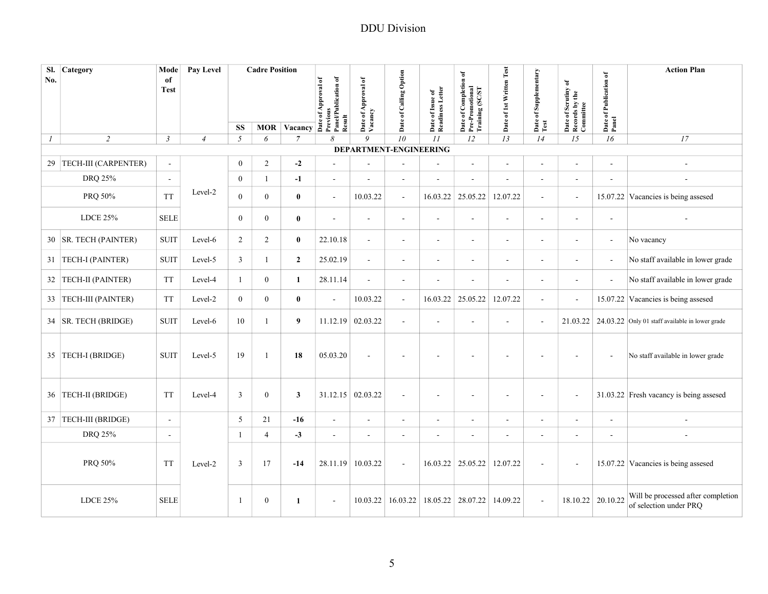| No.              | Sl. Category            | Mode<br>of<br><b>Test</b> | Pay Level      |                | <b>Cadre Position</b> |                                               | Panel/Publication of<br>of Approval of | Date of Approval of<br>Vacancy | Date of Calling Option   | Date of Issue of<br>Readiness Letter | Date of Completion of<br>Pre-Promotional<br>Training (SC/ST | Date of 1st Written Test | Date of Supplementary<br>Test | Date of Scrutiny of<br>Records by the<br>Committee | Date of Publication of<br>Panel | <b>Action Plan</b>                                           |
|------------------|-------------------------|---------------------------|----------------|----------------|-----------------------|-----------------------------------------------|----------------------------------------|--------------------------------|--------------------------|--------------------------------------|-------------------------------------------------------------|--------------------------|-------------------------------|----------------------------------------------------|---------------------------------|--------------------------------------------------------------|
|                  |                         |                           |                |                |                       |                                               | Previous<br>Result                     |                                |                          |                                      |                                                             |                          |                               |                                                    |                                 |                                                              |
|                  |                         |                           |                | <b>SS</b>      |                       | $\overline{\text{MOR}}$ Vacancy $\frac{9}{6}$ |                                        | 9                              |                          |                                      |                                                             |                          |                               |                                                    |                                 |                                                              |
| $\boldsymbol{l}$ | $\overline{c}$          | $\mathfrak{Z}$            | $\overline{4}$ | 5              | 6                     | $\overline{7}$                                | 8                                      | DEPARTMENT-ENGINEERING         | ${\it 10}$               | II                                   | 12                                                          | 13                       | 14                            | 15                                                 | 16                              | $17\,$                                                       |
|                  | 29 TECH-III (CARPENTER) | $\sim$                    |                | $\overline{0}$ | $\overline{c}$        | $-2$                                          | ä,                                     |                                | $\overline{\phantom{a}}$ | $\blacksquare$                       | $\blacksquare$                                              | $\sim$                   | $\sim$                        | $\overline{a}$                                     | ÷,                              |                                                              |
|                  | DRQ 25%                 | $\sim$                    |                | $\theta$       | $\mathbf{1}$          | $-1$                                          | $\blacksquare$                         |                                | $\blacksquare$           | $\overline{\phantom{a}}$             | ÷,                                                          |                          | $\sim$                        | $\overline{\phantom{a}}$                           | ÷,                              |                                                              |
|                  | PRQ 50%                 | <b>TT</b>                 | Level-2        | $\theta$       | $\overline{0}$        | $\bf{0}$                                      | $\blacksquare$                         | 10.03.22                       | $\sim$                   | 16.03.22                             | 25.05.22                                                    | 12.07.22                 | $\sim$                        | $\blacksquare$                                     |                                 | 15.07.22 Vacancies is being assesed                          |
|                  | LDCE 25%                | <b>SELE</b>               |                | $\overline{0}$ | $\mathbf{0}$          | $\bf{0}$                                      | ÷,                                     | $\sim$                         | $\overline{\phantom{a}}$ | $\sim$                               | ÷,                                                          | $\sim$                   | $\sim$                        | $\overline{a}$                                     | $\sim$                          |                                                              |
|                  | 30   SR. TECH (PAINTER) | <b>SUIT</b>               | Level-6        | $\overline{2}$ | 2                     | $\bf{0}$                                      | 22.10.18                               | $\sim$                         | $\sim$                   | $\sim$                               | $\overline{a}$                                              | $\sim$                   | $\sim$                        | $\sim$                                             | $\overline{\phantom{a}}$        | No vacancy                                                   |
|                  | 31   TECH-I (PAINTER)   | <b>SUIT</b>               | Level-5        | 3              | $\mathbf{1}$          | $\overline{2}$                                | 25.02.19                               | $\blacksquare$                 | $\overline{\phantom{a}}$ | $\blacksquare$                       | $\blacksquare$                                              | $\overline{\phantom{a}}$ | $\sim$                        | $\blacksquare$                                     | $\overline{\phantom{a}}$        | No staff available in lower grade                            |
|                  | 32 TECH-II (PAINTER)    | <b>TT</b>                 | Level-4        | $\mathbf{1}$   | $\overline{0}$        | 1                                             | 28.11.14                               | $\sim$                         | $\sim$                   | $\overline{\phantom{a}}$             | $\overline{\phantom{a}}$                                    | $\sim$                   | $\sim$                        | $\blacksquare$                                     | $\overline{\phantom{a}}$        | No staff available in lower grade                            |
|                  | 33   TECH-III (PAINTER) | TT                        | Level-2        | $\theta$       | $\overline{0}$        | $\bf{0}$                                      | ÷,                                     | 10.03.22                       | $\sim$                   | 16.03.22                             | 25.05.22                                                    | 12.07.22                 | $\sim$                        | $\blacksquare$                                     |                                 | 15.07.22 Vacancies is being assesed                          |
|                  | 34 SR. TECH (BRIDGE)    | <b>SUIT</b>               | Level-6        | 10             | 1                     | 9                                             | 11.12.19                               | 02.03.22                       | $\sim$                   | $\sim$                               | ä,                                                          | ÷.                       | $\sim$                        | 21.03.22                                           |                                 | $24.03.22$ Only 01 staff available in lower grade            |
|                  | 35 TECH-I (BRIDGE)      | <b>SUIT</b>               | Level-5        | 19             | $\mathbf{1}$          | 18                                            | 05.03.20                               |                                |                          |                                      |                                                             |                          |                               |                                                    |                                 | No staff available in lower grade                            |
|                  | 36 TECH-II (BRIDGE)     | <b>TT</b>                 | Level-4        | $\overline{3}$ | $\overline{0}$        | $\mathbf{3}$                                  |                                        | 31.12.15 02.03.22              | $\sim$                   | $\overline{\phantom{a}}$             | $\overline{\phantom{a}}$                                    | $\sim$                   |                               |                                                    |                                 | 31.03.22 Fresh vacancy is being assesed                      |
|                  | 37 TECH-III (BRIDGE)    | $\sim$                    |                | 5              | 21                    | $-16$                                         | $\overline{\phantom{a}}$               | $\sim$                         | $\overline{\phantom{a}}$ | $\blacksquare$                       | $\overline{\phantom{a}}$                                    | $\blacksquare$           | $\sim$                        | $\overline{\phantom{a}}$                           | $\sim$                          |                                                              |
|                  | DRQ 25%                 | $\overline{\phantom{a}}$  |                | -1             | $\overline{4}$        | $-3$                                          | $\blacksquare$                         | $\overline{\phantom{a}}$       | $\overline{\phantom{a}}$ | $\overline{\phantom{a}}$             | $\overline{\phantom{a}}$                                    | $\overline{\phantom{a}}$ |                               | $\blacksquare$                                     | $\overline{a}$                  |                                                              |
|                  | PRQ 50%                 | <b>TT</b>                 | Level-2        | 3              | 17                    | $-14$                                         | 28.11.19                               | 10.03.22                       | $\overline{\phantom{a}}$ |                                      | $16.03.22$ 25.05.22                                         | 12.07.22                 |                               |                                                    |                                 | 15.07.22 Vacancies is being assesed                          |
|                  | <b>LDCE 25%</b>         | <b>SELE</b>               |                | -1             | $\boldsymbol{0}$      | 1                                             | $\overline{a}$                         | 10.03.22                       | 16.03.22                 | 18.05.22                             | 28.07.22                                                    | 14.09.22                 | $\sim$                        |                                                    | 18.10.22 20.10.22               | Will be processed after completion<br>of selection under PRQ |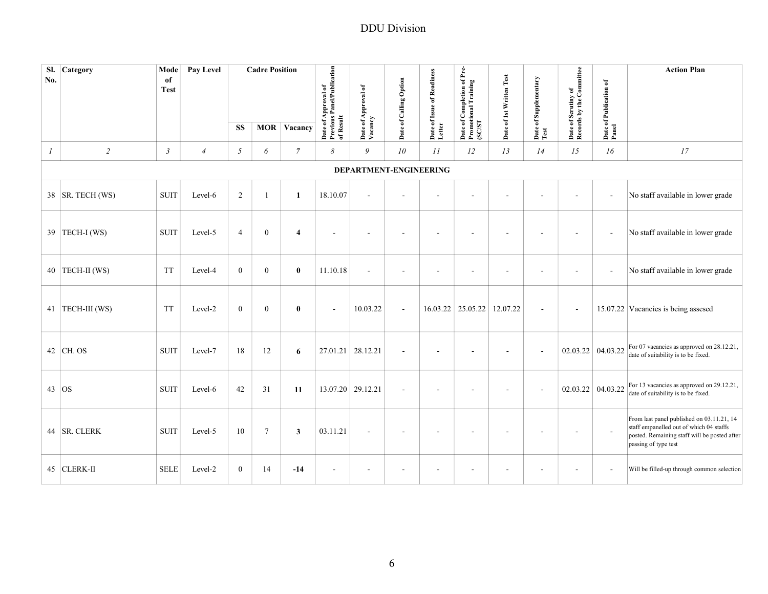| No.              | Sl. Category      | Mode<br>of<br><b>Test</b> | Pay Level      |                | <b>Cadre Position</b> |                | Date of Approval of<br>Previous Panel/Publication<br>of Result | Date of Approval of<br>Vacancy | Date of Calling Option   | Date of Issue of Readiness<br>Letter | of Pre-<br>Date of Completion of P<br>Promotional Training<br>(SC/ST | Date of 1st Written Test | Date of Supplementary<br>Test | Date of Scrutiny of<br>Records by the Committee | Date of Publication of<br>Panel | <b>Action Plan</b>                                                                                                                                           |
|------------------|-------------------|---------------------------|----------------|----------------|-----------------------|----------------|----------------------------------------------------------------|--------------------------------|--------------------------|--------------------------------------|----------------------------------------------------------------------|--------------------------|-------------------------------|-------------------------------------------------|---------------------------------|--------------------------------------------------------------------------------------------------------------------------------------------------------------|
|                  |                   |                           |                | <b>SS</b>      |                       | MOR Vacancy    |                                                                |                                |                          |                                      |                                                                      |                          |                               |                                                 |                                 |                                                                                                                                                              |
| $\boldsymbol{I}$ | $\sqrt{2}$        | $\mathfrak{Z}$            | $\overline{4}$ | 5              | 6                     | 7              | 8                                                              | 9                              | 10                       | II                                   | 12                                                                   | 13                       | 14                            | 15                                              | 16                              | 17                                                                                                                                                           |
|                  |                   |                           |                |                |                       |                |                                                                |                                | DEPARTMENT-ENGINEERING   |                                      |                                                                      |                          |                               |                                                 |                                 |                                                                                                                                                              |
|                  | 38 SR. TECH (WS)  | <b>SUIT</b>               | Level-6        | 2              |                       | $\mathbf{1}$   | 18.10.07                                                       |                                | $\sim$                   | ÷,                                   |                                                                      |                          |                               |                                                 | $\sim$                          | No staff available in lower grade                                                                                                                            |
|                  | 39 TECH-I (WS)    | <b>SUIT</b>               | Level-5        | $\overline{4}$ | $\boldsymbol{0}$      | $\overline{4}$ |                                                                |                                | ÷,                       |                                      |                                                                      |                          |                               |                                                 | $\blacksquare$                  | No staff available in lower grade                                                                                                                            |
|                  | 40   TECH-II (WS) | <b>TT</b>                 | Level-4        | $\mathbf{0}$   | $\overline{0}$        | $\bf{0}$       | 11.10.18                                                       | $\sim$                         | $\blacksquare$           | $\overline{\phantom{a}}$             |                                                                      |                          | $\overline{\phantom{a}}$      |                                                 | $\blacksquare$                  | No staff available in lower grade                                                                                                                            |
|                  | 41 TECH-III (WS)  | TT                        | Level-2        | $\mathbf{0}$   | $\boldsymbol{0}$      | $\bf{0}$       | $\sim$                                                         | 10.03.22                       | $\overline{\phantom{a}}$ |                                      | 16.03.22 25.05.22                                                    | 12.07.22                 | $\blacksquare$                |                                                 |                                 | 15.07.22 Vacancies is being assesed                                                                                                                          |
|                  | 42 CH. OS         | <b>SUIT</b>               | Level-7        | 18             | 12                    | 6              | 27.01.21                                                       | 28.12.21                       | $\sim$                   | ä,                                   |                                                                      |                          | $\overline{\phantom{a}}$      |                                                 | 02.03.22 04.03.22               | For 07 vacancies as approved on 28.12.21,<br>date of suitability is to be fixed.                                                                             |
|                  | $43$ OS           | <b>SUIT</b>               | Level-6        | 42             | 31                    | 11             |                                                                | 13.07.20 29.12.21              | $\overline{\phantom{a}}$ |                                      |                                                                      |                          |                               |                                                 | 02.03.22 04.03.22               | For 13 vacancies as approved on 29.12.21,<br>date of suitability is to be fixed.                                                                             |
|                  | 44 SR. CLERK      | <b>SUIT</b>               | Level-5        | 10             | $\overline{7}$        | $\mathbf{3}$   | 03.11.21                                                       |                                | $\sim$                   | ٠                                    |                                                                      |                          |                               | ٠                                               | $\overline{\phantom{a}}$        | From last panel published on 03.11.21, 14<br>staff empanelled out of which 04 staffs<br>posted. Remaining staff will be posted after<br>passing of type test |
|                  | 45 CLERK-II       | <b>SELE</b>               | Level-2        | $\mathbf{0}$   | 14                    | $-14$          | $\overline{\phantom{a}}$                                       |                                | $\overline{\phantom{a}}$ | $\overline{a}$                       |                                                                      |                          |                               |                                                 |                                 | Will be filled-up through common selection                                                                                                                   |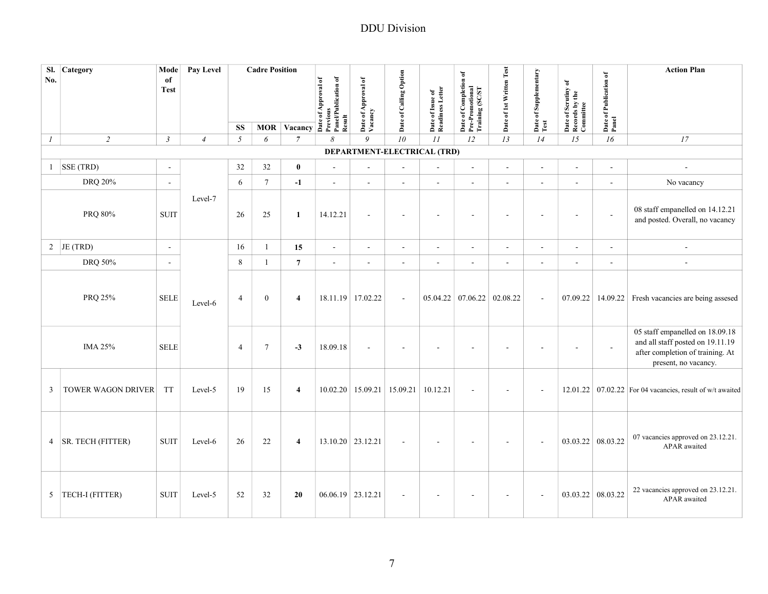| No.           | Sl. Category          | Mode<br>of<br><b>Test</b> | Pay Level      |                | <b>Cadre Position</b> | MOR Vacancy $\frac{3}{2}$ $\frac{3}{2}$ $\frac{3}{2}$ $\frac{3}{2}$ $\frac{3}{2}$ $\frac{3}{2}$ $\frac{3}{2}$ $\frac{3}{2}$ $\frac{3}{2}$ $\frac{3}{2}$ $\frac{3}{2}$ $\frac{3}{2}$ $\frac{3}{2}$ $\frac{3}{2}$ $\frac{3}{2}$ $\frac{3}{2}$ $\frac{3}{2}$ $\frac{3}{2}$ $\frac{3}{2}$ $\frac{3}{2}$ $\frac{3}{2}$ | Panel/Publication of | Date of Approval of<br>Vacancy | Date of Calling Option                      | Date of Issue of<br>Readiness Letter | Date of Completion of<br>Pre-Promotional<br>Training (SC/ST | Date of 1st Written Test | Date of Supplementary<br>Test | Date of Scrutiny of<br>Records by the<br>Committee | Date of Publication of<br>Panel | <b>Action Plan</b>                                                                                                              |
|---------------|-----------------------|---------------------------|----------------|----------------|-----------------------|-------------------------------------------------------------------------------------------------------------------------------------------------------------------------------------------------------------------------------------------------------------------------------------------------------------------|----------------------|--------------------------------|---------------------------------------------|--------------------------------------|-------------------------------------------------------------|--------------------------|-------------------------------|----------------------------------------------------|---------------------------------|---------------------------------------------------------------------------------------------------------------------------------|
|               |                       |                           |                | <b>SS</b>      |                       |                                                                                                                                                                                                                                                                                                                   | Result               |                                |                                             |                                      |                                                             |                          |                               |                                                    |                                 |                                                                                                                                 |
| $\mathcal{I}$ | $\overline{c}$        | $\mathfrak{Z}$            | $\overline{4}$ | $\mathfrak{I}$ | 6                     | $\overline{7}$                                                                                                                                                                                                                                                                                                    | 8                    | 9                              | 10<br>DEPARTMENT-ELECTRICAL (TRD)           | II                                   | 12                                                          | 13                       | 14                            | 15                                                 | 16                              | 17                                                                                                                              |
|               | SSE (TRD)             |                           |                | 32             | 32                    | $\mathbf{0}$                                                                                                                                                                                                                                                                                                      | $\sim$               |                                |                                             |                                      | $\mathbf{r}$                                                |                          |                               | ä,                                                 | $\sim$                          |                                                                                                                                 |
| $\mathbf{1}$  |                       | $\overline{\phantom{a}}$  |                |                |                       |                                                                                                                                                                                                                                                                                                                   |                      |                                | ÷,                                          | ÷,                                   |                                                             |                          | $\blacksquare$                |                                                    |                                 | ÷,                                                                                                                              |
|               | <b>DRQ 20%</b>        | $\sim$                    |                | 6              | $\tau$                | $-1$                                                                                                                                                                                                                                                                                                              | $\overline{a}$       | ÷.                             | L.                                          | $\overline{a}$                       | $\mathbf{r}$                                                |                          | ÷,                            | $\overline{a}$                                     |                                 | No vacancy                                                                                                                      |
|               | PRQ 80%               | <b>SUIT</b>               | Level-7        | 26             | 25                    | $\mathbf{1}$                                                                                                                                                                                                                                                                                                      | 14.12.21             | $\blacksquare$                 | $\blacksquare$                              | $\blacksquare$                       | ÷.                                                          | $\blacksquare$           | ÷,                            | $\blacksquare$                                     | $\blacksquare$                  | 08 staff empanelled on 14.12.21<br>and posted. Overall, no vacancy                                                              |
|               | 2 JE (TRD)            | $\blacksquare$            |                | 16             | $\mathbf{1}$          | 15                                                                                                                                                                                                                                                                                                                | $\sim$               | $\blacksquare$                 | $\overline{\phantom{a}}$                    | $\overline{\phantom{a}}$             | $\blacksquare$                                              | $\overline{\phantom{a}}$ | $\sim$                        | $\overline{\phantom{a}}$                           | $\overline{\phantom{a}}$        | $\overline{\phantom{a}}$                                                                                                        |
|               | DRQ 50%               | $\sim$                    |                | $\,8\,$        | $\mathbf{1}$          | $\overline{7}$                                                                                                                                                                                                                                                                                                    | $\sim$               | $\sim$                         | $\blacksquare$                              | ÷,                                   | $\sim$                                                      | $\sim$                   | $\sim$                        | $\sim$                                             | $\overline{\phantom{a}}$        | $\sim$                                                                                                                          |
|               | PRQ 25%               | <b>SELE</b>               | Level-6        | $\overline{4}$ | $\overline{0}$        | $\overline{4}$                                                                                                                                                                                                                                                                                                    | 18.11.19 17.02.22    |                                | $\sim$                                      | 05.04.22                             | $07.06.22$ 02.08.22                                         |                          | $\sim$                        | 07.09.22                                           | 14.09.22                        | Fresh vacancies are being assesed                                                                                               |
|               | <b>IMA 25%</b>        | <b>SELE</b>               |                | $\overline{4}$ | $\tau$                | $-3$                                                                                                                                                                                                                                                                                                              | 18.09.18             |                                | ÷,                                          | $\sim$                               |                                                             |                          |                               | $\sim$                                             | $\sim$                          | 05 staff empanelled on 18.09.18<br>and all staff posted on 19.11.19<br>after completion of training. At<br>present, no vacancy. |
| 3             | TOWER WAGON DRIVER    | TT                        | Level-5        | 19             | 15                    | $\overline{4}$                                                                                                                                                                                                                                                                                                    |                      |                                | $10.02.20$   15.09.21   15.09.21   10.12.21 |                                      | ä,                                                          |                          | L.                            |                                                    |                                 | 12.01.22 $\vert$ 07.02.22 For 04 vacancies, result of w/t awaited                                                               |
|               | 4   SR. TECH (FITTER) | <b>SUIT</b>               | Level-6        | 26             | 22                    | $\overline{4}$                                                                                                                                                                                                                                                                                                    | 13.10.20 23.12.21    |                                | L,                                          |                                      |                                                             |                          | L,                            | 03.03.22                                           | 08.03.22                        | 07 vacancies approved on 23.12.21.<br>APAR awaited                                                                              |
|               | 5  TECH-I (FITTER)    | <b>SUIT</b>               | Level-5        | 52             | 32                    | 20                                                                                                                                                                                                                                                                                                                | $06.06.19$ 23.12.21  |                                | ÷                                           | $\sim$                               |                                                             |                          | $\sim$                        | 03.03.22 08.03.22                                  |                                 | 22 vacancies approved on 23.12.21.<br>APAR awaited                                                                              |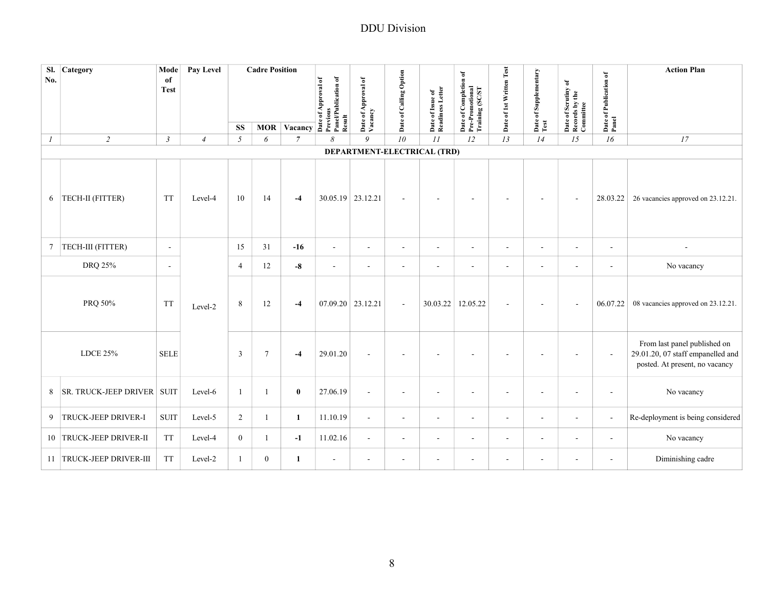| SI.<br>No.    | Category                     | Mode<br>of<br><b>Test</b> | Pay Level      |                | <b>Cadre Position</b> | $\frac{1}{\sqrt{\frac{3}{2}}\sum_{k=1}^{n} \sum_{k=1}^{n}$ | Panel/Publication of<br>of Approval of<br>Result | Date of Approval of<br>Vacancy | Date of Calling Option   | Date of Issue of<br>Readiness Letter | of Completion of<br>Date of Completio<br>Pre-Promotional<br>Training (SC/ST | Date of 1st Written Test | Date of Supplementary    | Date of Scrutiny of<br>Records by the<br>Committee | Date of Publication of<br>Panel | <b>Action Plan</b>                                                                                  |
|---------------|------------------------------|---------------------------|----------------|----------------|-----------------------|------------------------------------------------------------|--------------------------------------------------|--------------------------------|--------------------------|--------------------------------------|-----------------------------------------------------------------------------|--------------------------|--------------------------|----------------------------------------------------|---------------------------------|-----------------------------------------------------------------------------------------------------|
|               |                              |                           |                | <b>SS</b>      | <b>MOR</b>            |                                                            |                                                  |                                |                          |                                      |                                                                             |                          | Test                     |                                                    |                                 |                                                                                                     |
| $\mathcal{I}$ | $\overline{2}$               | $\mathfrak{Z}$            | $\overline{4}$ | 5              | 6                     | $\overline{7}$                                             | 8                                                | $\overline{Q}$                 | 10                       | II                                   | 12                                                                          | 13                       | 14                       | 15                                                 | 16                              | 17                                                                                                  |
|               |                              |                           |                |                |                       |                                                            |                                                  |                                |                          | DEPARTMENT-ELECTRICAL (TRD)          |                                                                             |                          |                          |                                                    |                                 |                                                                                                     |
| 6             | TECH-II (FITTER)             | <b>TT</b>                 | Level-4        | 10             | 14                    | $-4$                                                       | 30.05.19 23.12.21                                |                                | $\blacksquare$           | $\overline{\phantom{a}}$             | $\overline{\phantom{a}}$                                                    | $\sim$                   | $\blacksquare$           |                                                    | 28.03.22                        | 26 vacancies approved on 23.12.21.                                                                  |
|               | 7  TECH-III (FITTER)         | $\sim$                    |                | 15             | 31                    | $-16$                                                      | $\sim$                                           | $\sim$                         | $\sim$                   | $\sim$                               | $\sim$                                                                      | $\sim$                   | $\sim$                   | $\overline{a}$                                     | $\sim$                          |                                                                                                     |
|               | DRQ 25%                      | $\blacksquare$            |                | $\overline{4}$ | $12\,$                | $-8$                                                       | $\blacksquare$                                   | $\sim$                         | $\overline{\phantom{a}}$ | $\blacksquare$                       | $\blacksquare$                                                              | $\overline{\phantom{a}}$ | $\sim$                   | $\sim$                                             | ÷.                              | No vacancy                                                                                          |
|               | PRQ 50%                      | <b>TT</b>                 | Level-2        | 8              | 12                    | $-4$                                                       | 07.09.20 23.12.21                                |                                | $\overline{\phantom{a}}$ | 30.03.22                             | 12.05.22                                                                    |                          |                          |                                                    | 06.07.22                        | 08 vacancies approved on 23.12.21.                                                                  |
|               | <b>LDCE 25%</b>              | <b>SELE</b>               |                | 3              | $\tau$                | $-4$                                                       | 29.01.20                                         |                                | $\sim$                   | ÷.                                   |                                                                             |                          |                          |                                                    | $\sim$                          | From last panel published on<br>29.01.20, 07 staff empanelled and<br>posted. At present, no vacancy |
| 8             | <b>SR. TRUCK-JEEP DRIVER</b> | <b>SUIT</b>               | Level-6        | $\mathbf{1}$   |                       | $\bf{0}$                                                   | 27.06.19                                         | $\sim$                         | $\overline{\phantom{a}}$ | $\overline{\phantom{a}}$             | $\overline{a}$                                                              |                          | ۰.                       | ٠                                                  | $\overline{\phantom{a}}$        | No vacancy                                                                                          |
|               | 9 TRUCK-JEEP DRIVER-I        | <b>SUIT</b>               | Level-5        | $\overline{2}$ | 1.                    | $\mathbf{1}$                                               | 11.10.19                                         | $\sim$                         | $\blacksquare$           | $\blacksquare$                       | $\blacksquare$                                                              | $\overline{\phantom{a}}$ | $\sim$                   | $\blacksquare$                                     | $\overline{\phantom{a}}$        | Re-deployment is being considered                                                                   |
|               | 10 TRUCK-JEEP DRIVER-II      | <b>TT</b>                 | Level-4        | $\mathbf{0}$   | 1                     | $-1$                                                       | 11.02.16                                         | $\sim$                         | $\overline{\phantom{a}}$ | $\overline{\phantom{a}}$             | ۰                                                                           |                          | $\overline{\phantom{a}}$ | $\overline{\phantom{a}}$                           | $\blacksquare$                  | No vacancy                                                                                          |
|               | 11 TRUCK-JEEP DRIVER-III     | <b>TT</b>                 | Level-2        | $\mathbf{1}$   | $\overline{0}$        | $\mathbf{1}$                                               | $\sim$                                           | $\sim$                         | $\blacksquare$           | $\blacksquare$                       | ÷                                                                           | $\overline{\phantom{a}}$ | $\sim$                   | $\sim$                                             | ÷.                              | Diminishing cadre                                                                                   |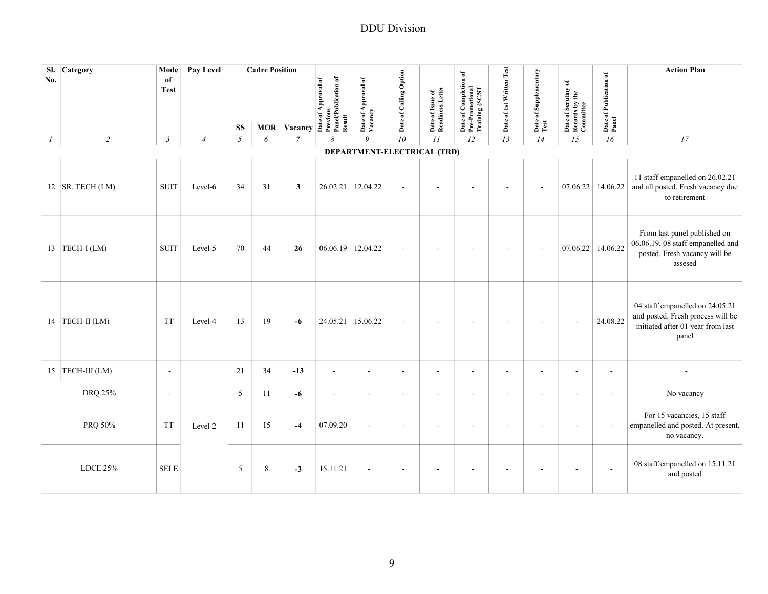| Sl.<br>No.       | Category             | Mode<br>of     | Pay Level      |            | <b>Cadre Position</b> |                                                                                                                      |                |                                |                          |                                      |                                                             |                          |                       |                                                    |                                 | <b>Action Plan</b>                                                                                                 |
|------------------|----------------------|----------------|----------------|------------|-----------------------|----------------------------------------------------------------------------------------------------------------------|----------------|--------------------------------|--------------------------|--------------------------------------|-------------------------------------------------------------|--------------------------|-----------------------|----------------------------------------------------|---------------------------------|--------------------------------------------------------------------------------------------------------------------|
|                  |                      | <b>Test</b>    |                |            |                       | MOR Vacancy As Approval of ALSA CORPORATION OF A CALCULATION OF A CALCULATION OF A CALCULATION OF A CALCULATION OF A |                | Date of Approval of<br>Vacancy | Date of Calling Option   | Date of Issue of<br>Readiness Letter | Date of Completion of<br>Pre-Promotional<br>Training (SC/ST | Date of 1st Written Test | Date of Supplementary | Date of Scrutiny of<br>Records by the<br>Committee | Date of Publication of<br>Panel |                                                                                                                    |
|                  |                      |                |                | <b>SS</b>  |                       |                                                                                                                      |                |                                |                          |                                      |                                                             |                          | Test                  |                                                    |                                 |                                                                                                                    |
| $\boldsymbol{l}$ | $\overline{2}$       | $\mathfrak{Z}$ | $\overline{4}$ | $\sqrt{2}$ | 6                     | $\overline{7}$                                                                                                       | 8              | 9                              | 10                       | II                                   | 12                                                          | 13                       | 14                    | 15                                                 | 16                              | 17                                                                                                                 |
|                  |                      |                |                |            |                       |                                                                                                                      |                | DEPARTMENT-ELECTRICAL (TRD)    |                          |                                      |                                                             |                          |                       |                                                    |                                 |                                                                                                                    |
|                  | 12   SR. TECH $(LM)$ | <b>SUIT</b>    | Level-6        | 34         | 31                    | 3                                                                                                                    |                | 26.02.21 12.04.22              | $\sim$                   | $\blacksquare$                       |                                                             |                          | $\sim$                | 07.06.22                                           | 14.06.22                        | 11 staff empanelled on 26.02.21<br>and all posted. Fresh vacancy due<br>to retirement                              |
|                  | 13 TECH-I (LM)       | <b>SUIT</b>    | Level-5        | 70         | 44                    | 26                                                                                                                   |                | 06.06.19 12.04.22              | $\sim$                   |                                      |                                                             |                          | ÷,                    | 07.06.22                                           | 14.06.22                        | From last panel published on<br>06.06.19, 08 staff empanelled and<br>posted. Fresh vacancy will be<br>assesed      |
|                  | 14 TECH-II (LM)      | <b>TT</b>      | Level-4        | 13         | 19                    | $-6$                                                                                                                 |                | 24.05.21 15.06.22              | $\sim$                   | $\overline{\phantom{a}}$             | $\sim$                                                      | $\sim$                   | $\blacksquare$        | $\sim$                                             | 24.08.22                        | 04 staff empanelled on 24.05.21<br>and posted. Fresh process will be<br>initiated after 01 year from last<br>panel |
|                  | 15 TECH-III (LM)     | $\blacksquare$ |                | 21         | 34                    | $-13$                                                                                                                | $\blacksquare$ | $\sim$                         | $\sim$                   | $\sim$                               | $\sim$                                                      | $\sim$                   | $\sim$                | $\sim$                                             | $\sim$                          |                                                                                                                    |
|                  | DRQ 25%              | $\blacksquare$ |                | 5          | 11                    | $-6$                                                                                                                 | $\sim$         | $\sim$                         | $\sim$                   | ÷,                                   | $\sim$                                                      | $\sim$                   | $\sim$                | $\sim$                                             | $\sim$                          | No vacancy                                                                                                         |
|                  | PRQ 50%              | <b>TT</b>      | Level-2        | 11         | 15                    | $-4$                                                                                                                 | 07.09.20       | $\sim$                         | ÷,                       | $\overline{\phantom{a}}$             |                                                             |                          |                       |                                                    |                                 | For 15 vacancies, 15 staff<br>empanelled and posted. At present,<br>no vacancy.                                    |
|                  | <b>LDCE 25%</b>      | <b>SELE</b>    |                | 5          | 8                     | $-3$                                                                                                                 | 15.11.21       | $\sim$                         | $\overline{\phantom{a}}$ | $\blacksquare$                       | $\blacksquare$                                              |                          |                       | $\sim$                                             | $\sim$                          | 08 staff empanelled on 15.11.21<br>and posted                                                                      |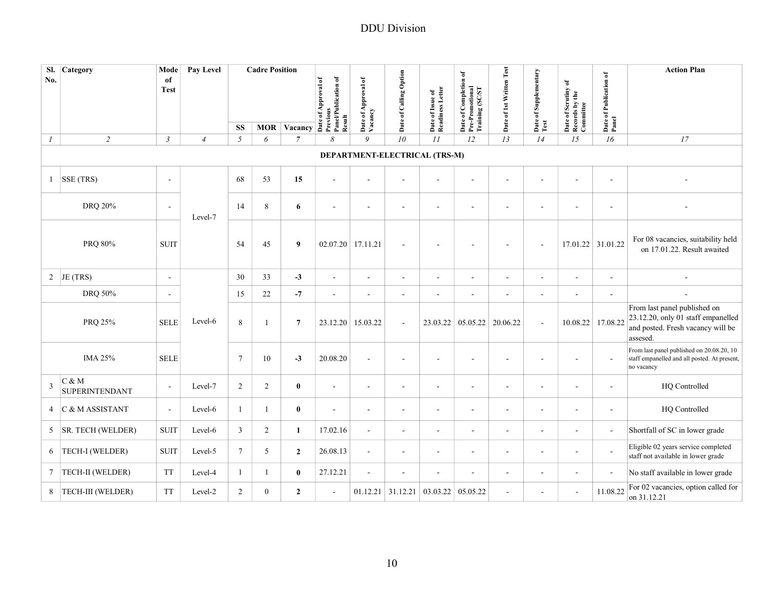| SI.<br>No.    | <b>Category</b>                | Mode<br>of<br><b>Test</b> | Pay Level      |                 | <b>Cadre Position</b> |                                      | Panel/Publication of<br>of Approval of<br>Previou<br>Result<br>Date | Date of Approval of<br>Vacancy | Date of Calling Option   | Date of Issue of<br>Readiness Letter | Date of Completion of<br>Pre-Promotional<br>Training (SC/ST | Date of 1st Written Test | Date of Supplementary<br>Test | Date of Scrutiny of<br>Records by the<br>Committee | Date of Publication of<br>Panel | <b>Action Plan</b>                                                                                                  |
|---------------|--------------------------------|---------------------------|----------------|-----------------|-----------------------|--------------------------------------|---------------------------------------------------------------------|--------------------------------|--------------------------|--------------------------------------|-------------------------------------------------------------|--------------------------|-------------------------------|----------------------------------------------------|---------------------------------|---------------------------------------------------------------------------------------------------------------------|
| $\mathcal{I}$ | $\overline{2}$                 | $\mathfrak{Z}$            | $\overline{4}$ | <b>SS</b><br>5  | 6                     | <b>MOR Vacancy</b><br>$\overline{7}$ | 8                                                                   | 9                              | 10                       | II                                   | 12                                                          | 13                       | 14                            | 15                                                 | 16                              | 17                                                                                                                  |
|               |                                |                           |                |                 |                       |                                      |                                                                     |                                |                          | DEPARTMENT-ELECTRICAL (TRS-M)        |                                                             |                          |                               |                                                    |                                 |                                                                                                                     |
| $\mathbf{1}$  | SSE (TRS)                      | $\overline{a}$            |                | 68              | 53                    | 15                                   | $\overline{a}$                                                      |                                | $\sim$                   | $\overline{a}$                       | $\overline{a}$                                              | ÷.                       |                               |                                                    | L.                              |                                                                                                                     |
|               | DRQ 20%                        | $\overline{a}$            | Level-7        | 14              | 8                     | 6                                    | ÷,                                                                  |                                | $\overline{\phantom{a}}$ | $\overline{a}$                       | $\overline{a}$                                              |                          |                               | $\overline{\phantom{a}}$                           | $\overline{\phantom{a}}$        |                                                                                                                     |
|               | PRQ 80%                        | <b>SUIT</b>               |                | 54              | 45                    | $\boldsymbol{9}$                     | 02.07.20 17.11.21                                                   |                                | $\sim$                   | $\overline{a}$                       | ÷.                                                          | $\sim$                   | $\sim$                        | 17.01.22 31.01.22                                  |                                 | For 08 vacancies, suitability held<br>on 17.01.22. Result awaited                                                   |
|               | 2 JE (TRS)                     | ÷,                        |                | 30              | 33                    | $-3$                                 | $\blacksquare$                                                      | $\sim$                         | $\blacksquare$           | $\sim$                               | $\overline{\phantom{a}}$                                    | $\overline{\phantom{a}}$ | $\sim$                        | $\overline{\phantom{a}}$                           | ÷,                              |                                                                                                                     |
|               | DRQ 50%                        | $\blacksquare$            |                | 15              | 22                    | $-7$                                 | $\overline{\phantom{a}}$                                            | $\sim$                         | $\overline{\phantom{a}}$ | $\overline{\phantom{a}}$             | $\blacksquare$                                              | $\sim$                   | $\sim$                        | $\overline{\phantom{a}}$                           | ä,                              |                                                                                                                     |
|               | PRQ 25%                        | <b>SELE</b>               | Level-6        | 8               | 1                     | 7                                    | 23.12.20                                                            | 15.03.22                       | $\overline{\phantom{a}}$ | 23.03.22                             | 05.05.22                                                    | 20.06.22                 | $\sim$                        | 10.08.22                                           | 17.08.22                        | From last panel published on<br>23.12.20, only 01 staff empanelled<br>and posted. Fresh vacancy will be<br>assesed. |
|               | <b>IMA 25%</b>                 | <b>SELE</b>               |                | $7\phantom{.0}$ | 10                    | $-3$                                 | 20.08.20                                                            |                                | $\overline{\phantom{a}}$ | $\overline{a}$                       |                                                             |                          |                               | $\overline{a}$                                     |                                 | From last panel published on 20.08.20, 10<br>staff empanelled and all posted. At present,<br>no vacancy             |
| 3             | C & M<br><b>SUPERINTENDANT</b> | $\blacksquare$            | Level-7        | 2               | $\overline{c}$        | $\bf{0}$                             | $\blacksquare$                                                      | $\overline{\phantom{a}}$       | $\overline{\phantom{a}}$ | $\blacksquare$                       | ä,                                                          | $\blacksquare$           | $\overline{\phantom{a}}$      | $\overline{\phantom{a}}$                           | $\overline{\phantom{a}}$        | HQ Controlled                                                                                                       |
| 4             | C & M ASSISTANT                | $\sim$                    | Level-6        | 1               | $\mathbf{1}$          | $\bf{0}$                             | ÷,                                                                  | $\sim$                         | $\sim$                   | $\blacksquare$                       | ä,                                                          | $\overline{\phantom{a}}$ | $\sim$                        | $\overline{\phantom{a}}$                           | $\overline{\phantom{a}}$        | HQ Controlled                                                                                                       |
| 5             | SR. TECH (WELDER)              | <b>SUIT</b>               | Level-6        | $\overline{3}$  | $\overline{2}$        | $\mathbf{1}$                         | 17.02.16                                                            | $\sim$                         | $\overline{a}$           | $\overline{\phantom{a}}$             | ä,                                                          | $\sim$                   | $\sim$                        | $\overline{\phantom{a}}$                           | $\blacksquare$                  | Shortfall of SC in lower grade                                                                                      |
| 6             | TECH-I (WELDER)                | <b>SUIT</b>               | Level-5        | $7\phantom{.0}$ | 5                     | $\overline{2}$                       | 26.08.13                                                            | $\sim$                         | $\overline{\phantom{a}}$ | $\blacksquare$                       | $\blacksquare$                                              | $\blacksquare$           |                               | $\overline{\phantom{a}}$                           |                                 | Eligible 02 years service completed<br>staff not available in lower grade                                           |
|               | 7   TECH-II (WELDER)           | <b>TT</b>                 | Level-4        | 1               | 1                     | $\bf{0}$                             | 27.12.21                                                            | ٠                              | $\overline{\phantom{a}}$ | $\overline{\phantom{a}}$             | $\blacksquare$                                              | $\blacksquare$           |                               | $\overline{\phantom{a}}$                           |                                 | No staff available in lower grade                                                                                   |
|               | 8   TECH-III (WELDER)          | <b>TT</b>                 | Level-2        | 2               | $\overline{0}$        | $\overline{2}$                       | ÷,                                                                  |                                | $01.12.21$ 31.12.21      | 03.03.22 05.05.22                    |                                                             | ÷,                       |                               | $\sim$                                             | 11.08.22                        | For 02 vacancies, option called for<br>on 31.12.21                                                                  |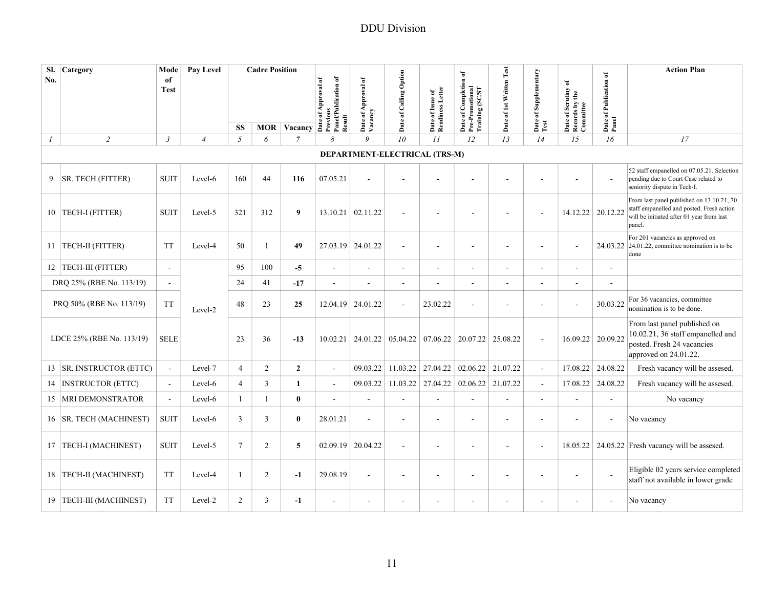| No. | Sl. Category              | Mode<br>of<br><b>Test</b> | <b>Pay Level</b> |                | <b>Cadre Position</b> | MOR $Vacancy \stackrel{\text{def}}{=}$ | Panel/Publication of | of Approval of                | Date of Calling Option   | Readiness Letter<br>Date of Issue of | 6f<br>of Completion<br>Pre-Promotional<br>Training (SC/ST | Date of 1st Written Test | Date of Supplementary    | ð<br>of Scrutiny<br>Date of Scrutiny<br>Records by the | Date of Publication of<br>Panel | <b>Action Plan</b>                                                                                                                            |
|-----|---------------------------|---------------------------|------------------|----------------|-----------------------|----------------------------------------|----------------------|-------------------------------|--------------------------|--------------------------------------|-----------------------------------------------------------|--------------------------|--------------------------|--------------------------------------------------------|---------------------------------|-----------------------------------------------------------------------------------------------------------------------------------------------|
|     |                           |                           |                  | SS             |                       |                                        | Previous<br>Result   | Date of A<br>Vacancy          |                          |                                      | Date                                                      |                          | Test                     | Committee                                              |                                 |                                                                                                                                               |
| 1   | $\overline{2}$            | $\mathfrak{Z}$            | $\overline{4}$   | $\sqrt{2}$     | 6                     | $\overline{7}$                         | 8                    | $\boldsymbol{Q}$              | 10                       | II                                   | 12                                                        | 13                       | 14                       | 15                                                     | 16                              | 17                                                                                                                                            |
|     |                           |                           |                  |                |                       |                                        |                      | DEPARTMENT-ELECTRICAL (TRS-M) |                          |                                      |                                                           |                          |                          |                                                        |                                 |                                                                                                                                               |
| 9   | SR. TECH (FITTER)         | <b>SUIT</b>               | Level-6          | 160            | 44                    | 116                                    | 07.05.21             |                               |                          | $\overline{a}$                       |                                                           |                          |                          |                                                        | $\sim$                          | 52 staff empanelled on 07.05.21. Selection<br>pending due to Court Case related to<br>seniority dispute in Tech-I.                            |
|     | 10   TECH-I (FITTER)      | <b>SUIT</b>               | Level-5          | 321            | 312                   | 9                                      | 13.10.21             | 02.11.22                      | $\overline{\phantom{a}}$ | $\overline{\phantom{a}}$             |                                                           |                          | ÷,                       | 14.12.22                                               | 20.12.22                        | From last panel published on 13.10.21, 70<br>staff empanelled and posted. Fresh action<br>will be initiated after 01 year from last<br>panel. |
|     | 11   TECH-II (FITTER)     | <b>TT</b>                 | Level-4          | 50             | $\mathbf{1}$          | 49                                     | 27.03.19             | 24.01.22                      | $\blacksquare$           | $\blacksquare$                       |                                                           | $\sim$                   | $\overline{a}$           |                                                        | 24.03.22                        | For 201 vacancies as approved on<br>24.01.22, committee nomination is to be<br>done                                                           |
|     | 12   TECH-III (FITTER)    | ÷,                        |                  | 95             | 100                   | $-5$                                   | $\sim$               |                               | ÷,                       | $\blacksquare$                       |                                                           | $\sim$                   | ÷,                       | ä,                                                     |                                 |                                                                                                                                               |
|     | DRQ 25% (RBE No. 113/19)  | $\sim$                    |                  | 24             | 41                    | $-17$                                  | $\sim$               |                               | $\overline{\phantom{a}}$ | $\overline{\phantom{a}}$             |                                                           | $\overline{\phantom{a}}$ | $\overline{\phantom{a}}$ | $\overline{a}$                                         |                                 |                                                                                                                                               |
|     | PRQ 50% (RBE No. 113/19)  | <b>TT</b>                 | Level-2          | 48             | 23                    | 25                                     | 12.04.19             | 24.01.22                      | ÷,                       | 23.02.22                             |                                                           |                          | $\overline{a}$           |                                                        | 30.03.22                        | For 36 vacancies, committee<br>nomination is to be done.                                                                                      |
|     | LDCE 25% (RBE No. 113/19) | <b>SELE</b>               |                  | 23             | 36                    | $-13$                                  | 10.02.21             |                               |                          |                                      | 24.01.22 05.04.22 07.06.22 20.07.22                       | 25.08.22                 | $\overline{\phantom{a}}$ |                                                        | 16.09.22 20.09.22               | From last panel published on<br>10.02.21, 36 staff empanelled and<br>posted. Fresh 24 vacancies<br>approved on 24.01.22.                      |
|     | 13 SR. INSTRUCTOR (ETTC)  | $\sim$                    | Level-7          | $\overline{4}$ | $\overline{2}$        | $\mathbf{2}$                           | $\sim$               | 09.03.22                      | 11.03.22                 | 27.04.22                             | 02.06.22                                                  | 21.07.22                 | $\overline{\phantom{a}}$ | 17.08.22                                               | 24.08.22                        | Fresh vacancy will be assesed.                                                                                                                |
|     | 14   INSTRUCTOR (ETTC)    | $\overline{a}$            | Level-6          | $\overline{4}$ | $\overline{3}$        | $\mathbf{1}$                           | $\sim$               | 09.03.22                      | 11.03.22                 | 27.04.22                             | 02.06.22                                                  | 21.07.22                 | L.                       | 17.08.22                                               | 24.08.22                        | Fresh vacancy will be assesed.                                                                                                                |
| 15  | <b>MRI DEMONSTRATOR</b>   | $\sim$                    | Level-6          | $\mathbf{1}$   | $\mathbf{1}$          | $\bf{0}$                               | $\sim$               |                               | $\overline{a}$           | $\overline{\phantom{a}}$             |                                                           | $\overline{\phantom{a}}$ | ÷.                       | L,                                                     |                                 | No vacancy                                                                                                                                    |
|     | 16   SR. TECH (MACHINEST) | <b>SUIT</b>               | Level-6          | $\overline{3}$ | 3                     | $\mathbf{0}$                           | 28.01.21             |                               | ÷,                       | ÷,                                   |                                                           | $\blacksquare$           | ÷,                       |                                                        |                                 | No vacancy                                                                                                                                    |
|     | 17   TECH-I (MACHINEST)   | <b>SUIT</b>               | Level-5          | $\tau$         | $\overline{2}$        | 5                                      | 02.09.19             | 20.04.22                      | $\blacksquare$           | $\blacksquare$                       |                                                           | $\sim$                   | $\blacksquare$           | 18.05.22                                               |                                 | 24.05.22 Fresh vacancy will be assesed.                                                                                                       |
|     | 18 TECH-II (MACHINEST)    | <b>TT</b>                 | Level-4          | $\mathbf{1}$   | $\overline{c}$        | $-1$                                   | 29.08.19             | $\sim$                        | $\overline{\phantom{a}}$ | ÷,                                   |                                                           | $\blacksquare$           | ÷,                       | ä,                                                     | $\overline{\phantom{a}}$        | Eligible 02 years service completed<br>staff not available in lower grade                                                                     |
|     | 19 TECH-III (MACHINEST)   | <b>TT</b>                 | Level-2          | 2              | 3                     | $-1$                                   | $\sim$               | $\overline{\phantom{a}}$      | $\overline{\phantom{a}}$ | $\blacksquare$                       |                                                           | $\blacksquare$           | $\overline{\phantom{a}}$ | ÷                                                      | $\blacksquare$                  | No vacancy                                                                                                                                    |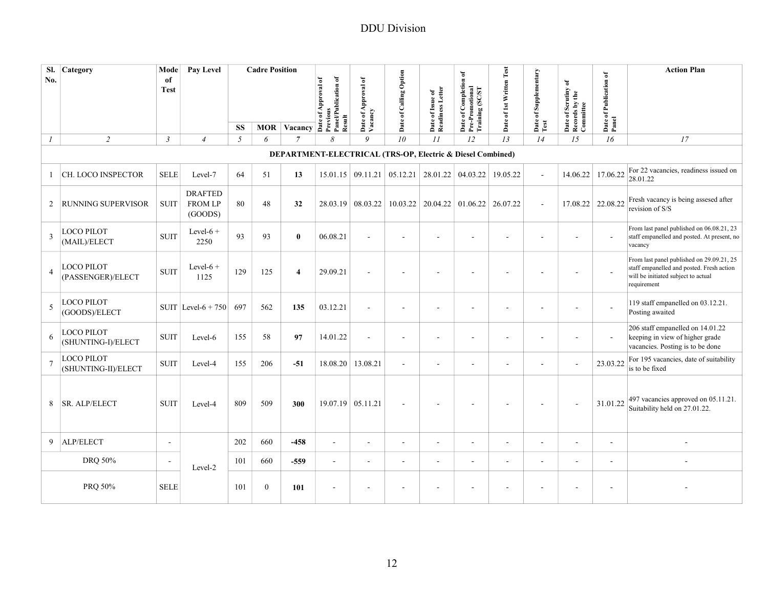| SI.<br>No.     | Category                          | Mode<br>of               | Pay Level                                   |     | <b>Cadre Position</b> |                    |                                             |                                |                                                            |                                      |                                                                              |                          |                          |                                                    |                                 | <b>Action Plan</b>                                                                                                                           |
|----------------|-----------------------------------|--------------------------|---------------------------------------------|-----|-----------------------|--------------------|---------------------------------------------|--------------------------------|------------------------------------------------------------|--------------------------------------|------------------------------------------------------------------------------|--------------------------|--------------------------|----------------------------------------------------|---------------------------------|----------------------------------------------------------------------------------------------------------------------------------------------|
|                |                                   | <b>Test</b>              |                                             |     |                       |                    | Panel/Publication of<br>Date of Approval of | Date of Approval of<br>Vacancy | Date of Calling Option                                     | Date of Issue of<br>Readiness Letter | of Completion of<br>Date of Completion<br>Pre-Promotional<br>Training (SC/ST | Date of 1st Written Test | Date of Supplementary    | Date of Scrutiny of<br>Records by the<br>Committee | Date of Publication of<br>Panel |                                                                                                                                              |
|                |                                   |                          |                                             |     |                       |                    | Previous                                    |                                |                                                            |                                      |                                                                              |                          |                          |                                                    |                                 |                                                                                                                                              |
|                |                                   |                          |                                             | SS  |                       | <b>MOR</b> Vacancy | Result                                      |                                |                                                            |                                      |                                                                              |                          | Test                     |                                                    |                                 |                                                                                                                                              |
| $\mathcal{I}$  | $\overline{2}$                    | $\mathfrak{Z}$           | $\overline{4}$                              | 5   | 6                     | $\overline{7}$     | 8                                           | $\overline{Q}$                 | 10                                                         | II                                   | 12                                                                           | 13                       | 14                       | 15                                                 | 16                              | 17                                                                                                                                           |
|                |                                   |                          |                                             |     |                       |                    |                                             |                                | DEPARTMENT-ELECTRICAL (TRS-OP, Electric & Diesel Combined) |                                      |                                                                              |                          |                          |                                                    |                                 |                                                                                                                                              |
| $\mathbf{1}$   | CH. LOCO INSPECTOR                | <b>SELE</b>              | Level-7                                     | 64  | 51                    | 13                 | 15.01.15                                    | 09.11.21                       | 05.12.21                                                   | 28.01.22                             | 04.03.22                                                                     | 19.05.22                 | $\sim$                   | 14.06.22                                           | 17.06.22                        | For 22 vacancies, readiness issued on<br>28.01.22                                                                                            |
| 2              | <b>RUNNING SUPERVISOR</b>         | <b>SUIT</b>              | <b>DRAFTED</b><br><b>FROM LP</b><br>(GOODS) | 80  | 48                    | 32                 |                                             | 28.03.19 08.03.22              | 10.03.22                                                   | 20.04.22                             | 01.06.22                                                                     | 26.07.22                 | $\sim$                   | 17.08.22                                           | 22.08.22                        | Fresh vacancy is being assesed after<br>revision of S/S                                                                                      |
| 3              | LOCO PILOT<br>(MAIL)/ELECT        | <b>SUIT</b>              | Level- $6 +$<br>2250                        | 93  | 93                    | $\bf{0}$           | 06.08.21                                    |                                | $\blacksquare$                                             | $\overline{\phantom{a}}$             | ä,                                                                           |                          | $\overline{\phantom{a}}$ | ÷,                                                 | $\blacksquare$                  | From last panel published on 06.08.21, 23<br>staff empanelled and posted. At present, no<br>vacancy                                          |
| 4              | LOCO PILOT<br>(PASSENGER)/ELECT   | <b>SUIT</b>              | Level- $6 +$<br>1125                        | 129 | 125                   | $\overline{4}$     | 29.09.21                                    |                                | $\overline{\phantom{a}}$                                   |                                      |                                                                              |                          |                          | ÷,                                                 | $\overline{\phantom{a}}$        | From last panel published on 29.09.21, 25<br>staff empanelled and posted. Fresh action<br>will be initiated subject to actual<br>requirement |
| 5              | LOCO PILOT<br>(GOODS)/ELECT       |                          | SUIT Level- $6 + 750$                       | 697 | 562                   | 135                | 03.12.21                                    | $\sim$                         | $\overline{\phantom{a}}$                                   | ÷,                                   | ÷,                                                                           |                          | $\overline{\phantom{a}}$ | ÷,                                                 | $\overline{\phantom{a}}$        | 119 staff empanelled on 03.12.21.<br>Posting awaited                                                                                         |
| 6              | LOCO PILOT<br>(SHUNTING-I)/ELECT  | <b>SUIT</b>              | Level-6                                     | 155 | 58                    | 97                 | 14.01.22                                    | $\sim$                         | $\overline{\phantom{a}}$                                   | $\overline{\phantom{a}}$             | $\overline{a}$                                                               |                          | $\sim$                   | $\overline{a}$                                     | $\sim$                          | 206 staff empanelled on 14.01.22<br>keeping in view of higher grade<br>vacancies. Posting is to be done                                      |
| $\overline{7}$ | LOCO PILOT<br>(SHUNTING-II)/ELECT | <b>SUIT</b>              | Level-4                                     | 155 | 206                   | $-51$              | 18.08.20                                    | 13.08.21                       | $\blacksquare$                                             | $\sim$                               | $\overline{a}$                                                               |                          | $\sim$                   | ä,                                                 | 23.03.22                        | For 195 vacancies, date of suitability<br>is to be fixed                                                                                     |
| 8              | <b>SR. ALP/ELECT</b>              | <b>SUIT</b>              | Level-4                                     | 809 | 509                   | 300                | $19.07.19$ 05.11.21                         |                                | $\blacksquare$                                             |                                      |                                                                              |                          |                          |                                                    | 31.01.22                        | 497 vacancies approved on 05.11.21.<br>Suitability held on 27.01.22.                                                                         |
| 9              | ALP/ELECT                         | $\overline{\phantom{a}}$ |                                             | 202 | 660                   | $-458$             | $\sim$                                      | $\sim$                         | $\blacksquare$                                             | $\blacksquare$                       | $\overline{\phantom{a}}$                                                     | $\overline{\phantom{a}}$ | $\blacksquare$           | $\blacksquare$                                     | $\sim$                          |                                                                                                                                              |
|                | DRQ 50%                           | $\overline{\phantom{a}}$ | Level-2                                     | 101 | 660                   | $-559$             | $\sim$                                      |                                | $\blacksquare$                                             | $\overline{\phantom{a}}$             | ä,                                                                           |                          | $\overline{\phantom{a}}$ | $\overline{a}$                                     | $\sim$                          |                                                                                                                                              |
|                | PRQ 50%                           | <b>SELE</b>              |                                             | 101 | $\overline{0}$        | 101                | $\overline{a}$                              |                                |                                                            |                                      |                                                                              |                          |                          |                                                    | $\overline{a}$                  |                                                                                                                                              |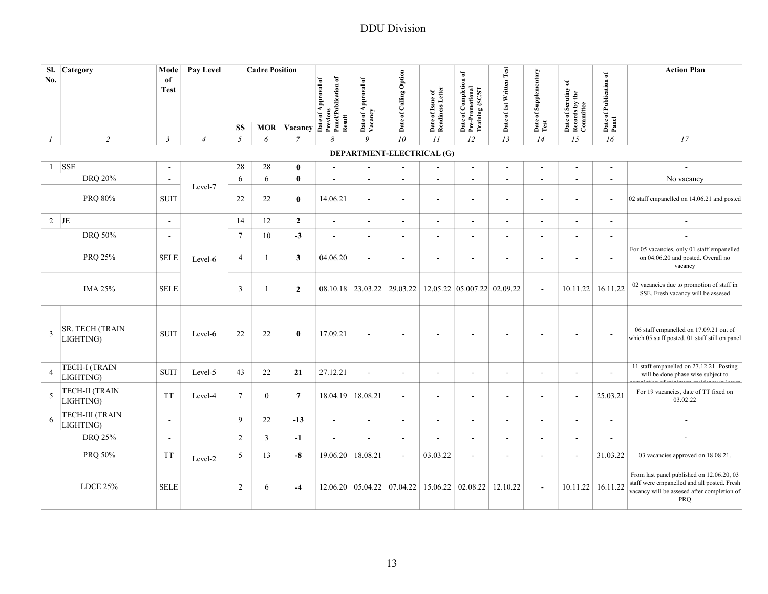| SI.<br>No.       | Category                            | Mode<br>of<br><b>Test</b> | Pay Level      |                 | <b>Cadre Position</b> |                | MOR Vacancy As Agreed Materials of Agriculturation of MOR Vacancy As Agriculturation of Agriculturation of Agriculturation of Agriculturation of Agriculturation of Agriculturation of Agriculturation of Agriculturation of A | Date of Approval of<br>Vacancy | Date of Calling Option                 | Date of Issue of<br>Readiness Letter | ď<br>of Completion<br>Pre-Promotional<br>Training (SC/ST<br>Date | Date of 1st Written Test | Date of Supplementary    | ð<br>Date of Scrutiny of<br>Records by the<br>Committee | Date of Publication of<br>Panel | <b>Action Plan</b>                                                                                                                             |
|------------------|-------------------------------------|---------------------------|----------------|-----------------|-----------------------|----------------|--------------------------------------------------------------------------------------------------------------------------------------------------------------------------------------------------------------------------------|--------------------------------|----------------------------------------|--------------------------------------|------------------------------------------------------------------|--------------------------|--------------------------|---------------------------------------------------------|---------------------------------|------------------------------------------------------------------------------------------------------------------------------------------------|
|                  | $\overline{2}$                      | $\mathfrak{Z}$            | $\overline{4}$ | <b>SS</b><br>5  |                       | $\overline{7}$ | 8                                                                                                                                                                                                                              | 9                              | 10                                     | II                                   | 12                                                               | 13                       | Test<br>14               | 15                                                      | 16                              | 17                                                                                                                                             |
| $\boldsymbol{l}$ |                                     |                           |                |                 | 6                     |                |                                                                                                                                                                                                                                |                                | DEPARTMENT-ELECTRICAL (G)              |                                      |                                                                  |                          |                          |                                                         |                                 |                                                                                                                                                |
|                  | $1$ SSE                             | $\overline{\phantom{a}}$  |                | 28              | 28                    | $\mathbf{0}$   | $\blacksquare$                                                                                                                                                                                                                 |                                | $\blacksquare$                         | $\blacksquare$                       | $\blacksquare$                                                   | $\blacksquare$           | $\sim$                   | $\blacksquare$                                          | $\overline{\phantom{a}}$        | $\overline{\phantom{a}}$                                                                                                                       |
|                  | DRQ 20%                             | $\overline{\phantom{a}}$  |                | 6               | 6                     | $\bf{0}$       | $\blacksquare$                                                                                                                                                                                                                 | $\sim$                         | $\blacksquare$                         | $\overline{\phantom{a}}$             | $\overline{\phantom{a}}$                                         | $\blacksquare$           | $\overline{\phantom{a}}$ | $\overline{\phantom{a}}$                                | $\overline{\phantom{a}}$        | No vacancy                                                                                                                                     |
|                  | PRQ 80%                             | <b>SUIT</b>               | Level-7        | 22              | 22                    | $\bf{0}$       | 14.06.21                                                                                                                                                                                                                       | $\sim$                         | $\sim$                                 | $\sim$                               | $\sim$                                                           | $\overline{\phantom{a}}$ | $\sim$                   | $\sim$                                                  | $\sim$                          | 02 staff empanelled on 14.06.21 and posted                                                                                                     |
| $2$ JE           |                                     | $\blacksquare$            |                | 14              | 12                    | $\overline{2}$ | $\sim$                                                                                                                                                                                                                         | $\sim$                         | $\sim$                                 | $\sim$                               | $\sim$                                                           | $\blacksquare$           | $\sim$                   | $\overline{\phantom{a}}$                                | $\sim$                          | $\blacksquare$                                                                                                                                 |
|                  | DRQ 50%                             | $\blacksquare$            |                | $7\phantom{.0}$ | 10                    | $-3$           | $\blacksquare$                                                                                                                                                                                                                 | $\sim$                         | $\overline{\phantom{a}}$               | $\blacksquare$                       | ÷.                                                               | $\blacksquare$           | $\overline{\phantom{a}}$ | $\overline{\phantom{a}}$                                | $\blacksquare$                  | $\overline{\phantom{a}}$                                                                                                                       |
|                  | PRQ 25%                             | <b>SELE</b>               | Level-6        | $\overline{4}$  | 1                     | 3              | 04.06.20                                                                                                                                                                                                                       | $\sim$                         | $\overline{a}$                         | $\overline{\phantom{a}}$             |                                                                  |                          | $\overline{a}$           | $\overline{a}$                                          | $\overline{\phantom{a}}$        | For 05 vacancies, only 01 staff empanelled<br>on 04.06.20 and posted. Overall no<br>vacancy                                                    |
|                  | <b>IMA 25%</b>                      | <b>SELE</b>               |                | 3               | 1                     | $\overline{2}$ |                                                                                                                                                                                                                                |                                | $08.10.18$ 23.03.22 29.03.22           |                                      | 12.05.22 05.007.22 02.09.22                                      |                          | $\sim$                   | 10.11.22                                                | 16.11.22                        | 02 vacancies due to promotion of staff in<br>SSE. Fresh vacancy will be assesed                                                                |
| 3                | <b>SR. TECH (TRAIN</b><br>LIGHTING) | <b>SUIT</b>               | Level-6        | 22              | 22                    | $\bf{0}$       | 17.09.21                                                                                                                                                                                                                       | $\sim$                         | $\blacksquare$                         | ä,                                   |                                                                  | $\blacksquare$           | $\overline{\phantom{a}}$ | ÷,                                                      | $\sim$                          | 06 staff empanelled on 17.09.21 out of<br>which 05 staff posted. 01 staff still on panel                                                       |
| 4                | <b>TECH-I (TRAIN</b><br>LIGHTING)   | <b>SUIT</b>               | Level-5        | 43              | 22                    | 21             | 27.12.21                                                                                                                                                                                                                       | $\sim$                         | $\blacksquare$                         | $\sim$                               |                                                                  | $\overline{\phantom{a}}$ | $\sim$                   | $\overline{\phantom{a}}$                                | $\blacksquare$                  | 11 staff empanelled on 27.12.21. Posting<br>will be done phase wise subject to                                                                 |
| 5                | <b>TECH-II (TRAIN</b><br>LIGHTING)  | <b>TT</b>                 | Level-4        | $7\phantom{.0}$ | $\boldsymbol{0}$      | $\overline{7}$ | 18.04.19                                                                                                                                                                                                                       | 18.08.21                       | $\blacksquare$                         | $\overline{\phantom{a}}$             |                                                                  | $\sim$                   | $\sim$                   | $\blacksquare$                                          | 25.03.21                        | For 19 vacancies, date of TT fixed on<br>03.02.22                                                                                              |
| 6                | TECH-III (TRAIN<br>LIGHTING)        | $\overline{\phantom{a}}$  |                | 9               | 22                    | $-13$          | $\sim$                                                                                                                                                                                                                         | $\sim$                         | $\blacksquare$                         | $\overline{\phantom{a}}$             | $\blacksquare$                                                   | $\blacksquare$           | $\sim$                   | $\overline{\phantom{a}}$                                | $\blacksquare$                  |                                                                                                                                                |
|                  | DRQ 25%                             | $\blacksquare$            |                | 2               | 3                     | $-1$           | $\sim$                                                                                                                                                                                                                         | $\sim$                         | $\blacksquare$                         | $\blacksquare$                       | $\sim$                                                           | $\overline{\phantom{a}}$ | $\blacksquare$           | $\overline{\phantom{a}}$                                |                                 |                                                                                                                                                |
|                  | PRQ 50%                             | <b>TT</b>                 | Level-2        | 5               | 13                    | $-8$           | 19.06.20                                                                                                                                                                                                                       | 18.08.21                       | $\sim$                                 | 03.03.22                             | $\sim$                                                           | $\overline{\phantom{a}}$ | $\blacksquare$           | $\blacksquare$                                          | 31.03.22                        | 03 vacancies approved on 18.08.21.                                                                                                             |
|                  | <b>LDCE 25%</b>                     | <b>SELE</b>               |                | 2               | 6                     | $-4$           |                                                                                                                                                                                                                                |                                | $12.06.20 \mid 05.04.22 \mid 07.04.22$ | 15.06.22                             | 02.08.22                                                         | 12.10.22                 | $\sim$                   | 10.11.22                                                | 16.11.22                        | From last panel published on 12.06.20, 03<br>staff were empanelled and all posted. Fresh<br>vacancy will be assesed after completion of<br>PRQ |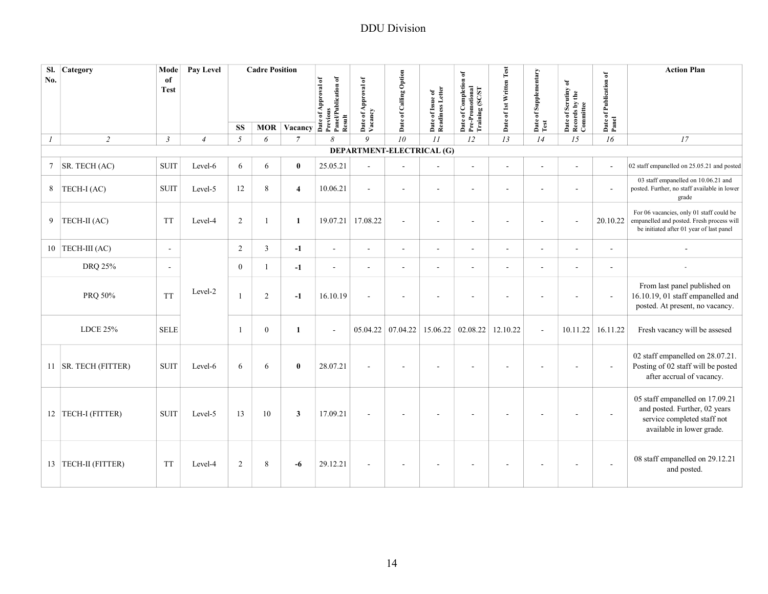| SI.<br>No.       | Category               | Mode<br>of<br><b>Test</b> | Pay Level      |                | <b>Cadre Position</b> |                |                                                              |                           |                        |                                      |                                                             |                          |                          |                                                    |                                 | <b>Action Plan</b>                                                                                                                |
|------------------|------------------------|---------------------------|----------------|----------------|-----------------------|----------------|--------------------------------------------------------------|---------------------------|------------------------|--------------------------------------|-------------------------------------------------------------|--------------------------|--------------------------|----------------------------------------------------|---------------------------------|-----------------------------------------------------------------------------------------------------------------------------------|
|                  |                        |                           |                |                |                       |                | Panel/Publication of<br>of Approval of<br>Previous<br>Result | of Approval of<br>Vacancy | Date of Calling Option | Date of Issue of<br>Readiness Letter | Date of Completion of<br>Pre-Promotional<br>Training (SC/ST | Date of 1st Written Test | Date of Supplementary    | Date of Scrutiny of<br>Records by the<br>Committee | Date of Publication of<br>Panel |                                                                                                                                   |
|                  |                        |                           |                | <b>SS</b>      | <b>MOR</b>            | Vacancy        | Date                                                         | Date                      |                        |                                      |                                                             |                          | Test                     |                                                    |                                 |                                                                                                                                   |
| $\boldsymbol{l}$ | $\sqrt{2}$             | $\mathfrak{Z}$            | $\overline{4}$ | $\mathfrak{I}$ | 6                     | $\overline{7}$ | 8                                                            | 9                         | 10                     | 11                                   | 12                                                          | 13                       | 14                       | 15                                                 | 16                              | 17                                                                                                                                |
|                  |                        |                           |                |                |                       |                |                                                              | DEPARTMENT-ELECTRICAL (G) |                        |                                      |                                                             |                          |                          |                                                    |                                 |                                                                                                                                   |
| 7                | SR. TECH (AC)          | <b>SUIT</b>               | Level-6        | 6              | 6                     | $\bf{0}$       | 25.05.21                                                     | ×.                        |                        | $\sim$                               | $\overline{a}$                                              | $\sim$                   |                          |                                                    | $\overline{a}$                  | 02 staff empanelled on 25.05.21 and posted                                                                                        |
| 8                | TECH-I (AC)            | <b>SUIT</b>               | Level-5        | 12             | $\,8\,$               | $\overline{4}$ | 10.06.21                                                     | ÷.                        | $\sim$                 | $\sim$                               |                                                             |                          |                          |                                                    |                                 | 03 staff empanelled on 10.06.21 and<br>posted. Further, no staff available in lower<br>grade                                      |
| 9                | TECH-II (AC)           | <b>TT</b>                 | Level-4        | $\sqrt{2}$     | $\mathbf{1}$          | $\mathbf{1}$   |                                                              | 19.07.21 17.08.22         | $\sim$                 | $\overline{a}$                       | ä,                                                          |                          |                          |                                                    | 20.10.22                        | For 06 vacancies, only 01 staff could be<br>empanelled and posted. Fresh process will<br>be initiated after 01 year of last panel |
|                  | 10 TECH-III $(AC)$     | $\overline{\phantom{a}}$  |                | $\overline{2}$ | $\mathfrak{Z}$        | $-1$           | $\sim$                                                       | $\sim$                    | $\sim$                 | $\blacksquare$                       | $\overline{a}$                                              | $\overline{\phantom{a}}$ | $\sim$                   | $\sim$                                             | $\sim$                          |                                                                                                                                   |
|                  | DRQ 25%                | $\overline{\phantom{a}}$  |                | $\overline{0}$ | $\mathbf{1}$          | $-1$           | ÷,                                                           | $\sim$                    | $\blacksquare$         | ÷,                                   | ä,                                                          |                          |                          | ÷,                                                 | $\blacksquare$                  |                                                                                                                                   |
|                  | PRQ 50%                | <b>TT</b>                 | Level-2        | $\mathbf{1}$   | 2                     | $-1$           | 16.10.19                                                     |                           |                        |                                      |                                                             |                          |                          |                                                    | $\overline{\phantom{a}}$        | From last panel published on<br>16.10.19, 01 staff empanelled and<br>posted. At present, no vacancy.                              |
|                  | LDCE 25%               | <b>SELE</b>               |                | 1              | $\overline{0}$        | $\mathbf{1}$   | $\overline{\phantom{a}}$                                     |                           | $05.04.22$ 07.04.22    |                                      | 15.06.22 02.08.22                                           | 12.10.22                 | $\overline{\phantom{a}}$ | 10.11.22                                           | 16.11.22                        | Fresh vacancy will be assesed                                                                                                     |
|                  | 11   SR. TECH (FITTER) | <b>SUIT</b>               | Level-6        | 6              | 6                     | $\bf{0}$       | 28.07.21                                                     |                           |                        |                                      |                                                             |                          |                          |                                                    | $\overline{\phantom{a}}$        | 02 staff empanelled on 28.07.21.<br>Posting of 02 staff will be posted<br>after accrual of vacancy.                               |
|                  | 12   TECH-I (FITTER)   | <b>SUIT</b>               | Level-5        | 13             | 10                    | $\mathbf{3}$   | 17.09.21                                                     |                           |                        |                                      |                                                             |                          |                          |                                                    | $\overline{\phantom{a}}$        | 05 staff empanelled on 17.09.21<br>and posted. Further, 02 years<br>service completed staff not<br>available in lower grade.      |
|                  | 13   TECH-II (FITTER)  | <b>TT</b>                 | Level-4        | $\overline{2}$ | 8                     | -6             | 29.12.21                                                     |                           |                        |                                      |                                                             |                          |                          |                                                    | $\overline{\phantom{a}}$        | 08 staff empanelled on 29.12.21<br>and posted.                                                                                    |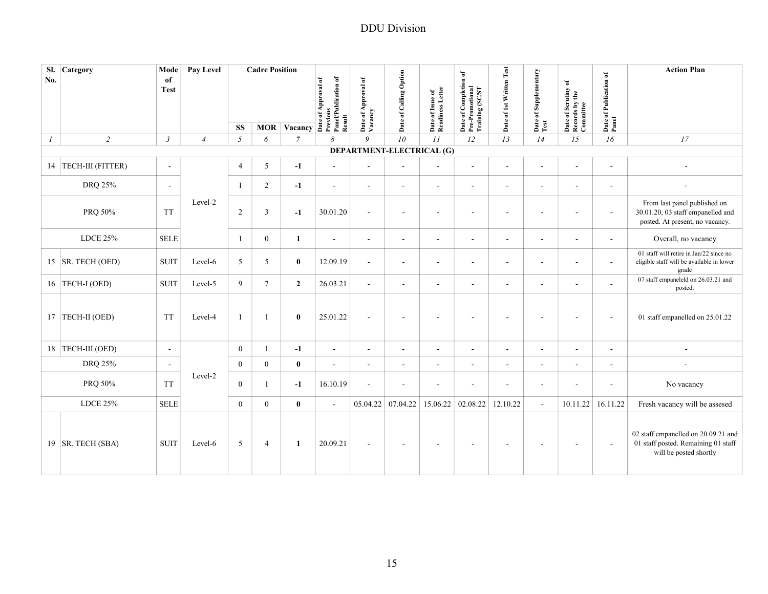| Sl.<br>Category<br>No.             | Mode<br>of<br><b>Test</b> | Pay Level      |                | <b>Cadre Position</b> | MOR Vacancy and the Value of the Contract of the Contract of the Contract of the Contract of the Contract of the Contract of the Contract of the Contract of the Contract of the Contract of the Contract of the Contract of t | Previous<br>Panel/Publication of<br>Result | Date of Approval of<br>Vacancy | Date of Calling Option    | Date of Issue of<br>Readiness Letter | Date of Completion of<br>Pre-Promotional<br>Training (SC/ST | Date of 1st Written Test | Date of Supplementary<br>Test | Date of Scrutiny of<br>Records by the<br>Committee | Date of Publication of<br>Panel | <b>Action Plan</b>                                                                                   |
|------------------------------------|---------------------------|----------------|----------------|-----------------------|--------------------------------------------------------------------------------------------------------------------------------------------------------------------------------------------------------------------------------|--------------------------------------------|--------------------------------|---------------------------|--------------------------------------|-------------------------------------------------------------|--------------------------|-------------------------------|----------------------------------------------------|---------------------------------|------------------------------------------------------------------------------------------------------|
|                                    |                           |                | <b>SS</b>      |                       |                                                                                                                                                                                                                                |                                            |                                |                           |                                      |                                                             |                          |                               |                                                    |                                 |                                                                                                      |
| $\overline{2}$<br>$\boldsymbol{l}$ | $\mathfrak{Z}$            | $\overline{4}$ | 5              | 6                     | $\overline{7}$                                                                                                                                                                                                                 | 8                                          | $\overline{Q}$                 | 10                        | II                                   | 12                                                          | 13                       | 14                            | 15                                                 | 16                              | 17                                                                                                   |
|                                    |                           |                |                |                       |                                                                                                                                                                                                                                |                                            |                                | DEPARTMENT-ELECTRICAL (G) |                                      |                                                             |                          |                               |                                                    |                                 |                                                                                                      |
| TECH-III (FITTER)<br>14            | $\sim$                    |                | $\overline{4}$ | 5                     | $-1$                                                                                                                                                                                                                           | $\sim$                                     | $\sim$                         | $\sim$                    | $\blacksquare$                       | $\sim$                                                      | $\blacksquare$           | $\sim$                        | $\blacksquare$                                     | $\blacksquare$                  |                                                                                                      |
| <b>DRQ 25%</b>                     | $\sim$                    |                | $\mathbf{1}$   | $\overline{c}$        | $-1$                                                                                                                                                                                                                           | $\sim$                                     | $\sim$                         | $\sim$                    | $\sim$                               | $\sim$                                                      | $\sim$                   | $\sim$                        | $\sim$                                             | $\sim$                          |                                                                                                      |
| PRQ 50%                            | <b>TT</b>                 | Level-2        | $\sqrt{2}$     | $\mathfrak{Z}$        | $-1$                                                                                                                                                                                                                           | 30.01.20                                   | $\sim$                         | $\overline{\phantom{a}}$  | $\overline{\phantom{a}}$             | $\overline{a}$                                              | $\sim$                   |                               | $\overline{\phantom{a}}$                           | $\sim$                          | From last panel published on<br>30.01.20, 03 staff empanelled and<br>posted. At present, no vacancy. |
| <b>LDCE 25%</b>                    | <b>SELE</b>               |                | $\mathbf{1}$   | $\mathbf{0}$          | $\mathbf{1}$                                                                                                                                                                                                                   | $\sim$                                     | $\sim$                         | $\sim$                    | $\sim$                               | $\sim$                                                      | $\sim$                   | $\sim$                        | $\sim$                                             | $\sim$                          | Overall, no vacancy                                                                                  |
| 15 $ $ SR. TECH (OED)              | <b>SUIT</b>               | Level-6        | 5              | 5                     | $\bf{0}$                                                                                                                                                                                                                       | 12.09.19                                   | $\sim$                         | $\overline{\phantom{a}}$  | $\sim$                               | ÷,                                                          | $\sim$                   | $\sim$                        | $\sim$                                             | $\sim$                          | 01 staff will retire in Jan/22 since no<br>eligible staff will be available in lower<br>grade        |
| 16 TECH-I (OED)                    | <b>SUIT</b>               | Level-5        | 9              | $\overline{7}$        | $\overline{2}$                                                                                                                                                                                                                 | 26.03.21                                   | $\sim$                         | $\overline{\phantom{a}}$  | $\sim$                               | $\blacksquare$                                              | ÷,                       | $\sim$                        | $\blacksquare$                                     | ä,                              | 07 staff empaneleld on 26.03.21 and<br>posted.                                                       |
| 17 TECH-II (OED)                   | <b>TT</b>                 | Level-4        | $\mathbf{1}$   | -1                    | $\bf{0}$                                                                                                                                                                                                                       | 25.01.22                                   | $\sim$                         | $\overline{\phantom{a}}$  |                                      |                                                             |                          |                               |                                                    | $\sim$                          | 01 staff empanelled on 25.01.22                                                                      |
| 18 TECH-III (OED)                  | $\overline{\phantom{a}}$  |                | $\overline{0}$ | $\mathbf{1}$          | $-1$                                                                                                                                                                                                                           | $\sim$                                     | $\overline{\phantom{a}}$       | $\overline{\phantom{a}}$  | $\blacksquare$                       | ÷,                                                          | $\overline{\phantom{a}}$ | $\sim$                        | $\sim$                                             | $\sim$                          | $\blacksquare$                                                                                       |
| DRQ 25%                            | $\sim$                    |                | $\Omega$       | $\mathbf{0}$          | $\bf{0}$                                                                                                                                                                                                                       | $\mathbf{r}$                               | $\sim$                         | $\sim$                    | $\sim$                               | $\overline{\phantom{a}}$                                    | $\sim$                   | $\sim$                        | $\sim$                                             | $\sim$                          |                                                                                                      |
| PRQ 50%                            | <b>TT</b>                 | Level-2        | $\mathbf{0}$   | 1                     | $-1$                                                                                                                                                                                                                           | 16.10.19                                   | $\sim$                         | $\overline{\phantom{a}}$  | $\sim$                               | $\sim$                                                      | $\overline{\phantom{a}}$ | $\sim$                        | $\overline{\phantom{a}}$                           | $\overline{\phantom{a}}$        | No vacancy                                                                                           |
| <b>LDCE 25%</b>                    | <b>SELE</b>               |                | $\mathbf{0}$   | $\mathbf{0}$          | $\bf{0}$                                                                                                                                                                                                                       | $\sim$                                     | 05.04.22                       | 07.04.22                  | 15.06.22                             | 02.08.22                                                    | 12.10.22                 | $\sim$                        | 10.11.22                                           | 16.11.22                        | Fresh vacancy will be assesed                                                                        |
| 19   SR. TECH (SBA)                | <b>SUIT</b>               | Level-6        | 5              | $\overline{4}$        | 1                                                                                                                                                                                                                              | 20.09.21                                   | $\sim$                         | $\overline{\phantom{a}}$  | $\sim$                               | $\overline{\phantom{a}}$                                    | $\overline{\phantom{a}}$ |                               | $\overline{\phantom{a}}$                           | $\sim$                          | 02 staff empanelled on 20.09.21 and<br>01 staff posted. Remaining 01 staff<br>will be posted shortly |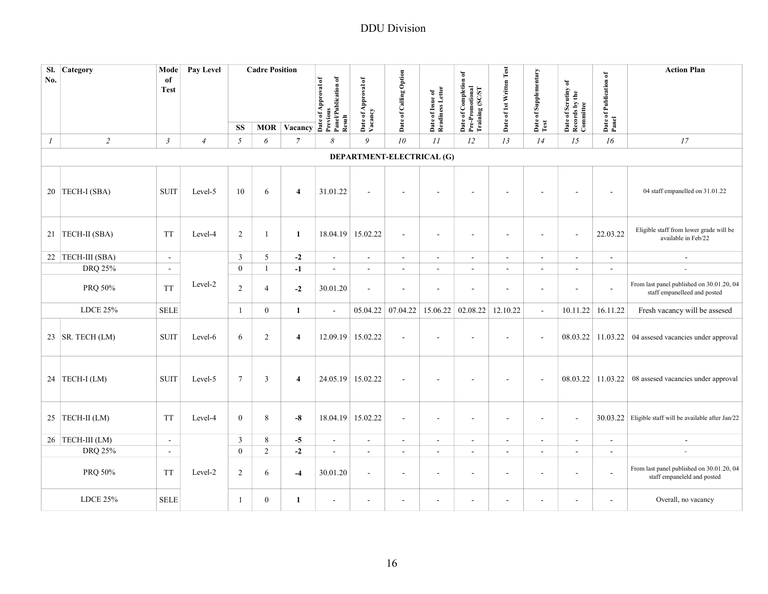| SI.<br>No.       | Category             | Mode<br>of<br><b>Test</b> | Pay Level      |                  | <b>Cadre Position</b> |                         | MOR Vacancy $\overrightarrow{AB}$ $\overrightarrow{BC}$ $\overrightarrow{AB}$ $\overrightarrow{BC}$ $\overrightarrow{BC}$ $\overrightarrow{BC}$ $\overrightarrow{BC}$ $\overrightarrow{BC}$ $\overrightarrow{BC}$ $\overrightarrow{BC}$ $\overrightarrow{BC}$ $\overrightarrow{BC}$ $\overrightarrow{BC}$ $\overrightarrow{BC}$ $\overrightarrow{BC}$ $\overrightarrow{BC}$ $\overrightarrow{BC}$ $\overrightarrow{BC}$ $\overrightarrow{BC}$ $\overrightarrow{BC}$ $\overrightarrow{BC}$ $\overrightarrow{BC}$ $\overrightarrow{BC}$ $\$ | Date of Approval of<br>Vacancy | Date of Calling Option    | Date of Issue of<br>Readiness Letter | of Completion of<br>Date of Completion<br>Pre-Promotional<br>Training (SC/ST | Date of 1st Written Test | Date of Supplementary    | Date of Scrutiny of<br>Records by the<br>Committee | Date of Publication of<br>Panel | <b>Action Plan</b>                                                        |
|------------------|----------------------|---------------------------|----------------|------------------|-----------------------|-------------------------|-------------------------------------------------------------------------------------------------------------------------------------------------------------------------------------------------------------------------------------------------------------------------------------------------------------------------------------------------------------------------------------------------------------------------------------------------------------------------------------------------------------------------------------------|--------------------------------|---------------------------|--------------------------------------|------------------------------------------------------------------------------|--------------------------|--------------------------|----------------------------------------------------|---------------------------------|---------------------------------------------------------------------------|
|                  |                      |                           |                | <b>SS</b>        |                       |                         |                                                                                                                                                                                                                                                                                                                                                                                                                                                                                                                                           |                                |                           |                                      |                                                                              |                          | Test                     |                                                    |                                 |                                                                           |
| $\boldsymbol{l}$ | $\sqrt{2}$           | $\mathfrak{Z}$            | $\overline{4}$ | $\sqrt{2}$       | 6                     | $\overline{7}$          | 8                                                                                                                                                                                                                                                                                                                                                                                                                                                                                                                                         | 9                              | 10                        | $\cal II$                            | 12                                                                           | 13                       | 14                       | 15                                                 | 16                              | 17                                                                        |
|                  |                      |                           |                |                  |                       |                         |                                                                                                                                                                                                                                                                                                                                                                                                                                                                                                                                           |                                | DEPARTMENT-ELECTRICAL (G) |                                      |                                                                              |                          |                          |                                                    |                                 |                                                                           |
|                  | 20 TECH-I (SBA)      | <b>SUIT</b>               | Level-5        | 10               | 6                     | $\overline{4}$          | 31.01.22                                                                                                                                                                                                                                                                                                                                                                                                                                                                                                                                  |                                | $\blacksquare$            |                                      |                                                                              |                          |                          |                                                    | $\sim$                          | 04 staff empanelled on 31.01.22                                           |
|                  | 21 TECH-II (SBA)     | <b>TT</b>                 | Level-4        | 2                | 1                     | $\mathbf{1}$            | 18.04.19                                                                                                                                                                                                                                                                                                                                                                                                                                                                                                                                  | 15.02.22                       | $\blacksquare$            | $\overline{\phantom{a}}$             | ä,                                                                           |                          | $\overline{\phantom{a}}$ |                                                    | 22.03.22                        | Eligible staff from lower grade will be<br>available in Feb/22            |
|                  | 22   TECH-III (SBA)  | $\blacksquare$            |                | $\mathfrak{Z}$   | 5                     | $-2$                    | $\blacksquare$                                                                                                                                                                                                                                                                                                                                                                                                                                                                                                                            | $\mathcal{L}_{\mathcal{A}}$    | $\blacksquare$            | $\blacksquare$                       | $\overline{\phantom{a}}$                                                     | $\sim$                   | $\blacksquare$           | $\blacksquare$                                     | $\overline{\phantom{a}}$        | $\sim$                                                                    |
|                  | DRQ 25%              | $\sim$                    |                | $\mathbf{0}$     | $\mathbf{1}$          | $-1$                    | $\sim$                                                                                                                                                                                                                                                                                                                                                                                                                                                                                                                                    | $\sim$                         | $\sim$                    | $\overline{a}$                       | $\sim$                                                                       |                          | $\sim$                   | $\sim$                                             | $\sim$                          | ×.                                                                        |
|                  | PRQ 50%              | <b>TT</b>                 | Level-2        | $\sqrt{2}$       | 4                     | $-2$                    | 30.01.20                                                                                                                                                                                                                                                                                                                                                                                                                                                                                                                                  | $\sim$                         | $\overline{a}$            | ÷,                                   | ÷,                                                                           |                          | ÷,                       | $\sim$                                             | $\blacksquare$                  | From last panel published on 30.01.20, 04<br>staff empanelleed and posted |
|                  | <b>LDCE 25%</b>      | <b>SELE</b>               |                | $\mathbf{1}$     | $\overline{0}$        | $\mathbf{1}$            | $\overline{\phantom{a}}$                                                                                                                                                                                                                                                                                                                                                                                                                                                                                                                  | 05.04.22                       | 07.04.22                  | 15.06.22                             | 02.08.22                                                                     | 12.10.22                 | ä,                       | 10.11.22                                           | 16.11.22                        | Fresh vacancy will be assesed                                             |
|                  | 23   SR. TECH $(LM)$ | <b>SUIT</b>               | Level-6        | 6                | 2                     | $\overline{\mathbf{4}}$ | 12.09.19                                                                                                                                                                                                                                                                                                                                                                                                                                                                                                                                  | 15.02.22                       | $\overline{\phantom{a}}$  | $\overline{\phantom{a}}$             |                                                                              |                          | $\sim$                   |                                                    | 08.03.22 11.03.22               | 04 assesed vacancies under approval                                       |
|                  | 24 TECH-I (LM)       | <b>SUIT</b>               | Level-5        | $\boldsymbol{7}$ | $\mathfrak{Z}$        | $\overline{\mathbf{4}}$ | 24.05.19 15.02.22                                                                                                                                                                                                                                                                                                                                                                                                                                                                                                                         |                                | $\overline{\phantom{a}}$  | $\blacksquare$                       | $\overline{a}$                                                               | $\overline{\phantom{a}}$ | $\sim$                   | 08.03.22                                           | 11.03.22                        | 08 assesed vacancies under approval                                       |
|                  | 25 TECH-II (LM)      | <b>TT</b>                 | Level-4        | $\mathbf{0}$     | 8                     | $-8$                    | 18.04.19                                                                                                                                                                                                                                                                                                                                                                                                                                                                                                                                  | 15.02.22                       | $\sim$                    | $\overline{\phantom{a}}$             | ÷.                                                                           | $\sim$                   | $\sim$                   | $\overline{a}$                                     | 30.03.22                        | Eligible staff will be available after Jan/22                             |
|                  | 26 TECH-III (LM)     | $\blacksquare$            |                | $\mathbf{3}$     | 8                     | $-5$                    | $\blacksquare$                                                                                                                                                                                                                                                                                                                                                                                                                                                                                                                            | $\sim$                         | $\blacksquare$            | $\blacksquare$                       | $\sim$                                                                       | $\sim$                   | $\sim$                   | $\sim$                                             | $\blacksquare$                  | $\overline{\phantom{a}}$                                                  |
|                  | DRQ 25%              | $\blacksquare$            |                | $\mathbf{0}$     | $\overline{c}$        | $-2$                    | $\sim$                                                                                                                                                                                                                                                                                                                                                                                                                                                                                                                                    | $\mathcal{L}_{\mathcal{A}}$    | $\sim$                    | $\blacksquare$                       | $\sim$                                                                       | $\sim$                   | $\blacksquare$           | $\overline{\phantom{a}}$                           | $\overline{\phantom{a}}$        |                                                                           |
|                  | PRQ 50%              | <b>TT</b>                 | Level-2        | 2                | 6                     | $-4$                    | 30.01.20                                                                                                                                                                                                                                                                                                                                                                                                                                                                                                                                  | $\sim$                         | $\blacksquare$            | $\blacksquare$                       | $\sim$                                                                       | $\sim$                   | $\sim$                   | $\sim$                                             | $\sim$                          | From last panel published on 30.01.20, 04<br>staff empaneleld and posted  |
|                  | <b>LDCE 25%</b>      | <b>SELE</b>               |                | 1                | $\overline{0}$        | $\mathbf{1}$            | $\sim$                                                                                                                                                                                                                                                                                                                                                                                                                                                                                                                                    | $\sim$                         | $\sim$                    | $\overline{\phantom{a}}$             | $\sim$                                                                       | $\sim$                   | $\sim$                   | $\sim$                                             | $\sim$                          | Overall, no vacancy                                                       |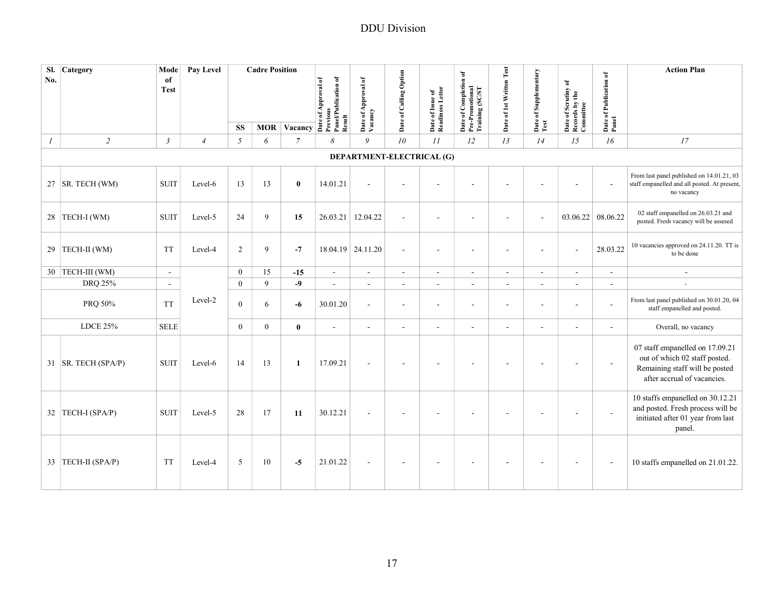| SI.<br>No.    | Category              | Mode<br>of<br><b>Test</b> | Pay Level      |                | <b>Cadre Position</b> | MOR Vacancy $\overline{a}$ $\overline{b}$ $\overline{c}$ $\overline{d}$ $\overline{c}$ $\overline{d}$ $\overline{c}$ $\overline{d}$ $\overline{c}$ $\overline{d}$ $\overline{c}$ $\overline{d}$ $\overline{c}$ $\overline{d}$ $\overline{c}$ $\overline{d}$ $\overline{c}$ $\overline{d}$ $\overline{c}$ $\overline{d}$ $\overline{c}$ $\overline{d}$ $\overline{c}$ $\$ | Result                   | Date of Approval of<br>Vacancy | Date of Calling Option | Date of Issue of<br>Readiness Letter | Date of Completion of<br>Pre-Promotional<br>Training (SC/ST | Date of 1st Written Test | Date of Supplementary<br>Test | Date of Scrutiny of<br>Records by the<br>Committee | Date of Publication of<br>Panel | <b>Action Plan</b>                                                                                                                |
|---------------|-----------------------|---------------------------|----------------|----------------|-----------------------|--------------------------------------------------------------------------------------------------------------------------------------------------------------------------------------------------------------------------------------------------------------------------------------------------------------------------------------------------------------------------|--------------------------|--------------------------------|------------------------|--------------------------------------|-------------------------------------------------------------|--------------------------|-------------------------------|----------------------------------------------------|---------------------------------|-----------------------------------------------------------------------------------------------------------------------------------|
|               |                       |                           |                | <b>SS</b>      |                       |                                                                                                                                                                                                                                                                                                                                                                          |                          |                                |                        |                                      |                                                             |                          |                               |                                                    |                                 |                                                                                                                                   |
| $\mathcal{I}$ | $\overline{2}$        | $\mathfrak{Z}$            | $\overline{4}$ | $\mathfrak{H}$ | 6                     | $\overline{7}$                                                                                                                                                                                                                                                                                                                                                           | 8                        | 9                              | 10                     | 11                                   | 12                                                          | 13                       | 14                            | 15                                                 | 16                              | 17                                                                                                                                |
|               |                       |                           |                |                |                       |                                                                                                                                                                                                                                                                                                                                                                          |                          | DEPARTMENT-ELECTRICAL (G)      |                        |                                      |                                                             |                          |                               |                                                    |                                 |                                                                                                                                   |
|               | 27   SR. TECH (WM)    | <b>SUIT</b>               | Level-6        | 13             | 13                    | $\bf{0}$                                                                                                                                                                                                                                                                                                                                                                 | 14.01.21                 |                                |                        |                                      |                                                             |                          |                               |                                                    |                                 | From last panel published on 14.01.21, 03<br>staff empanelled and all posted. At present,<br>no vacancy                           |
|               | 28 TECH-I (WM)        | <b>SUIT</b>               | Level-5        | 24             | 9                     | 15                                                                                                                                                                                                                                                                                                                                                                       | 26.03.21                 | 12.04.22                       | $\sim$                 | $\sim$                               | ä,                                                          | ٠                        | $\sim$                        | 03.06.22                                           | 08.06.22                        | 02 staff empanelled on 26.03.21 and<br>posted. Fresh vacancy will be assesed                                                      |
| 29            | TECH-II (WM)          | <b>TT</b>                 | Level-4        | 2              | 9                     | $-7$                                                                                                                                                                                                                                                                                                                                                                     |                          | 18.04.19 24.11.20              | $\sim$                 | $\overline{\phantom{a}}$             | ٠                                                           | $\overline{a}$           |                               | ÷.                                                 | 28.03.22                        | 10 vacancies approved on 24.11.20. TT is<br>to be done                                                                            |
|               | 30 TECH-III (WM)      | $\sim$                    |                | $\overline{0}$ | 15                    | $-15$                                                                                                                                                                                                                                                                                                                                                                    | $\omega$                 | $\mathcal{L}^{\mathcal{L}}$    | $\sim$                 | $\omega$                             | $\overline{\phantom{a}}$                                    | $\overline{a}$           | $\mathbf{r}$                  | $\sim$                                             | L,                              | $\sim$                                                                                                                            |
|               | DRQ 25%               | $\sim$                    |                | $\mathbf{0}$   | 9                     | $-9$                                                                                                                                                                                                                                                                                                                                                                     | $\overline{a}$           | $\mathcal{L}^{\mathcal{L}}$    | $\sim$                 | $\overline{\phantom{a}}$             | $\overline{\phantom{a}}$                                    | ä,                       |                               | $\sim$                                             | $\overline{a}$                  |                                                                                                                                   |
|               | PRQ 50%               | <b>TT</b>                 | Level-2        | $\overline{0}$ | 6                     | -6                                                                                                                                                                                                                                                                                                                                                                       | 30.01.20                 | $\sim$                         | $\sim$                 | $\blacksquare$                       | ä,                                                          | $\overline{\phantom{a}}$ | $\sim$                        | $\blacksquare$                                     | $\sim$                          | From last panel published on 30.01.20, 04<br>staff empanelled and posted.                                                         |
|               | <b>LDCE 25%</b>       | <b>SELE</b>               |                | $\overline{0}$ | $\theta$              | $\bf{0}$                                                                                                                                                                                                                                                                                                                                                                 | $\overline{\phantom{a}}$ | $\sim$                         | $\blacksquare$         | $\blacksquare$                       | $\sim$                                                      | ÷,                       | $\sim$                        | $\sim$                                             | ÷,                              | Overall, no vacancy                                                                                                               |
|               | 31   SR. TECH (SPA/P) | <b>SUIT</b>               | Level-6        | 14             | 13                    | $\mathbf{1}$                                                                                                                                                                                                                                                                                                                                                             | 17.09.21                 | $\sim$                         | $\overline{a}$         | $\overline{a}$                       | $\sim$                                                      | $\sim$                   |                               | $\overline{\phantom{a}}$                           | $\sim$                          | 07 staff empanelled on 17.09.21<br>out of which 02 staff posted.<br>Remaining staff will be posted<br>after accrual of vacancies. |
|               | 32 TECH-I (SPA/P)     | <b>SUIT</b>               | Level-5        | 28             | 17                    | 11                                                                                                                                                                                                                                                                                                                                                                       | 30.12.21                 |                                |                        |                                      |                                                             |                          |                               | ÷.                                                 | $\sim$                          | 10 staffs empanelled on 30.12.21<br>and posted. Fresh process will be<br>initiated after 01 year from last<br>panel.              |
|               | 33 TECH-II (SPA/P)    | <b>TT</b>                 | Level-4        | 5              | 10                    | $-5$                                                                                                                                                                                                                                                                                                                                                                     | 21.01.22                 |                                |                        |                                      |                                                             |                          |                               |                                                    |                                 | 10 staffs empanelled on 21.01.22.                                                                                                 |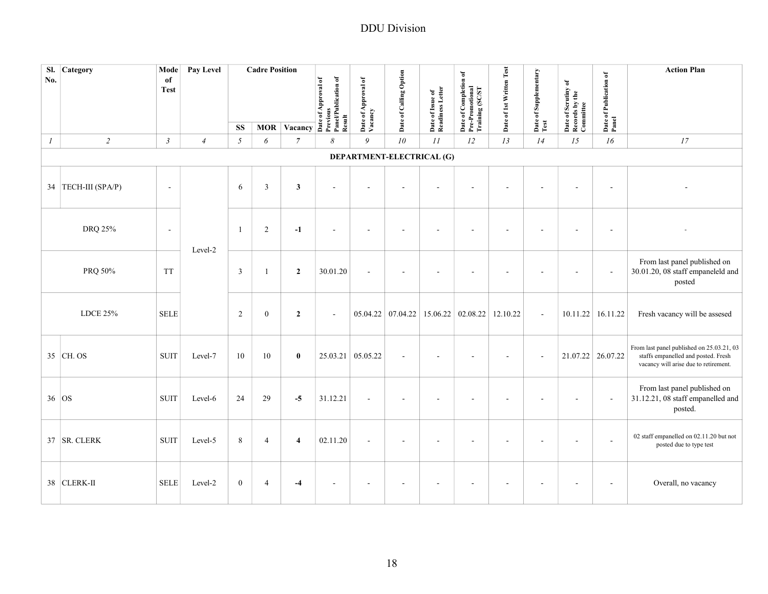| No.      | Sl. Category        | Mode<br>of<br><b>Test</b> | Pay Level      |                  | <b>Cadre Position</b> | MOR Vacancy As Agreed Materials of Agriculturation of MOR Vacancy As Agriculturation of Agriculturation of Agriculturation of Agriculturation of Agriculturation of Agriculturation of Agriculturation of Agriculturation of A |                | Date of Approval of<br>Vacancy | Date of Calling Option    | Date of Issue of<br>Readiness Letter | Date of Completion of<br>Pre-Promotional<br>Training (SC/ST | Date of 1st Written Test | Date of Supplementary    | Date of Scrutiny of<br>Records by the<br>Committee | Date of Publication of<br>Panel | <b>Action Plan</b>                                                                                                        |
|----------|---------------------|---------------------------|----------------|------------------|-----------------------|--------------------------------------------------------------------------------------------------------------------------------------------------------------------------------------------------------------------------------|----------------|--------------------------------|---------------------------|--------------------------------------|-------------------------------------------------------------|--------------------------|--------------------------|----------------------------------------------------|---------------------------------|---------------------------------------------------------------------------------------------------------------------------|
|          |                     |                           |                | <b>SS</b>        |                       |                                                                                                                                                                                                                                |                |                                |                           |                                      |                                                             |                          | Test                     |                                                    |                                 |                                                                                                                           |
| $\cal I$ | $\sqrt{2}$          | $\mathfrak{Z}$            | $\overline{4}$ | $\sqrt{2}$       | 6                     | $\overline{7}$                                                                                                                                                                                                                 | 8              | 9                              | 10                        | $\cal II$                            | 12                                                          | 13                       | 14                       | 15                                                 | 16                              | 17                                                                                                                        |
|          |                     |                           |                |                  |                       |                                                                                                                                                                                                                                |                |                                | DEPARTMENT-ELECTRICAL (G) |                                      |                                                             |                          |                          |                                                    |                                 |                                                                                                                           |
|          | 34 TECH-III (SPA/P) | $\sim$                    |                | 6                | $\overline{3}$        | $\mathbf{3}$                                                                                                                                                                                                                   | $\overline{a}$ |                                |                           | ÷.                                   |                                                             |                          |                          |                                                    | $\sim$                          |                                                                                                                           |
|          | DRQ 25%             | $\overline{\phantom{a}}$  |                | -1               | 2                     | $-1$                                                                                                                                                                                                                           |                |                                |                           |                                      |                                                             |                          |                          |                                                    |                                 |                                                                                                                           |
|          | PRQ 50%             | <b>TT</b>                 | Level-2        | $\overline{3}$   | $\mathbf{1}$          | $\overline{2}$                                                                                                                                                                                                                 | 30.01.20       | $\sim$                         | ÷,                        | ä,                                   | ٠                                                           |                          |                          |                                                    | $\sim$                          | From last panel published on<br>30.01.20, 08 staff empaneleld and<br>posted                                               |
|          | <b>LDCE 25%</b>     | <b>SELE</b>               |                | 2                | $\mathbf{0}$          | $\overline{2}$                                                                                                                                                                                                                 | $\sim$         |                                | $05.04.22$ 07.04.22       | 15.06.22 02.08.22                    |                                                             | 12.10.22                 | $\mathbf{1}$             |                                                    | 10.11.22 16.11.22               | Fresh vacancy will be assesed                                                                                             |
|          | 35 CH. OS           | <b>SUIT</b>               | Level-7        | 10               | 10                    | $\bf{0}$                                                                                                                                                                                                                       |                | 25.03.21 05.05.22              | $\blacksquare$            | ٠                                    |                                                             |                          | $\overline{\phantom{a}}$ | 21.07.22 26.07.22                                  |                                 | From last panel published on 25.03.21, 03<br>staffs empanelled and posted. Fresh<br>vacancy will arise due to retirement. |
| 36 OS    |                     | <b>SUIT</b>               | Level-6        | 24               | 29                    | $-5$                                                                                                                                                                                                                           | 31.12.21       |                                | L,                        | $\overline{\phantom{a}}$             |                                                             |                          |                          |                                                    | $\sim$                          | From last panel published on<br>31.12.21, 08 staff empanelled and<br>posted.                                              |
|          | 37 SR. CLERK        | <b>SUIT</b>               | Level-5        | 8                | $\overline{4}$        | $\overline{\mathbf{4}}$                                                                                                                                                                                                        | 02.11.20       |                                |                           |                                      |                                                             |                          |                          |                                                    |                                 | 02 staff empanelled on 02.11.20 but not<br>posted due to type test                                                        |
|          | 38 CLERK-II         | <b>SELE</b>               | Level-2        | $\boldsymbol{0}$ | $\overline{4}$        | $-4$                                                                                                                                                                                                                           |                |                                | ä,                        | $\blacksquare$                       | $\sim$                                                      |                          |                          |                                                    | $\sim$                          | Overall, no vacancy                                                                                                       |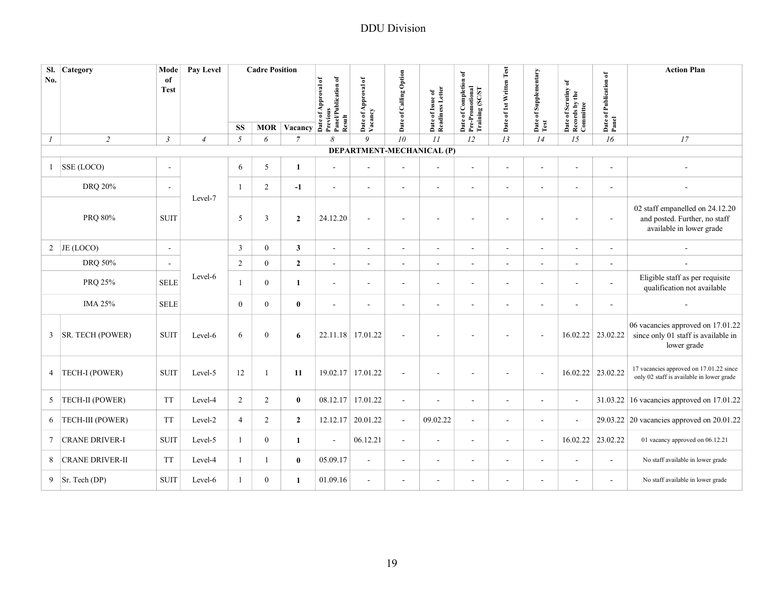| SI.<br>Category                 | Mode              | Pay Level      |                | <b>Cadre Position</b> |                    |                                                         |                                |                          |                                      |                                                             |                          |                               |                                                    |                                 | <b>Action Plan</b>                                                                           |
|---------------------------------|-------------------|----------------|----------------|-----------------------|--------------------|---------------------------------------------------------|--------------------------------|--------------------------|--------------------------------------|-------------------------------------------------------------|--------------------------|-------------------------------|----------------------------------------------------|---------------------------------|----------------------------------------------------------------------------------------------|
| No.                             | of<br><b>Test</b> |                |                |                       |                    | Previous<br>Panel/Publication of<br>Date of Approval of | Date of Approval of<br>Vacancy | Date of Calling Option   | Date of Issue of<br>Readiness Letter | Date of Completion of<br>Pre-Promotional<br>Training (SC/ST | Date of 1st Written Test | Date of Supplementary<br>Test | Date of Scrutiny of<br>Records by the<br>Committee | Date of Publication of<br>Panel |                                                                                              |
|                                 |                   |                |                |                       |                    |                                                         |                                |                          |                                      |                                                             |                          |                               |                                                    |                                 |                                                                                              |
|                                 |                   |                | <b>SS</b>      |                       | <b>MOR Vacancy</b> | Result                                                  |                                |                          |                                      |                                                             |                          |                               |                                                    |                                 |                                                                                              |
| $\overline{2}$<br>$\mathcal{I}$ | $\mathfrak{Z}$    | $\overline{4}$ | 5              | 6                     | 7                  | $\mathcal{S}_{0}$                                       | 9                              | 10                       | II                                   | 12                                                          | 13                       | 14                            | 15                                                 | 16                              | 17                                                                                           |
|                                 |                   |                |                |                       |                    |                                                         | DEPARTMENT-MECHANICAL (P)      |                          |                                      |                                                             |                          |                               |                                                    |                                 |                                                                                              |
| SSE (LOCO)<br>$\mathbf{1}$      | $\sim$            |                | 6              | 5                     | $\mathbf{1}$       | $\sim$                                                  | $\overline{\phantom{a}}$       |                          | $\sim$                               | $\sim$                                                      | $\sim$                   | $\sim$                        |                                                    | $\sim$                          |                                                                                              |
| <b>DRQ 20%</b>                  | $\sim$            |                | $\mathbf{1}$   | $\overline{c}$        | $-1$               | $\sim$                                                  | $\sim$                         | $\sim$                   | $\sim$                               | $\sim$                                                      | $\sim$                   | $\sim$                        | $\sim$                                             | $\sim$                          |                                                                                              |
| PRQ 80%                         | <b>SUIT</b>       | Level-7        | 5              | $\mathfrak{Z}$        | $\overline{2}$     | 24.12.20                                                | $\sim$                         |                          | $\sim$                               |                                                             | ÷                        |                               |                                                    | $\sim$                          | 02 staff empanelled on 24.12.20<br>and posted. Further, no staff<br>available in lower grade |
| $\overline{2}$<br>JE (LOCO)     | $\blacksquare$    |                | 3              | $\boldsymbol{0}$      | $\mathbf{3}$       | $\sim$                                                  | $\sim$                         | $\sim$                   | $\sim$                               | ÷,                                                          | $\blacksquare$           | $\sim$                        | $\sim$                                             | $\blacksquare$                  |                                                                                              |
| DRQ 50%                         | $\blacksquare$    |                | 2              | $\boldsymbol{0}$      | $\overline{2}$     | $\sim$                                                  | $\sim$                         | $\sim$                   | $\sim$                               | $\overline{\phantom{a}}$                                    | ÷,                       | $\sim$                        | $\mathbf{r}$                                       | $\sim$                          |                                                                                              |
| PRQ 25%                         | <b>SELE</b>       | Level-6        | 1              | $\mathbf{0}$          | 1                  | $\sim$                                                  | $\sim$                         | $\overline{\phantom{a}}$ | $\blacksquare$                       | $\overline{\phantom{a}}$                                    | $\overline{\phantom{a}}$ | $\sim$                        | $\overline{\phantom{a}}$                           | $\blacksquare$                  | Eligible staff as per requisite<br>qualification not available                               |
| IMA 25%                         | <b>SELE</b>       |                | $\mathbf{0}$   | $\mathbf{0}$          | $\bf{0}$           | $\overline{\phantom{a}}$                                | $\overline{\phantom{a}}$       |                          | $\blacksquare$                       | ÷,                                                          | $\overline{\phantom{a}}$ |                               | $\sim$                                             |                                 |                                                                                              |
| SR. TECH (POWER)<br>3           | <b>SUIT</b>       | Level-6        | 6              | $\boldsymbol{0}$      | 6                  |                                                         | 22.11.18 17.01.22              | $\sim$                   |                                      |                                                             | $\overline{a}$           | $\overline{a}$                | 16.02.22                                           | 23.02.22                        | 06 vacancies approved on 17.01.22<br>since only 01 staff is available in<br>lower grade      |
| TECH-I (POWER)<br>4             | <b>SUIT</b>       | Level-5        | 12             | 1                     | 11                 | 19.02.17                                                | 17.01.22                       | $\overline{\phantom{a}}$ | $\sim$                               | $\overline{\phantom{a}}$                                    | $\overline{a}$           | $\sim$                        | 16.02.22                                           | 23.02.22                        | 17 vacancies approved on 17.01.22 since<br>only 02 staff is available in lower grade         |
| TECH-II (POWER)<br>5            | <b>TT</b>         | Level-4        | 2              | 2                     | $\bf{0}$           | 08.12.17                                                | 17.01.22                       | $\sim$                   | $\sim$                               | $\sim$                                                      | $\overline{\phantom{a}}$ | $\sim$                        | $\sim$                                             |                                 | 31.03.22 16 vacancies approved on 17.01.22                                                   |
| <b>TECH-III (POWER)</b><br>6    | <b>TT</b>         | Level-2        | $\overline{4}$ | $\overline{2}$        | $\overline{2}$     | 12.12.17                                                | 20.01.22                       | $\sim$                   | 09.02.22                             | $\sim$                                                      | $\overline{\phantom{a}}$ | $\sim$                        | $\sim$                                             |                                 | 29.03.22 20 vacancies approved on 20.01.22                                                   |
| <b>CRANE DRIVER-I</b><br>7      | <b>SUIT</b>       | Level-5        | $\mathbf{1}$   | $\boldsymbol{0}$      | $\mathbf{1}$       | $\sim$                                                  | 06.12.21                       | $\sim$                   | $\sim$                               | $\overline{\phantom{a}}$                                    | $\overline{\phantom{a}}$ | $\sim$                        | 16.02.22                                           | 23.02.22                        | 01 vacancy approved on 06.12.21                                                              |
| <b>CRANE DRIVER-II</b><br>8     | <b>TT</b>         | Level-4        | $\mathbf{1}$   | $\mathbf{1}$          | $\mathbf{0}$       | 05.09.17                                                | $\sim$                         | $\overline{\phantom{a}}$ | $\sim$                               | $\blacksquare$                                              | $\overline{\phantom{a}}$ |                               | $\overline{a}$                                     | $\overline{\phantom{a}}$        | No staff available in lower grade                                                            |
| Sr. Tech (DP)<br>9              | <b>SUIT</b>       | Level-6        | $\mathbf{1}$   | $\boldsymbol{0}$      | 1                  | 01.09.16                                                | $\sim$                         | $\overline{\phantom{a}}$ | $\sim$                               | $\overline{\phantom{a}}$                                    | $\sim$                   |                               | $\sim$                                             | $\sim$                          | No staff available in lower grade                                                            |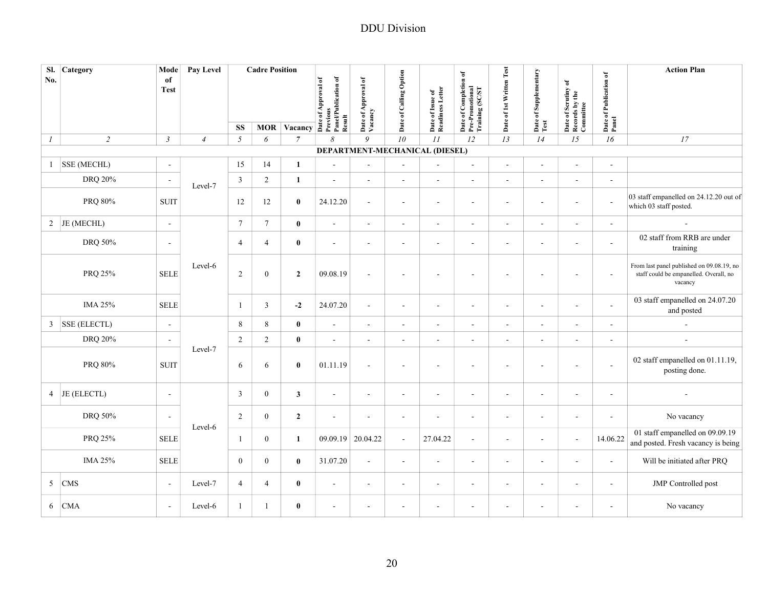|                | Sl. Category       | Mode                      | Pay Level      |                  | <b>Cadre Position</b> |                           |                                |                                |                          |                                      |                                                             |                          |                               |                                                    |                                 | <b>Action Plan</b>                                                                             |
|----------------|--------------------|---------------------------|----------------|------------------|-----------------------|---------------------------|--------------------------------|--------------------------------|--------------------------|--------------------------------------|-------------------------------------------------------------|--------------------------|-------------------------------|----------------------------------------------------|---------------------------------|------------------------------------------------------------------------------------------------|
| No.            |                    | of<br><b>Test</b>         |                |                  |                       | MOR Vacancy $\frac{3}{2}$ | Panel/Publication of<br>Result | Date of Approval of<br>Vacancy | Date of Calling Option   | Date of Issue of<br>Readiness Letter | Date of Completion of<br>Pre-Promotional<br>Training (SC/ST | Date of 1st Written Test | Date of Supplementary<br>Test | Date of Scrutiny of<br>Records by the<br>Committee | Date of Publication of<br>Panel |                                                                                                |
| $\mathcal{I}$  | $\sqrt{2}$         | $\mathfrak{Z}$            | $\overline{4}$ | <b>SS</b><br>5   | 6                     | $\overline{7}$            | 8                              | 9                              | $\overline{10}$          | 11                                   | 12                                                          | 13                       | 14                            | 15                                                 | 16                              | 17                                                                                             |
|                |                    |                           |                |                  |                       |                           |                                |                                |                          | DEPARTMENT-MECHANICAL (DIESEL)       |                                                             |                          |                               |                                                    |                                 |                                                                                                |
| $\mathbf{1}$   | <b>SSE (MECHL)</b> | $\blacksquare$            |                | 15               | 14                    | $\mathbf{1}$              | $\overline{\phantom{a}}$       |                                | $\overline{\phantom{a}}$ | $\frac{1}{2}$                        | $\overline{a}$                                              | $\sim$                   | $\blacksquare$                | $\overline{a}$                                     | $\sim$                          |                                                                                                |
|                | DRQ 20%            | $\overline{\phantom{a}}$  |                | $\overline{3}$   | $\overline{c}$        | $\mathbf{1}$              | ÷,                             | $\sim$                         | $\blacksquare$           | $\sim$                               | $\blacksquare$                                              |                          |                               | ÷,                                                 | $\blacksquare$                  |                                                                                                |
|                | PRQ 80%            | <b>SUIT</b>               | Level-7        | 12               | 12                    | $\bf{0}$                  | 24.12.20                       | $\sim$                         | $\sim$                   | $\sim$                               | $\overline{a}$                                              | $\overline{\phantom{a}}$ | $\sim$                        | $\sim$                                             | $\overline{a}$                  | 03 staff empanelled on 24.12.20 out of<br>which 03 staff posted.                               |
|                | 2 JE (MECHL)       | $\blacksquare$            |                | $\boldsymbol{7}$ | $\tau$                | $\bf{0}$                  | $\frac{1}{2}$                  | $\blacksquare$                 | $\blacksquare$           | $\blacksquare$                       | $\overline{\phantom{a}}$                                    | $\blacksquare$           | $\sim$                        | $\blacksquare$                                     | $\blacksquare$                  |                                                                                                |
|                | DRQ 50%            | $\sim$                    |                | 4                | $\overline{4}$        | $\pmb{0}$                 | $\blacksquare$                 | $\sim$                         | $\overline{\phantom{a}}$ | $\blacksquare$                       | $\overline{a}$                                              | $\overline{\phantom{a}}$ | $\overline{\phantom{a}}$      | $\overline{\phantom{a}}$                           | $\sim$                          | 02 staff from RRB are under<br>training                                                        |
|                | PRQ 25%            | <b>SELE</b>               | Level-6        | $\sqrt{2}$       | $\boldsymbol{0}$      | $\overline{2}$            | 09.08.19                       | $\sim$                         | $\sim$                   | $\blacksquare$                       | ÷,                                                          | $\sim$                   | $\sim$                        | $\blacksquare$                                     | $\sim$                          | From last panel published on 09.08.19, no<br>staff could be empanelled. Overall, no<br>vacancy |
|                | IMA 25%            | <b>SELE</b>               |                | 1                | 3                     | $-2$                      | 24.07.20                       | $\sim$                         | $\sim$                   | $\blacksquare$                       | $\blacksquare$                                              | $\sim$                   | $\sim$                        | $\sim$                                             | $\sim$                          | 03 staff empanelled on 24.07.20<br>and posted                                                  |
| $\mathbf{3}$   | SSE (ELECTL)       | $\sim$                    |                | 8                | $\,8\,$               | $\pmb{0}$                 | $\blacksquare$                 | $\sim$                         | $\sim$                   | $\sim$                               | ٠                                                           | $\sim$                   | $\sim$                        | ÷.                                                 | $\blacksquare$                  |                                                                                                |
|                | DRQ 20%            | $\sim$                    |                | $\overline{2}$   | $\overline{c}$        | $\pmb{0}$                 | $\blacksquare$                 | $\sim$                         | $\overline{\phantom{a}}$ | $\blacksquare$                       | $\overline{\phantom{a}}$                                    | $\sim$                   | $\sim$                        | ÷.                                                 | $\sim$                          |                                                                                                |
|                | PRQ 80%            | <b>SUIT</b>               | Level-7        | 6                | 6                     | $\bf{0}$                  | 01.11.19                       | $\sim$                         | $\overline{\phantom{a}}$ | $\blacksquare$                       | ÷,                                                          | $\overline{\phantom{a}}$ | $\overline{\phantom{a}}$      | $\sim$                                             | L.                              | 02 staff empanelled on 01.11.19,<br>posting done.                                              |
| $\overline{4}$ | JE (ELECTL)        | $\sim$                    |                | 3                | $\mathbf{0}$          | $\mathbf{3}$              | $\overline{\phantom{a}}$       | $\sim$                         | $\overline{\phantom{a}}$ | $\overline{\phantom{a}}$             | $\overline{\phantom{a}}$                                    | $\sim$                   | $\sim$                        | $\sim$                                             | $\overline{\phantom{a}}$        |                                                                                                |
|                | DRQ 50%            | $\sim$                    | Level-6        | $\sqrt{2}$       | $\mathbf{0}$          | $\overline{2}$            | $\blacksquare$                 | $\sim$                         | $\overline{\phantom{a}}$ | $\blacksquare$                       | $\overline{\phantom{a}}$                                    | $\overline{\phantom{a}}$ | $\sim$                        | $\blacksquare$                                     | $\sim$                          | No vacancy                                                                                     |
|                | PRQ 25%            | $\operatorname{\bf SELE}$ |                | $\mathbf{1}$     | $\overline{0}$        | $\mathbf{1}$              | 09.09.19                       | 20.04.22                       | $\sim$                   | 27.04.22                             | $\overline{a}$                                              | $\sim$                   | $\sim$                        | $\sim$                                             | 14.06.22                        | 01 staff empanelled on 09.09.19<br>and posted. Fresh vacancy is being                          |
|                | IMA 25%            | <b>SELE</b>               |                | $\mathbf{0}$     | $\mathbf{0}$          | $\bf{0}$                  | 31.07.20                       | $\sim$                         | $\sim$                   | $\sim$                               | $\blacksquare$                                              | $\overline{\phantom{a}}$ | $\sim$                        | $\sim$                                             | $\sim$                          | Will be initiated after PRQ                                                                    |
| 5              | <b>CMS</b>         | $\overline{a}$            | Level-7        | $\overline{4}$   | $\overline{4}$        | $\bf{0}$                  | ÷,                             | $\sim$                         | $\blacksquare$           | $\sim$                               | ÷,                                                          | $\sim$                   | $\sim$                        | $\sim$                                             | $\sim$                          | JMP Controlled post                                                                            |
| 6              | <b>CMA</b>         | $\overline{\phantom{a}}$  | Level-6        | $\mathbf{1}$     | $\mathbf{1}$          | $\bf{0}$                  | $\blacksquare$                 | $\sim$                         | $\blacksquare$           | $\overline{\phantom{a}}$             | $\blacksquare$                                              | $\sim$                   | $\sim$                        | $\blacksquare$                                     | $\blacksquare$                  | No vacancy                                                                                     |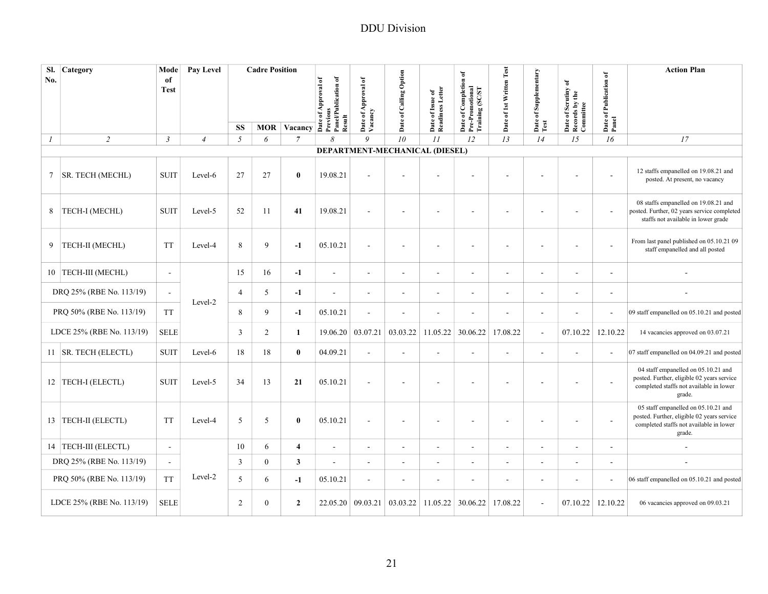| SI.<br>No. | Category                  | Mode<br>of<br><b>Test</b> | <b>Pay Level</b> |                | <b>Cadre Position</b> | $\overline{MOR}$ Vacancy $\overline{A}$ $\overline{B}$ $\overline{C}$ $\overline{C}$ $\overline{D}$ $\overline{D}$ $\overline{D}$ $\overline{D}$ $\overline{D}$ $\overline{D}$ $\overline{D}$ $\overline{D}$ $\overline{D}$ $\overline{D}$ $\overline{D}$ $\overline{D}$ $\overline{D}$ $\overline{D}$ $\overline{D}$ $\overline{D}$ $\overline{D}$ $\overline{D}$ $\overline{$ | Panel/Publication of<br>Result | Date of Approval of<br>Vacancy | Date of Calling Option         | Date of Issue of<br>Readiness Letter | Date of Completion of<br>Pre-Promotional<br>Training (SC/ST | Date of 1st Written Test | Date of Supplementary    | Date of Scrutiny of<br>Records by the<br>Committee | Date of Publication of<br>Panel | <b>Action Plan</b>                                                                                                                     |
|------------|---------------------------|---------------------------|------------------|----------------|-----------------------|---------------------------------------------------------------------------------------------------------------------------------------------------------------------------------------------------------------------------------------------------------------------------------------------------------------------------------------------------------------------------------|--------------------------------|--------------------------------|--------------------------------|--------------------------------------|-------------------------------------------------------------|--------------------------|--------------------------|----------------------------------------------------|---------------------------------|----------------------------------------------------------------------------------------------------------------------------------------|
|            |                           |                           |                  | <b>SS</b>      |                       |                                                                                                                                                                                                                                                                                                                                                                                 |                                |                                | 10                             |                                      |                                                             |                          | Test                     |                                                    |                                 |                                                                                                                                        |
| 1          | $\overline{2}$            | $\mathfrak{Z}$            | $\overline{4}$   | 5              | 6                     | $\overline{7}$                                                                                                                                                                                                                                                                                                                                                                  | 8                              | 9                              | DEPARTMENT-MECHANICAL (DIESEL) | II                                   | 12                                                          | 13                       | 14                       | 15                                                 | 16                              | 17                                                                                                                                     |
| 7          | <b>SR. TECH (MECHL)</b>   | <b>SUIT</b>               | Level-6          | 27             | 27                    | $\bf{0}$                                                                                                                                                                                                                                                                                                                                                                        | 19.08.21                       |                                |                                |                                      |                                                             |                          |                          |                                                    | ÷.                              | 12 staffs empanelled on 19.08.21 and<br>posted. At present, no vacancy                                                                 |
| 8          | TECH-I (MECHL)            | <b>SUIT</b>               | Level-5          | 52             | 11                    | 41                                                                                                                                                                                                                                                                                                                                                                              | 19.08.21                       |                                | $\blacksquare$                 | ÷,                                   |                                                             |                          |                          |                                                    |                                 | 08 staffs empanelled on 19.08.21 and<br>posted. Further, 02 years service completed<br>staffs not available in lower grade             |
| 9          | TECH-II (MECHL)           | <b>TT</b>                 | Level-4          | 8              | 9                     | $-1$                                                                                                                                                                                                                                                                                                                                                                            | 05.10.21                       |                                | $\overline{\phantom{a}}$       | $\overline{\phantom{a}}$             |                                                             |                          | $\overline{a}$           |                                                    |                                 | From last panel published on 05.10.21 09<br>staff empanelled and all posted                                                            |
|            | 10   TECH-III (MECHL)     | $\blacksquare$            |                  | 15             | 16                    | $-1$                                                                                                                                                                                                                                                                                                                                                                            | $\blacksquare$                 | $\overline{\phantom{a}}$       | $\overline{\phantom{a}}$       | $\overline{\phantom{a}}$             | $\overline{\phantom{a}}$                                    |                          | $\overline{\phantom{a}}$ | $\overline{\phantom{a}}$                           | $\overline{\phantom{a}}$        |                                                                                                                                        |
|            | DRQ 25% (RBE No. 113/19)  | $\overline{\phantom{a}}$  |                  | $\overline{4}$ | 5                     | $-1$                                                                                                                                                                                                                                                                                                                                                                            | $\blacksquare$                 |                                | $\overline{\phantom{a}}$       | $\overline{a}$                       | ۰                                                           |                          | $\overline{\phantom{a}}$ | ۰                                                  | $\overline{\phantom{a}}$        |                                                                                                                                        |
|            | PRQ 50% (RBE No. 113/19)  | <b>TT</b>                 | Level-2          | 8              | 9                     | $-1$                                                                                                                                                                                                                                                                                                                                                                            | 05.10.21                       |                                | $\overline{\phantom{a}}$       | $\overline{\phantom{a}}$             | ۰                                                           |                          | $\overline{\phantom{a}}$ | $\overline{a}$                                     |                                 | 09 staff empanelled on 05.10.21 and posted                                                                                             |
|            | LDCE 25% (RBE No. 113/19) | <b>SELE</b>               |                  | 3              | $\overline{c}$        | $\mathbf{1}$                                                                                                                                                                                                                                                                                                                                                                    | 19.06.20                       | 03.07.21                       | 03.03.22                       | 11.05.22                             | 30.06.22                                                    | 17.08.22                 | $\blacksquare$           | 07.10.22                                           | 12.10.22                        | 14 vacancies approved on 03.07.21                                                                                                      |
|            | 11   SR. TECH (ELECTL)    | <b>SUIT</b>               | Level-6          | 18             | 18                    | $\bf{0}$                                                                                                                                                                                                                                                                                                                                                                        | 04.09.21                       |                                | $\blacksquare$                 | $\overline{\phantom{a}}$             | ä,                                                          | $\overline{\phantom{a}}$ | $\overline{\phantom{a}}$ | ä,                                                 |                                 | 07 staff empanelled on 04.09.21 and posted                                                                                             |
|            | 12 TECH-I (ELECTL)        | <b>SUIT</b>               | Level-5          | 34             | 13                    | 21                                                                                                                                                                                                                                                                                                                                                                              | 05.10.21                       |                                | $\overline{\phantom{a}}$       | $\overline{\phantom{a}}$             |                                                             |                          |                          |                                                    |                                 | 04 staff empanelled on 05.10.21 and<br>posted. Further, eligible 02 years service<br>completed staffs not available in lower<br>grade. |
|            | 13   TECH-II (ELECTL)     | <b>TT</b>                 | Level-4          | 5              | 5                     | $\bf{0}$                                                                                                                                                                                                                                                                                                                                                                        | 05.10.21                       | $\sim$                         | $\overline{\phantom{a}}$       | $\overline{\phantom{a}}$             | $\blacksquare$                                              |                          | $\blacksquare$           | ٠                                                  | $\sim$                          | 05 staff empanelled on 05.10.21 and<br>posted. Further, eligible 02 years service<br>completed staffs not available in lower<br>grade. |
|            | 14   TECH-III (ELECTL)    | $\sim$                    |                  | 10             | 6                     | $\overline{\mathbf{4}}$                                                                                                                                                                                                                                                                                                                                                         | $\overline{\phantom{a}}$       | $\sim$                         | $\blacksquare$                 | $\blacksquare$                       | $\sim$                                                      | $\sim$                   | $\sim$                   | $\sim$                                             | $\sim$                          |                                                                                                                                        |
|            | DRQ 25% (RBE No. 113/19)  | $\sim$                    |                  | 3              | $\mathbf{0}$          | $\mathbf{3}$                                                                                                                                                                                                                                                                                                                                                                    | $\sim$                         | $\sim$                         | $\blacksquare$                 | $\blacksquare$                       | $\sim$                                                      |                          | $\sim$                   | $\blacksquare$                                     | ÷.                              |                                                                                                                                        |
|            | PRQ 50% (RBE No. 113/19)  | <b>TT</b>                 | Level-2          | 5              | 6                     | $-1$                                                                                                                                                                                                                                                                                                                                                                            | 05.10.21                       | $\sim$                         | $\blacksquare$                 | $\overline{\phantom{a}}$             | $\sim$                                                      | $\overline{\phantom{a}}$ | $\blacksquare$           | $\sim$                                             | $\overline{\phantom{a}}$        | 06 staff empanelled on 05.10.21 and posted                                                                                             |
|            | LDCE 25% (RBE No. 113/19) | <b>SELE</b>               |                  | 2              | $\mathbf{0}$          | $\overline{2}$                                                                                                                                                                                                                                                                                                                                                                  | 22.05.20                       | 09.03.21                       | 03.03.22                       | 11.05.22                             | 30.06.22                                                    | 17.08.22                 | $\sim$                   | 07.10.22                                           | 12.10.22                        | 06 vacancies approved on 09.03.21                                                                                                      |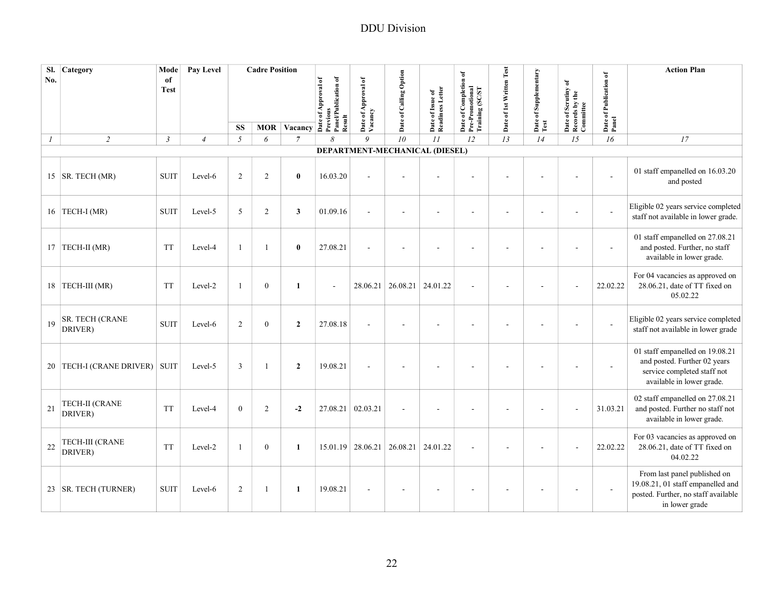| SI.<br>No.       | Category                          | Mode<br>of<br><b>Test</b> | Pay Level      |                  | <b>Cadre Position</b> | MOR Vacancy $\overline{A}$ $\overline{B}$ $\overline{C}$ $\overline{D}$ $\overline{D}$ $\overline{D}$ $\overline{D}$ $\overline{D}$ $\overline{D}$ $\overline{D}$ $\overline{D}$ $\overline{D}$ $\overline{D}$ $\overline{D}$ $\overline{D}$ $\overline{D}$ $\overline{D}$ $\overline{D}$ $\overline{D}$ $\overline{D}$ $\overline{D}$ $\overline{D}$ $\overline{D}$ $\$ | Panel/Publication of | Date of Approval of<br>Vacancy | Date of Calling Option |                                      | Date of Completion of<br>Pre-Promotional<br>Training (SC/ST | Date of 1st Written Test | Date of Supplementary | Date of Scrutiny of<br>Records by the<br>Committee | Date of Publication of<br>Panel | <b>Action Plan</b>                                                                                                          |
|------------------|-----------------------------------|---------------------------|----------------|------------------|-----------------------|--------------------------------------------------------------------------------------------------------------------------------------------------------------------------------------------------------------------------------------------------------------------------------------------------------------------------------------------------------------------------|----------------------|--------------------------------|------------------------|--------------------------------------|-------------------------------------------------------------|--------------------------|-----------------------|----------------------------------------------------|---------------------------------|-----------------------------------------------------------------------------------------------------------------------------|
|                  |                                   |                           |                |                  |                       |                                                                                                                                                                                                                                                                                                                                                                          |                      |                                |                        | Date of Issue of<br>Readiness Letter |                                                             |                          |                       |                                                    |                                 |                                                                                                                             |
|                  |                                   |                           |                | SS               |                       |                                                                                                                                                                                                                                                                                                                                                                          | Result               |                                |                        |                                      |                                                             |                          | Test                  |                                                    |                                 |                                                                                                                             |
| $\boldsymbol{l}$ | $\overline{c}$                    | $\mathfrak{Z}$            | $\overline{4}$ | $\mathfrak{I}$   | 6                     | $\overline{7}$                                                                                                                                                                                                                                                                                                                                                           | 8                    | 9                              | 10                     | $\cal II$                            | 12                                                          | 13                       | 14                    | 15                                                 | 16                              | 17                                                                                                                          |
|                  |                                   |                           |                |                  |                       |                                                                                                                                                                                                                                                                                                                                                                          |                      |                                |                        | DEPARTMENT-MECHANICAL (DIESEL)       |                                                             |                          |                       |                                                    |                                 |                                                                                                                             |
|                  | 15   SR. TECH (MR)                | <b>SUIT</b>               | Level-6        | 2                | 2                     | $\bf{0}$                                                                                                                                                                                                                                                                                                                                                                 | 16.03.20             |                                |                        |                                      |                                                             |                          |                       |                                                    |                                 | 01 staff empanelled on 16.03.20<br>and posted                                                                               |
|                  | 16 TECH-I (MR)                    | <b>SUIT</b>               | Level-5        | 5                | $\overline{2}$        | $\mathbf{3}$                                                                                                                                                                                                                                                                                                                                                             | 01.09.16             |                                | $\blacksquare$         | ÷,                                   | ä,                                                          |                          |                       | $\sim$                                             | ÷,                              | Eligible 02 years service completed<br>staff not available in lower grade.                                                  |
|                  | 17 TECH-II (MR)                   | <b>TT</b>                 | Level-4        | $\mathbf{1}$     |                       | $\mathbf{0}$                                                                                                                                                                                                                                                                                                                                                             | 27.08.21             |                                |                        |                                      |                                                             |                          |                       |                                                    |                                 | 01 staff empanelled on 27.08.21<br>and posted. Further, no staff<br>available in lower grade.                               |
|                  | 18 TECH-III (MR)                  | <b>TT</b>                 | Level-2        | $\mathbf{1}$     | $\overline{0}$        | $\mathbf{1}$                                                                                                                                                                                                                                                                                                                                                             | $\sim$               | 28.06.21                       | 26.08.21               | 24.01.22                             |                                                             |                          |                       |                                                    | 22.02.22                        | For 04 vacancies as approved on<br>28.06.21, date of TT fixed on<br>05.02.22                                                |
| 19               | <b>SR. TECH (CRANE</b><br>DRIVER) | <b>SUIT</b>               | Level-6        | $\overline{2}$   | $\overline{0}$        | $\overline{2}$                                                                                                                                                                                                                                                                                                                                                           | 27.08.18             |                                |                        |                                      |                                                             |                          |                       |                                                    | $\sim$                          | Eligible 02 years service completed<br>staff not available in lower grade                                                   |
|                  | 20 TECH-I (CRANE DRIVER)          | <b>SUIT</b>               | Level-5        | $\overline{3}$   | -1                    | $\overline{2}$                                                                                                                                                                                                                                                                                                                                                           | 19.08.21             |                                |                        |                                      |                                                             |                          |                       |                                                    |                                 | 01 staff empanelled on 19.08.21<br>and posted. Further 02 years<br>service completed staff not<br>available in lower grade. |
| 21               | <b>TECH-II (CRANE</b><br>DRIVER)  | <b>TT</b>                 | Level-4        | $\boldsymbol{0}$ | $\overline{c}$        | $-2$                                                                                                                                                                                                                                                                                                                                                                     | 27.08.21             | 02.03.21                       | $\sim$                 |                                      |                                                             |                          |                       |                                                    | 31.03.21                        | 02 staff empanelled on 27.08.21<br>and posted. Further no staff not<br>available in lower grade.                            |
| 22               | <b>TECH-III (CRANE</b><br>DRIVER) | <b>TT</b>                 | Level-2        | $\mathbf{1}$     | $\overline{0}$        | 1                                                                                                                                                                                                                                                                                                                                                                        | 15.01.19             | 28.06.21                       | 26.08.21               | 24.01.22                             |                                                             |                          |                       |                                                    | 22.02.22                        | For 03 vacancies as approved on<br>28.06.21, date of TT fixed on<br>04.02.22                                                |
|                  | 23   SR. TECH (TURNER)            | <b>SUIT</b>               | Level-6        | 2                | 1                     | $\mathbf{1}$                                                                                                                                                                                                                                                                                                                                                             | 19.08.21             |                                |                        |                                      |                                                             |                          |                       |                                                    |                                 | From last panel published on<br>19.08.21, 01 staff empanelled and<br>posted. Further, no staff available<br>in lower grade  |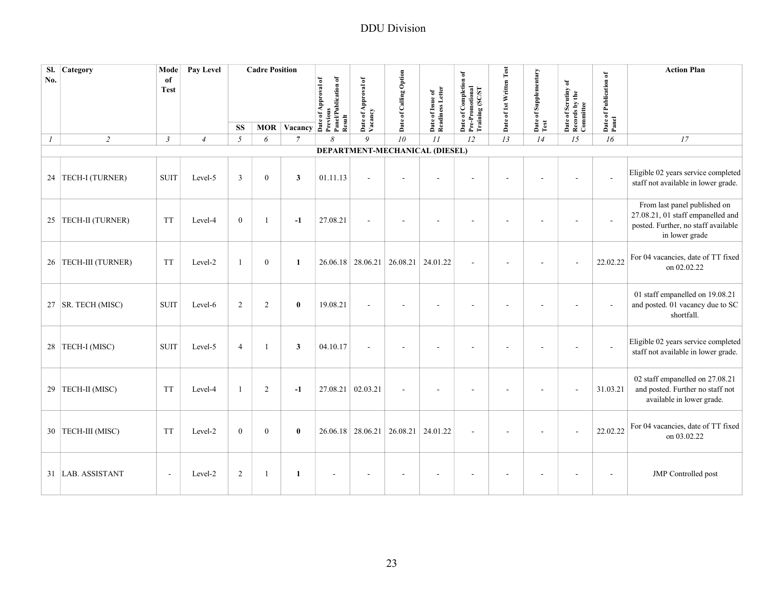| Sl.<br>No.    | Category             | Mode<br>of<br><b>Test</b> | Pay Level      |                | <b>Cadre Position</b> |                    | Panel/Publication of<br>Date of Approval of | Date of Approval of<br>Vacancy | Date of Calling Option         |                                      | Date of Completion of<br>Pre-Promotional<br>Training (SC/ST | Date of 1st Written Test | Date of Supplementary | Date of Scrutiny of<br>Records by the<br>Committee | Date of Publication of<br>Panel | <b>Action Plan</b>                                                                                                         |
|---------------|----------------------|---------------------------|----------------|----------------|-----------------------|--------------------|---------------------------------------------|--------------------------------|--------------------------------|--------------------------------------|-------------------------------------------------------------|--------------------------|-----------------------|----------------------------------------------------|---------------------------------|----------------------------------------------------------------------------------------------------------------------------|
|               |                      |                           |                | <b>SS</b>      |                       | <b>MOR Vacancy</b> | Previous<br>Result                          |                                |                                | Date of Issue of<br>Readiness Letter |                                                             |                          | Test                  |                                                    |                                 |                                                                                                                            |
| $\mathcal{I}$ | $\overline{c}$       | $\mathfrak{Z}$            | $\overline{4}$ | $\sqrt{2}$     | 6                     | $\overline{7}$     | 8                                           | 9                              | 10                             | II                                   | 12                                                          | 13                       | 14                    | 15                                                 | 16                              | 17                                                                                                                         |
|               |                      |                           |                |                |                       |                    |                                             |                                | DEPARTMENT-MECHANICAL (DIESEL) |                                      |                                                             |                          |                       |                                                    |                                 |                                                                                                                            |
|               | 24 TECH-I (TURNER)   | <b>SUIT</b>               | Level-5        | $\overline{3}$ | $\overline{0}$        | 3                  | 01.11.13                                    |                                |                                |                                      |                                                             |                          |                       |                                                    |                                 | Eligible 02 years service completed<br>staff not available in lower grade.                                                 |
|               | 25 TECH-II (TURNER)  | <b>TT</b>                 | Level-4        | $\mathbf{0}$   | 1                     | $-1$               | 27.08.21                                    |                                |                                |                                      |                                                             |                          |                       |                                                    | $\sim$                          | From last panel published on<br>27.08.21, 01 staff empanelled and<br>posted. Further, no staff available<br>in lower grade |
|               | 26 TECH-III (TURNER) | <b>TT</b>                 | Level-2        | $\mathbf{1}$   | $\overline{0}$        | $\mathbf{1}$       |                                             | 26.06.18 28.06.21              | 26.08.21                       | 24.01.22                             |                                                             |                          |                       |                                                    | 22.02.22                        | For 04 vacancies, date of TT fixed<br>on 02.02.22                                                                          |
|               | 27   SR. TECH (MISC) | <b>SUIT</b>               | Level-6        | $\sqrt{2}$     | 2                     | $\bf{0}$           | 19.08.21                                    |                                |                                |                                      |                                                             |                          |                       |                                                    |                                 | 01 staff empanelled on 19.08.21<br>and posted. 01 vacancy due to SC<br>shortfall.                                          |
|               | 28 TECH-I (MISC)     | <b>SUIT</b>               | Level-5        | $\overline{4}$ |                       | $\mathbf{3}$       | 04.10.17                                    |                                | J.                             |                                      |                                                             |                          |                       | L,                                                 | $\sim$                          | Eligible 02 years service completed<br>staff not available in lower grade.                                                 |
|               | 29 TECH-II (MISC)    | <b>TT</b>                 | Level-4        | $\mathbf{1}$   | 2                     | $-1$               |                                             | 27.08.21 02.03.21              | $\overline{\phantom{a}}$       | ٠                                    |                                                             |                          |                       |                                                    | 31.03.21                        | 02 staff empanelled on 27.08.21<br>and posted. Further no staff not<br>available in lower grade.                           |
|               | 30 TECH-III (MISC)   | <b>TT</b>                 | Level-2        | $\mathbf{0}$   | $\overline{0}$        | $\bf{0}$           |                                             | $26.06.18$ 28.06.21            | 26.08.21 24.01.22              |                                      |                                                             |                          |                       |                                                    | 22.02.22                        | For 04 vacancies, date of TT fixed<br>on 03.02.22                                                                          |
|               | 31 LAB. ASSISTANT    | $\overline{a}$            | Level-2        | $\overline{2}$ |                       | 1                  |                                             |                                |                                |                                      |                                                             |                          |                       |                                                    |                                 | <b>JMP</b> Controlled post                                                                                                 |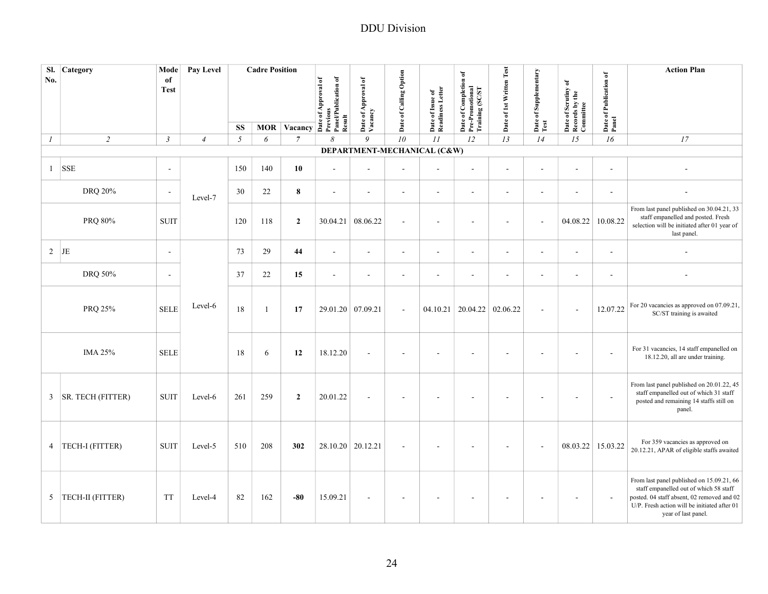| SI.<br>No.       | Category                 | Mode<br>of<br><b>Test</b> | Pay Level      |                             | <b>Cadre Position</b> |                           | Date of Approval of<br>Previous<br>PanelPublication of<br>Result | Date of Approval of<br>Vacancy | Date of Calling Option   | Date of Issue of<br>Readiness Letter | Date of Completion of<br>Pre-Promotional<br>Training (SC/ST | Date of 1st Written Test | Date of Supplementary<br>Test | Date of Scrutiny of<br>Records by the<br>Committee | Date of Publication of<br>Panel | <b>Action Plan</b>                                                                                                                                                                                       |
|------------------|--------------------------|---------------------------|----------------|-----------------------------|-----------------------|---------------------------|------------------------------------------------------------------|--------------------------------|--------------------------|--------------------------------------|-------------------------------------------------------------|--------------------------|-------------------------------|----------------------------------------------------|---------------------------------|----------------------------------------------------------------------------------------------------------------------------------------------------------------------------------------------------------|
| $\boldsymbol{l}$ | $\sqrt{2}$               | $\mathfrak{Z}$            | $\overline{4}$ | <b>SS</b><br>$\mathfrak{I}$ | <b>MOR</b><br>6       | Vacancy<br>$\overline{7}$ | $\delta$                                                         | 9                              | 10                       | $\cal II$                            | 12                                                          | 13                       | 14                            | 15                                                 | 16                              | 17                                                                                                                                                                                                       |
|                  |                          |                           |                |                             |                       |                           |                                                                  | DEPARTMENT-MECHANICAL (C&W)    |                          |                                      |                                                             |                          |                               |                                                    |                                 |                                                                                                                                                                                                          |
|                  | $1$ SSE                  | $\overline{\phantom{a}}$  |                | 150                         | 140                   | 10                        | $\overline{a}$                                                   | $\sim$                         | $\sim$                   | $\blacksquare$                       | $\sim$                                                      | ÷,                       | $\sim$                        | $\sim$                                             | $\sim$                          |                                                                                                                                                                                                          |
|                  | DRQ 20%                  | $\sim$                    | Level-7        | 30                          | $22\,$                | $\bf 8$                   | $\sim$                                                           | $\sim$                         | $\sim$                   | $\sim$                               | $\sim$                                                      | $\overline{\phantom{a}}$ | $\sim$                        | $\sim$                                             | $\sim$                          |                                                                                                                                                                                                          |
|                  | PRQ 80%                  | <b>SUIT</b>               |                | 120                         | 118                   | $\overline{2}$            | 30.04.21                                                         | 08.06.22                       | $\overline{\phantom{a}}$ | $\overline{\phantom{a}}$             | ÷.                                                          | $\blacksquare$           | $\overline{a}$                | 04.08.22                                           | 10.08.22                        | From last panel published on 30.04.21, 33<br>staff empanelled and posted. Fresh<br>selection will be initiated after 01 year of<br>last panel.                                                           |
| $\overline{2}$   | JE                       | $\overline{\phantom{a}}$  |                | 73                          | 29                    | 44                        | $\sim$                                                           | $\sim$                         | $\sim$                   | $\sim$                               | $\sim$                                                      | $\overline{a}$           | $\overline{a}$                | $\sim$                                             | $\sim$                          | $\overline{\phantom{a}}$                                                                                                                                                                                 |
|                  | DRQ 50%                  | $\sim$                    |                | 37                          | $22\,$                | 15                        | $\sim$                                                           | $\sim$                         | $\sim$                   | $\blacksquare$                       | ÷,                                                          | ÷.                       | $\sim$                        | $\sim$                                             | ÷,                              |                                                                                                                                                                                                          |
|                  | PRQ 25%                  | <b>SELE</b>               | Level-6        | 18                          | $\mathbf{1}$          | 17                        |                                                                  | 29.01.20 07.09.21              | $\sim$                   |                                      | $04.10.21$ 20.04.22 02.06.22                                |                          | ä,                            | $\sim$                                             | 12.07.22                        | For 20 vacancies as approved on 07.09.21,<br>SC/ST training is awaited                                                                                                                                   |
|                  | <b>IMA 25%</b>           | <b>SELE</b>               |                | 18                          | 6                     | 12                        | 18.12.20                                                         | ÷.                             |                          | $\sim$                               |                                                             |                          |                               |                                                    |                                 | For 31 vacancies, 14 staff empanelled on<br>18.12.20, all are under training.                                                                                                                            |
| $\mathbf{3}$     | <b>SR. TECH (FITTER)</b> | <b>SUIT</b>               | Level-6        | 261                         | 259                   | $\overline{2}$            | 20.01.22                                                         |                                |                          |                                      |                                                             |                          |                               |                                                    |                                 | From last panel published on 20.01.22, 45<br>staff empanelled out of which 31 staff<br>posted and remaining 14 staffs still on<br>panel.                                                                 |
|                  | 4 TECH-I (FITTER)        | <b>SUIT</b>               | Level-5        | 510                         | 208                   | 302                       |                                                                  | 28.10.20 20.12.21              |                          |                                      |                                                             |                          |                               | 08.03.22                                           | 15.03.22                        | For 359 vacancies as approved on<br>20.12.21, APAR of eligible staffs awaited                                                                                                                            |
|                  | 5   TECH-II (FITTER)     | <b>TT</b>                 | Level-4        | 82                          | 162                   | $-80$                     | 15.09.21                                                         |                                |                          |                                      |                                                             |                          |                               |                                                    |                                 | From last panel published on 15.09.21, 66<br>staff empanelled out of which 58 staff<br>posted. 04 staff absent, 02 removed and 02<br>U/P. Fresh action will be initiated after 01<br>year of last panel. |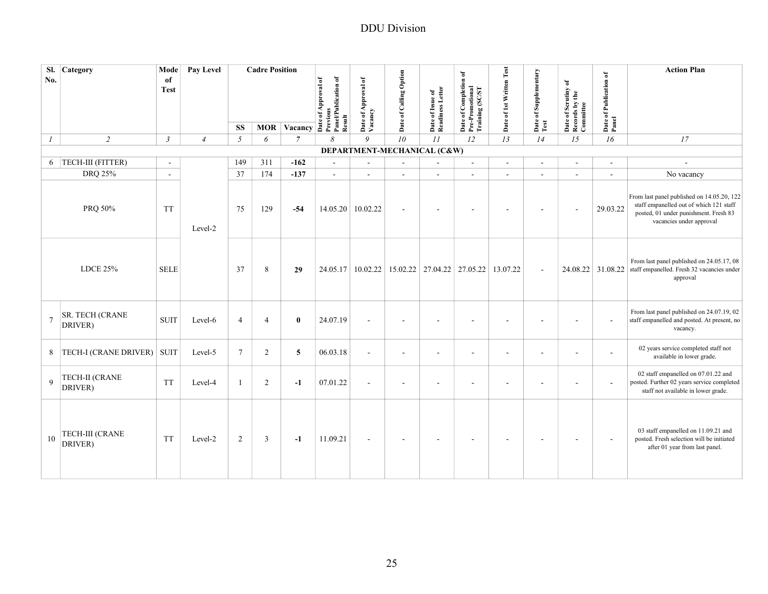| SI.<br>No.     | Category                          | Mode<br>of<br><b>Test</b> | Pay Level      |                | <b>Cadre Position</b> | MOR Vacancy $\overrightarrow{a}$ $\overrightarrow{b}$ $\overrightarrow{c}$ $\overrightarrow{a}$ $\overrightarrow{c}$ $\overrightarrow{a}$ $\overrightarrow{c}$ $\overrightarrow{a}$ $\overrightarrow{c}$ $\overrightarrow{a}$ $\overrightarrow{c}$ $\overrightarrow{a}$ $\overrightarrow{c}$ $\overrightarrow{a}$ $\overrightarrow{c}$ $\overrightarrow{a}$ $\overrightarrow{c}$ $\overrightarrow{a}$ $\overrightarrow{c}$ $\overrightarrow{a}$ $\overrightarrow{c}$ $\overrightarrow{a}$ $\overrightarrow{c}$ $\$ | Result                   | Date of Approval of<br>Vacancy | Date of Calling Option                        | Date of Issue of<br>Readiness Letter | Date of Completion of<br>Pre-Promotional<br>Training (SC/ST | Date of 1st Written Test | Date of Supplementary<br>Test | Date of Scrutiny of<br>Records by the<br>Committee | Date of Publication of<br>Panel | <b>Action Plan</b>                                                                                                                                         |
|----------------|-----------------------------------|---------------------------|----------------|----------------|-----------------------|--------------------------------------------------------------------------------------------------------------------------------------------------------------------------------------------------------------------------------------------------------------------------------------------------------------------------------------------------------------------------------------------------------------------------------------------------------------------------------------------------------------------|--------------------------|--------------------------------|-----------------------------------------------|--------------------------------------|-------------------------------------------------------------|--------------------------|-------------------------------|----------------------------------------------------|---------------------------------|------------------------------------------------------------------------------------------------------------------------------------------------------------|
|                |                                   |                           |                | <b>SS</b>      |                       |                                                                                                                                                                                                                                                                                                                                                                                                                                                                                                                    |                          |                                |                                               |                                      |                                                             |                          |                               |                                                    |                                 |                                                                                                                                                            |
| 1              | $\overline{2}$                    | $\mathfrak{Z}$            | $\overline{4}$ | 5              | 6                     | $\overline{7}$                                                                                                                                                                                                                                                                                                                                                                                                                                                                                                     | 8                        | 9                              | 10                                            | II                                   | 12                                                          | 13                       | 14                            | 15                                                 | 16                              | 17                                                                                                                                                         |
|                | 6 TECH-III (FITTER)               | $\overline{\phantom{a}}$  |                | 149            | 311                   | $-162$                                                                                                                                                                                                                                                                                                                                                                                                                                                                                                             | $\overline{\phantom{a}}$ |                                | DEPARTMENT-MECHANICAL (C&W)<br>$\blacksquare$ |                                      | $\overline{a}$                                              |                          | $\sim$                        | $\overline{\phantom{a}}$                           | $\blacksquare$                  |                                                                                                                                                            |
|                | DRQ 25%                           | $\sim$                    |                | 37             | 174                   | $-137$                                                                                                                                                                                                                                                                                                                                                                                                                                                                                                             | $\overline{\phantom{a}}$ | $\sim$                         | $\sim$                                        | $\omega$                             | $\mathcal{L}$                                               |                          | $\overline{\phantom{a}}$      | $\sim$                                             | $\sim$                          | No vacancy                                                                                                                                                 |
|                | PRQ 50%                           | <b>TT</b>                 | Level-2        | 75             | 129                   | $-54$                                                                                                                                                                                                                                                                                                                                                                                                                                                                                                              | 14.05.20                 | 10.02.22                       | $\blacksquare$                                |                                      |                                                             |                          |                               |                                                    | 29.03.22                        | From last panel published on 14.05.20, 122<br>staff empanelled out of which 121 staff<br>posted, 01 under punishment. Fresh 83<br>vacancies under approval |
|                | <b>LDCE 25%</b>                   | <b>SELE</b>               |                | 37             | 8                     | 29                                                                                                                                                                                                                                                                                                                                                                                                                                                                                                                 | 24.05.17                 | 10.02.22                       |                                               | 15.02.22 27.04.22 27.05.22           |                                                             | 13.07.22                 | $\sim$                        |                                                    | 24.08.22 31.08.22               | From last panel published on 24.05.17, 08<br>staff empanelled. Fresh 32 vacancies under<br>approval                                                        |
| $\overline{7}$ | <b>SR. TECH (CRANE</b><br>DRIVER) | <b>SUIT</b>               | Level-6        | $\overline{4}$ | $\overline{4}$        | $\bf{0}$                                                                                                                                                                                                                                                                                                                                                                                                                                                                                                           | 24.07.19                 |                                | $\overline{\phantom{a}}$                      |                                      |                                                             |                          |                               |                                                    |                                 | From last panel published on 24.07.19, 02<br>staff empanelled and posted. At present, no<br>vacancy.                                                       |
| 8              | <b>TECH-I (CRANE DRIVER)</b>      | <b>SUIT</b>               | Level-5        | $\tau$         | $\overline{c}$        | $\overline{5}$                                                                                                                                                                                                                                                                                                                                                                                                                                                                                                     | 06.03.18                 | $\sim$                         | $\blacksquare$                                | $\overline{\phantom{a}}$             | ä,                                                          |                          |                               | $\blacksquare$                                     | $\blacksquare$                  | 02 years service completed staff not<br>available in lower grade.                                                                                          |
| 9              | TECH-II (CRANE<br>DRIVER)         | <b>TT</b>                 | Level-4        | $\mathbf{1}$   | $\overline{2}$        | $-1$                                                                                                                                                                                                                                                                                                                                                                                                                                                                                                               | 07.01.22                 |                                | $\overline{\phantom{a}}$                      | $\overline{\phantom{a}}$             |                                                             |                          |                               |                                                    | $\overline{\phantom{a}}$        | 02 staff empanelled on 07.01.22 and<br>posted. Further 02 years service completed<br>staff not available in lower grade.                                   |
| 10             | TECH-III (CRANE<br>DRIVER)        | <b>TT</b>                 | Level-2        | 2              | $\overline{3}$        | $-1$                                                                                                                                                                                                                                                                                                                                                                                                                                                                                                               | 11.09.21                 | $\sim$                         | $\overline{\phantom{a}}$                      | $\overline{\phantom{a}}$             |                                                             |                          |                               |                                                    | $\overline{\phantom{a}}$        | 03 staff empanelled on 11.09.21 and<br>posted. Fresh selection will be initiated<br>after 01 year from last panel.                                         |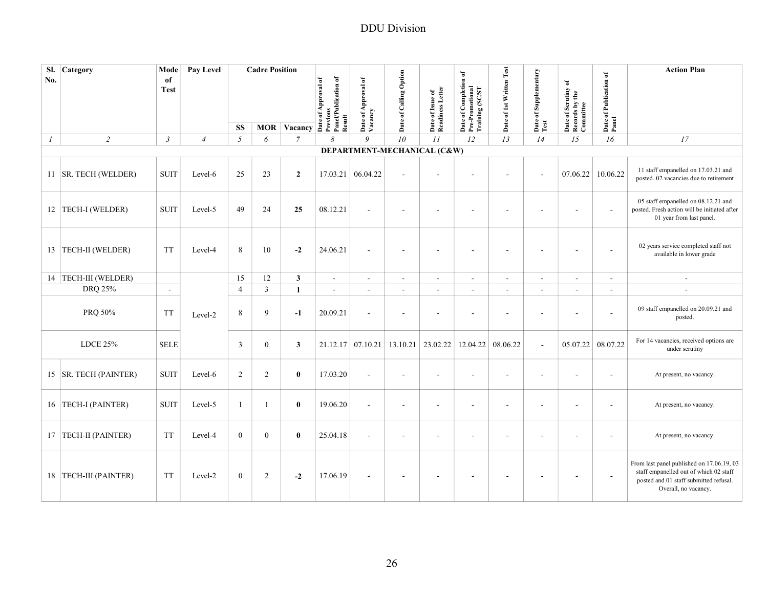| SI.<br>No.    | Category                | Mode<br>of<br><b>Test</b> | Pay Level      |                | <b>Cadre Position</b> |                    | Panel/Publication of<br>Date of Approval of | Date of Approval of<br>Vacancy | Date of Calling Option   | Date of Issue of<br>Readiness Letter | Date of Completion of<br>Pre-Promotional<br>Training (SC/ST | Date of 1st Written Test | Date of Supplementary<br>Test | Date of Scrutiny of<br>Records by the<br>Committee | Date of Publication of<br>Panel | <b>Action Plan</b>                                                                                                                                    |
|---------------|-------------------------|---------------------------|----------------|----------------|-----------------------|--------------------|---------------------------------------------|--------------------------------|--------------------------|--------------------------------------|-------------------------------------------------------------|--------------------------|-------------------------------|----------------------------------------------------|---------------------------------|-------------------------------------------------------------------------------------------------------------------------------------------------------|
|               |                         |                           |                | <b>SS</b>      |                       | <b>MOR Vacancy</b> | Previous<br>Result                          |                                |                          |                                      |                                                             |                          |                               |                                                    |                                 |                                                                                                                                                       |
| $\mathcal{I}$ | $\overline{2}$          | $\mathfrak{Z}$            | $\overline{4}$ | 5              | 6                     | $\overline{7}$     | 8                                           | 9                              | 10                       | II                                   | 12                                                          | 13                       | 14                            | 15                                                 | 16                              | 17                                                                                                                                                    |
|               |                         |                           |                |                |                       |                    |                                             | DEPARTMENT-MECHANICAL (C&W)    |                          |                                      |                                                             |                          |                               |                                                    |                                 |                                                                                                                                                       |
|               | 11 SR. TECH (WELDER)    | <b>SUIT</b>               | Level-6        | 25             | 23                    | $\overline{2}$     | 17.03.21                                    | 06.04.22                       | $\sim$                   |                                      |                                                             |                          | $\sim$                        | 07.06.22                                           | 10.06.22                        | 11 staff empanelled on 17.03.21 and<br>posted. 02 vacancies due to retirement                                                                         |
|               | 12 TECH-I (WELDER)      | <b>SUIT</b>               | Level-5        | 49             | 24                    | 25                 | 08.12.21                                    | $\sim$                         | ÷,                       | ÷,                                   |                                                             |                          | ÷,                            | ÷,                                                 | $\sim$                          | 05 staff empanelled on 08.12.21 and<br>posted. Fresh action will be initiated after<br>01 year from last panel.                                       |
|               | 13   TECH-II (WELDER)   | TT                        | Level-4        | 8              | 10                    | $-2$               | 24.06.21                                    | $\sim$                         | $\blacksquare$           | $\overline{\phantom{a}}$             |                                                             | $\blacksquare$           | $\overline{a}$                | $\overline{a}$                                     | $\sim$                          | 02 years service completed staff not<br>available in lower grade                                                                                      |
|               | 14 TECH-III (WELDER)    |                           |                | 15             | 12                    | $\mathbf{3}$       | $\mathbf{r}$                                | $\sim$                         | $\mathbf{r}$             | $\overline{\phantom{a}}$             | $\sim$                                                      | $\sim$                   | $\sim$                        | $\sim$                                             | $\sim$                          | $\sim$                                                                                                                                                |
|               | <b>DRO 25%</b>          | $\sim$                    |                | $\overline{4}$ | $\overline{3}$        | $\mathbf{1}$       | $\sim$                                      | $\sim$                         | $\sim$                   | $\sim$                               | $\sim$                                                      | $\overline{\phantom{a}}$ | ÷,                            | $\mathbf{r}$                                       | $\sim$                          | ÷,                                                                                                                                                    |
|               | PRQ 50%                 | <b>TT</b>                 | Level-2        | 8              | 9                     | $-1$               | 20.09.21                                    | $\sim$                         | $\blacksquare$           | $\sim$                               |                                                             | $\overline{\phantom{a}}$ | $\overline{\phantom{a}}$      | $\overline{\phantom{a}}$                           | ÷.                              | 09 staff empanelled on 20.09.21 and<br>posted.                                                                                                        |
|               | <b>LDCE 25%</b>         | <b>SELE</b>               |                | 3              | $\overline{0}$        | 3                  | 21.12.17                                    | 07.10.21                       |                          | $13.10.21$ 23.02.22                  | 12.04.22                                                    | 08.06.22                 | $\sim$                        | 05.07.22                                           | 08.07.22                        | For 14 vacancies, received options are<br>under scrutiny                                                                                              |
|               | 15  SR. TECH (PAINTER)  | <b>SUIT</b>               | Level-6        | 2              | 2                     | $\bf{0}$           | 17.03.20                                    |                                | ÷,                       | $\overline{\phantom{a}}$             |                                                             |                          | $\overline{\phantom{a}}$      |                                                    |                                 | At present, no vacancy.                                                                                                                               |
|               | 16   TECH-I (PAINTER)   | <b>SUIT</b>               | Level-5        | -1             | 1                     | $\bf{0}$           | 19.06.20                                    | $\sim$                         | $\overline{\phantom{a}}$ | ÷                                    |                                                             | $\blacksquare$           | $\overline{\phantom{a}}$      | $\overline{\phantom{a}}$                           | $\blacksquare$                  | At present, no vacancy.                                                                                                                               |
|               | 17 TECH-II (PAINTER)    | <b>TT</b>                 | Level-4        | $\mathbf{0}$   | $\overline{0}$        | $\bf{0}$           | 25.04.18                                    | $\overline{\phantom{a}}$       | ÷,                       | $\overline{\phantom{a}}$             |                                                             | $\blacksquare$           | $\overline{\phantom{a}}$      |                                                    |                                 | At present, no vacancy.                                                                                                                               |
|               | 18   TECH-III (PAINTER) | <b>TT</b>                 | Level-2        | $\mathbf{0}$   | 2                     | $-2$               | 17.06.19                                    | $\sim$                         | $\overline{a}$           |                                      |                                                             |                          |                               | $\overline{\phantom{a}}$                           | $\blacksquare$                  | From last panel published on 17.06.19, 03<br>staff empanelled out of which 02 staff<br>posted and 01 staff submitted refusal.<br>Overall, no vacancy. |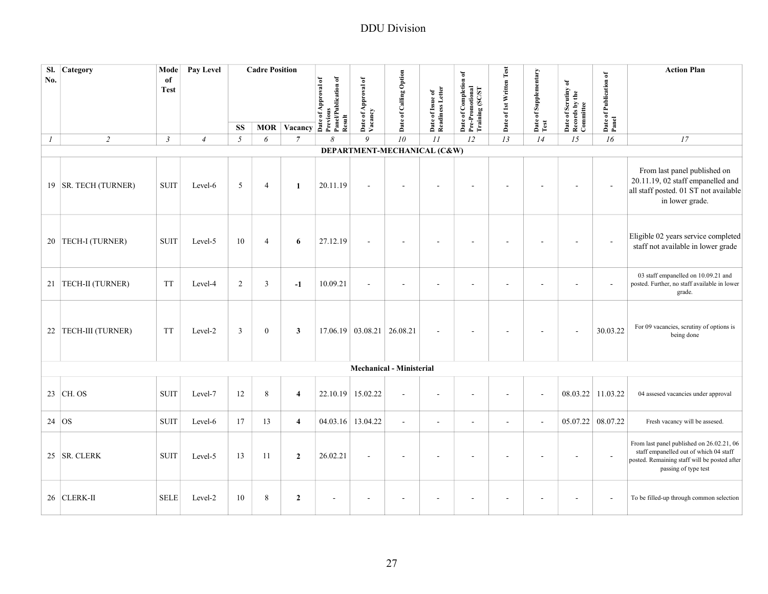| SI.<br>No.       | Category               | Mode<br>of<br><b>Test</b> | Pay Level      |                | <b>Cadre Position</b> | $\overline{MOR}$ Vacancy $\overline{A}$ $\overline{B}$ $\overline{C}$ $\overline{C}$ $\overline{D}$ $\overline{D}$ $\overline{D}$ $\overline{D}$ $\overline{D}$ $\overline{D}$ $\overline{D}$ $\overline{D}$ $\overline{D}$ $\overline{D}$ $\overline{D}$ $\overline{D}$ $\overline{D}$ $\overline{D}$ $\overline{D}$ $\overline{D}$ $\overline{D}$ $\overline{D}$ $\overline{$ | Panel/Publication of | Date of Approval of<br>Vacancy | Date of Calling Option          | Date of Issue of<br>Readiness Letter | of Completion of<br>Date of Completio<br>Pre-Promotional<br>Training (SC/ST | Date of 1st Written Test | Date of Supplementary<br>Test | Date of Scrutiny of<br>Records by the<br>Committee | Date of Publication of<br>Panel | <b>Action Plan</b>                                                                                                                                          |
|------------------|------------------------|---------------------------|----------------|----------------|-----------------------|---------------------------------------------------------------------------------------------------------------------------------------------------------------------------------------------------------------------------------------------------------------------------------------------------------------------------------------------------------------------------------|----------------------|--------------------------------|---------------------------------|--------------------------------------|-----------------------------------------------------------------------------|--------------------------|-------------------------------|----------------------------------------------------|---------------------------------|-------------------------------------------------------------------------------------------------------------------------------------------------------------|
|                  |                        |                           |                |                |                       |                                                                                                                                                                                                                                                                                                                                                                                 |                      |                                |                                 |                                      |                                                                             |                          |                               |                                                    |                                 |                                                                                                                                                             |
|                  |                        |                           |                | <b>SS</b>      |                       |                                                                                                                                                                                                                                                                                                                                                                                 | Result               |                                |                                 |                                      |                                                                             |                          |                               |                                                    |                                 |                                                                                                                                                             |
| $\boldsymbol{I}$ | $\overline{2}$         | $\mathfrak{Z}$            | $\overline{4}$ | $\sqrt{2}$     | 6                     | $\overline{7}$                                                                                                                                                                                                                                                                                                                                                                  | 8                    | 9                              | 10                              | II                                   | 12                                                                          | 13                       | 14                            | 15                                                 | 16                              | $\ensuremath{\mathit{17}}$                                                                                                                                  |
|                  | 19   SR. TECH (TURNER) | <b>SUIT</b>               | Level-6        | 5              | $\overline{4}$        | 1                                                                                                                                                                                                                                                                                                                                                                               | 20.11.19             |                                | DEPARTMENT-MECHANICAL (C&W)     |                                      |                                                                             |                          |                               |                                                    |                                 | From last panel published on<br>20.11.19, 02 staff empanelled and<br>all staff posted. 01 ST not available<br>in lower grade.                               |
|                  | 20   TECH-I (TURNER)   | <b>SUIT</b>               | Level-5        | 10             | $\overline{4}$        | 6                                                                                                                                                                                                                                                                                                                                                                               | 27.12.19             |                                | ÷,                              |                                      |                                                                             |                          |                               |                                                    | $\overline{\phantom{a}}$        | Eligible 02 years service completed<br>staff not available in lower grade                                                                                   |
|                  | 21  TECH-II (TURNER)   | <b>TT</b>                 | Level-4        | $\overline{2}$ | 3                     | $-1$                                                                                                                                                                                                                                                                                                                                                                            | 10.09.21             | $\blacksquare$                 | $\blacksquare$                  | $\overline{\phantom{a}}$             |                                                                             |                          |                               |                                                    | ÷.                              | 03 staff empanelled on 10.09.21 and<br>posted. Further, no staff available in lower<br>grade.                                                               |
|                  | 22 TECH-III (TURNER)   | <b>TT</b>                 | Level-2        | $\overline{3}$ | $\boldsymbol{0}$      | 3                                                                                                                                                                                                                                                                                                                                                                               |                      | 17.06.19 03.08.21 26.08.21     |                                 |                                      |                                                                             |                          |                               |                                                    | 30.03.22                        | For 09 vacancies, scrutiny of options is<br>being done                                                                                                      |
|                  |                        |                           |                |                |                       |                                                                                                                                                                                                                                                                                                                                                                                 |                      |                                | <b>Mechanical - Ministerial</b> |                                      |                                                                             |                          |                               |                                                    |                                 |                                                                                                                                                             |
|                  | 23 CH. OS              | <b>SUIT</b>               | Level-7        | 12             | 8                     | $\overline{4}$                                                                                                                                                                                                                                                                                                                                                                  |                      | 22.10.19 15.02.22              | ÷,                              | ٠                                    |                                                                             |                          | ÷,                            | 08.03.22 11.03.22                                  |                                 | 04 assesed vacancies under approval                                                                                                                         |
| 24 OS            |                        | <b>SUIT</b>               | Level-6        | 17             | 13                    | $\overline{\mathbf{4}}$                                                                                                                                                                                                                                                                                                                                                         |                      | 04.03.16 13.04.22              | $\blacksquare$                  | $\overline{\phantom{a}}$             | $\blacksquare$                                                              | $\sim$                   | $\sim$                        | 05.07.22 08.07.22                                  |                                 | Fresh vacancy will be assesed.                                                                                                                              |
|                  | 25 SR. CLERK           | <b>SUIT</b>               | Level-5        | 13             | 11                    | $\overline{2}$                                                                                                                                                                                                                                                                                                                                                                  | 26.02.21             |                                | ÷                               | ٠                                    |                                                                             |                          |                               |                                                    |                                 | From last panel published on 26.02.21, 06<br>staff empanelled out of which 04 staff<br>posted. Remaining staff will be posted after<br>passing of type test |
|                  | 26 CLERK-II            | <b>SELE</b>               | Level-2        | 10             | 8                     | $\overline{2}$                                                                                                                                                                                                                                                                                                                                                                  |                      |                                |                                 |                                      |                                                                             |                          |                               |                                                    |                                 | To be filled-up through common selection                                                                                                                    |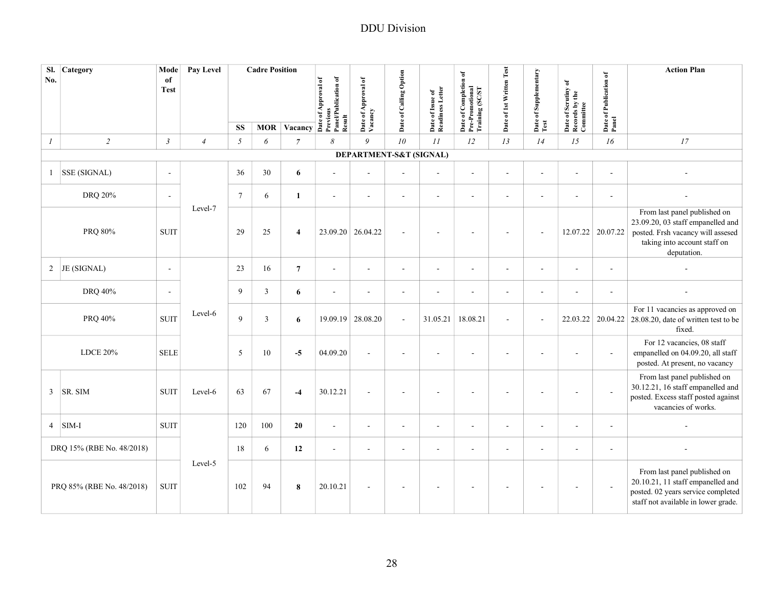| SI.<br>No.                | Category                  | Mode<br>of<br><b>Test</b> | Pay Level      |                 | <b>Cadre Position</b> | MOR Vacancy $\overline{A}$ $\overline{B}$ $\overline{C}$ $\overline{D}$ $\overline{D}$ $\overline{D}$ $\overline{D}$ $\overline{D}$ $\overline{D}$ $\overline{D}$ $\overline{D}$ $\overline{D}$ $\overline{D}$ $\overline{D}$ $\overline{D}$ $\overline{D}$ $\overline{D}$ $\overline{D}$ $\overline{D}$ $\overline{D}$ $\overline{D}$ $\overline{D}$ $\overline{D}$ $\$ | Panel/Publication of | Date of Approval of<br>Vacancy | Date of Calling Option   | Date of Issue of<br>Readiness Letter | Date of Completion of<br>Pre-Promotional<br>Training (SC/ST | Date of 1st Written Test | Date of Supplementary<br>Test | Date of Scrutiny of<br>Records by the<br>Committee | Date of Publication of<br>Panel | <b>Action Plan</b>                                                                                                                                    |
|---------------------------|---------------------------|---------------------------|----------------|-----------------|-----------------------|--------------------------------------------------------------------------------------------------------------------------------------------------------------------------------------------------------------------------------------------------------------------------------------------------------------------------------------------------------------------------|----------------------|--------------------------------|--------------------------|--------------------------------------|-------------------------------------------------------------|--------------------------|-------------------------------|----------------------------------------------------|---------------------------------|-------------------------------------------------------------------------------------------------------------------------------------------------------|
|                           |                           |                           |                | <b>SS</b>       |                       |                                                                                                                                                                                                                                                                                                                                                                          | Result               |                                |                          |                                      |                                                             |                          |                               |                                                    |                                 |                                                                                                                                                       |
| $\mathfrak{I}$            | $\sqrt{2}$                | $\mathfrak{Z}$            | $\overline{4}$ | $\sqrt{2}$      | 6                     | $\overline{7}$                                                                                                                                                                                                                                                                                                                                                           | 8                    | 9<br>DEPARTMENT-S&T (SIGNAL)   | 10                       | II                                   | 12                                                          | 13                       | 14                            | 15                                                 | 16                              | 17                                                                                                                                                    |
|                           | <b>SSE (SIGNAL)</b>       | $\sim$                    |                | 36              | 30                    | 6                                                                                                                                                                                                                                                                                                                                                                        | $\sim$               |                                |                          | $\sim$                               | $\overline{a}$                                              | $\sim$                   |                               | ÷.                                                 | $\sim$                          |                                                                                                                                                       |
|                           | DRQ 20%                   | $\sim$                    |                | $7\phantom{.0}$ | 6                     | $\mathbf{1}$                                                                                                                                                                                                                                                                                                                                                             | $\sim$               | $\sim$                         | $\sim$                   | $\sim$                               | $\overline{a}$                                              | $\sim$                   |                               | $\overline{a}$                                     | $\sim$                          |                                                                                                                                                       |
|                           | PRQ 80%                   | <b>SUIT</b>               | Level-7        | 29              | 25                    | $\overline{4}$                                                                                                                                                                                                                                                                                                                                                           | 23.09.20             | 26.04.22                       | $\sim$                   | $\overline{\phantom{a}}$             |                                                             | ÷.                       | $\sim$                        |                                                    | 12.07.22 20.07.22               | From last panel published on<br>23.09.20, 03 staff empanelled and<br>posted. Frsh vacancy will assesed<br>taking into account staff on<br>deputation. |
|                           | 2 JE (SIGNAL)             | $\blacksquare$            |                | 23              | 16                    | $\overline{7}$                                                                                                                                                                                                                                                                                                                                                           | $\blacksquare$       | $\sim$                         | $\blacksquare$           | $\blacksquare$                       | $\blacksquare$                                              | ÷.                       |                               | $\overline{\phantom{a}}$                           | $\blacksquare$                  |                                                                                                                                                       |
|                           | DRQ 40%                   | $\sim$                    |                | 9               | $\overline{3}$        | $\boldsymbol{6}$                                                                                                                                                                                                                                                                                                                                                         | $\sim$               | $\sim$                         | $\sim$                   | $\sim$                               | $\overline{a}$                                              | $\sim$                   | $\sim$                        | $\overline{a}$                                     | $\sim$                          |                                                                                                                                                       |
|                           | PRQ 40%                   | <b>SUIT</b>               | Level-6        | 9               | $\overline{3}$        | 6                                                                                                                                                                                                                                                                                                                                                                        | 19.09.19             | 28.08.20                       | $\blacksquare$           | 31.05.21                             | 18.08.21                                                    | $\sim$                   | $\blacksquare$                | 22.03.22                                           | 20.04.22                        | For 11 vacancies as approved on<br>28.08.20, date of written test to be<br>fixed.                                                                     |
|                           | <b>LDCE 20%</b>           | <b>SELE</b>               |                | 5               | 10                    | $-5$                                                                                                                                                                                                                                                                                                                                                                     | 04.09.20             |                                |                          |                                      |                                                             |                          |                               |                                                    |                                 | For 12 vacancies, 08 staff<br>empanelled on 04.09.20, all staff<br>posted. At present, no vacancy                                                     |
| $\mathfrak{Z}$            | SR. SIM                   | <b>SUIT</b>               | Level-6        | 63              | 67                    | $-4$                                                                                                                                                                                                                                                                                                                                                                     | 30.12.21             |                                | $\overline{\phantom{a}}$ | $\overline{\phantom{a}}$             |                                                             |                          |                               | $\overline{\phantom{a}}$                           | $\sim$                          | From last panel published on<br>30.12.21, 16 staff empanelled and<br>posted. Excess staff posted against<br>vacancies of works.                       |
| $\overline{4}$            | SIM-I                     | <b>SUIT</b>               |                | 120             | 100                   | 20                                                                                                                                                                                                                                                                                                                                                                       | ÷,                   | $\sim$                         | $\sim$                   | ÷,                                   | ÷,                                                          | ÷.                       | $\sim$                        | $\sim$                                             | $\sim$                          |                                                                                                                                                       |
| DRQ 15% (RBE No. 48/2018) |                           |                           | 18             | 6               | 12                    | $\overline{a}$                                                                                                                                                                                                                                                                                                                                                           | $\sim$               | $\blacksquare$                 | ÷,                       | ä,                                   | $\overline{\phantom{a}}$                                    |                          | $\overline{\phantom{a}}$      | $\overline{\phantom{a}}$                           |                                 |                                                                                                                                                       |
|                           | PRQ 85% (RBE No. 48/2018) | <b>SUIT</b>               | Level-5        | 102             | 94                    | 8                                                                                                                                                                                                                                                                                                                                                                        | 20.10.21             | $\sim$                         | $\overline{\phantom{a}}$ | $\overline{a}$                       |                                                             |                          |                               | $\overline{\phantom{a}}$                           | $\overline{\phantom{a}}$        | From last panel published on<br>20.10.21, 11 staff empanelled and<br>posted. 02 years service completed<br>staff not available in lower grade.        |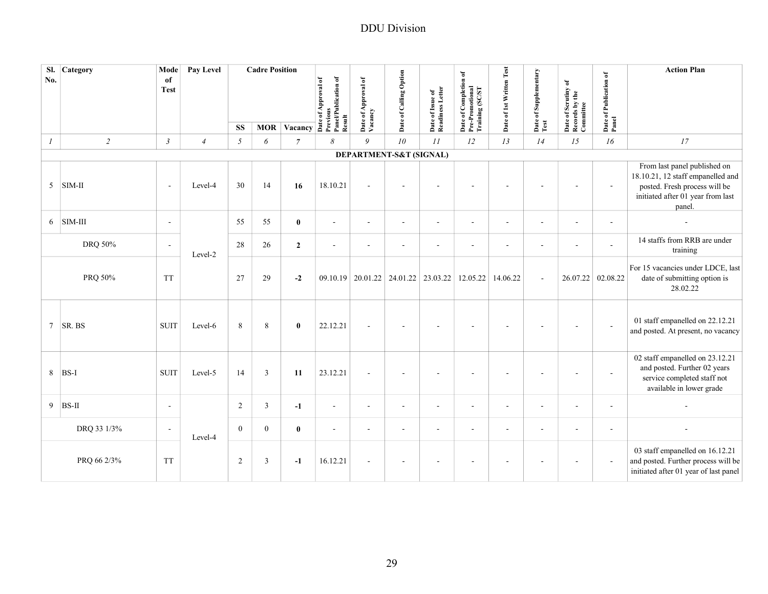| SI.<br>No.      | Category    | Mode<br>of<br><b>Test</b> | Pay Level      |              | <b>Cadre Position</b> | MOR $Vacancy \frac{3}{2}$ | Panel/Publication of<br><b>Previous</b><br>Result | Date of Approval of<br>Vacancy | Date of Calling Option        | Date of Issue of<br>Readiness Letter | Date of Completion of<br>Pre-Promotional<br>Training (SC/ST | Date of 1st Written Test | Date of Supplementary<br>Test | Date of Scrutiny of<br>Records by the<br>Committee | Date of Publication of<br>Panel | <b>Action Plan</b>                                                                                                                                |
|-----------------|-------------|---------------------------|----------------|--------------|-----------------------|---------------------------|---------------------------------------------------|--------------------------------|-------------------------------|--------------------------------------|-------------------------------------------------------------|--------------------------|-------------------------------|----------------------------------------------------|---------------------------------|---------------------------------------------------------------------------------------------------------------------------------------------------|
|                 |             |                           |                | <b>SS</b>    |                       |                           |                                                   |                                |                               |                                      |                                                             |                          |                               |                                                    |                                 |                                                                                                                                                   |
| $\mathcal{I}$   | $\sqrt{2}$  | $\mathfrak{Z}$            | $\overline{4}$ | $\sqrt{2}$   | 6                     | $\overline{7}$            | 8                                                 | 9                              | 10<br>DEPARTMENT-S&T (SIGNAL) | $\cal II$                            | 12                                                          | 13                       | 14                            | 15                                                 | 16                              | 17                                                                                                                                                |
| 5               | $SIM-II$    | $\overline{\phantom{a}}$  | Level-4        | 30           | 14                    | 16                        | 18.10.21                                          | $\sim$                         | $\sim$                        | ÷                                    |                                                             |                          |                               |                                                    | $\sim$                          | From last panel published on<br>18.10.21, 12 staff empanelled and<br>posted. Fresh process will be<br>initiated after 01 year from last<br>panel. |
| 6               | $SIM-III$   | $\sim$                    |                | 55           | 55                    | $\bf{0}$                  | $\sim$                                            | $\sim$                         | $\blacksquare$                | $\sim$                               | $\sim$                                                      | $\blacksquare$           | $\sim$                        | $\sim$                                             | $\sim$                          | $\blacksquare$                                                                                                                                    |
|                 | DRQ 50%     | $\sim$                    | Level-2        | 28           | 26                    | $\overline{2}$            | $\sim$                                            | $\overline{\phantom{a}}$       | $\blacksquare$                | $\sim$                               | $\sim$                                                      | $\blacksquare$           | $\sim$                        | $\sim$                                             | $\sim$                          | 14 staffs from RRB are under<br>training                                                                                                          |
|                 | PRQ 50%     | <b>TT</b>                 |                | 27           | 29                    | $-2$                      | 09.10.19                                          | 20.01.22                       | 24.01.22                      | 23.03.22                             | 12.05.22                                                    | 14.06.22                 | $\sim$                        | 26.07.22                                           | 02.08.22                        | For 15 vacancies under LDCE, last<br>date of submitting option is<br>28.02.22                                                                     |
| $7\overline{ }$ | SR. BS      | <b>SUIT</b>               | Level-6        | 8            | 8                     | $\bf{0}$                  | 22.12.21                                          | $\sim$                         | $\overline{\phantom{a}}$      | ÷                                    |                                                             |                          |                               | ÷.                                                 | $\sim$                          | 01 staff empanelled on 22.12.21<br>and posted. At present, no vacancy                                                                             |
| 8               | BS-I        | <b>SUIT</b>               | Level-5        | 14           | $\overline{3}$        | 11                        | 23.12.21                                          | $\sim$                         | $\blacksquare$                | ä,                                   |                                                             |                          |                               |                                                    | $\overline{\phantom{a}}$        | 02 staff empanelled on 23.12.21<br>and posted. Further 02 years<br>service completed staff not<br>available in lower grade                        |
| 9               | $BS-II$     | $\sim$                    |                | $\sqrt{2}$   | $\overline{3}$        | $-1$                      | $\sim$                                            | $\sim$                         | $\sim$                        | $\sim$                               | $\sim$                                                      | $\blacksquare$           | $\sim$                        | $\sim$                                             | $\sim$                          |                                                                                                                                                   |
|                 | DRQ 33 1/3% | $\sim$                    | Level-4        | $\mathbf{0}$ | $\boldsymbol{0}$      | $\bf{0}$                  | $\sim$                                            | $\sim$                         | $\sim$                        | $\overline{\phantom{a}}$             | $\overline{a}$                                              | $\sim$                   | $\sim$                        | $\sim$                                             | $\sim$                          |                                                                                                                                                   |
|                 | PRQ 66 2/3% | <b>TT</b>                 |                | 2            | $\mathfrak{Z}$        | $-1$                      | 16.12.21                                          |                                | ÷,                            | ä,                                   |                                                             |                          |                               |                                                    | $\sim$                          | 03 staff empanelled on 16.12.21<br>and posted. Further process will be<br>initiated after 01 year of last panel                                   |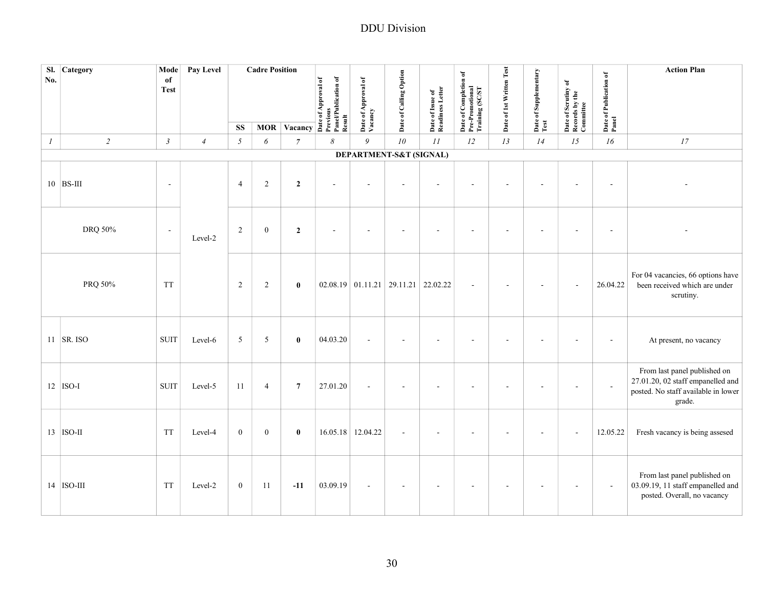| No.              | Sl. Category | Mode<br>of<br><b>Test</b> | Pay Level      |                | <b>Cadre Position</b> | MOR Vacancy $\overrightarrow{a}$ $\overrightarrow{b}$ $\overrightarrow{c}$ $\overrightarrow{d}$ $\overrightarrow{c}$ $\overrightarrow{d}$ $\overrightarrow{b}$ $\overrightarrow{a}$ $\overrightarrow{c}$ $\overrightarrow{a}$ $\overrightarrow{c}$ $\overrightarrow{a}$ $\overrightarrow{c}$ $\overrightarrow{a}$ $\overrightarrow{c}$ $\overrightarrow{a}$ $\overrightarrow{c}$ $\overrightarrow{a}$ $\overrightarrow{c}$ |                | Date of Approval of<br>Vacancy        | Date of Calling Option | Date of Issue of<br>Readiness Letter | Date of Completion of<br>Pre-Promotional<br>Training (SC/ST | Date of 1st Written Test | Date of Supplementary<br>Test | Date of Scrutiny of<br>Records by the<br>Committee | Date of Publication of<br>Panel | <b>Action Plan</b>                                                                                                 |
|------------------|--------------|---------------------------|----------------|----------------|-----------------------|----------------------------------------------------------------------------------------------------------------------------------------------------------------------------------------------------------------------------------------------------------------------------------------------------------------------------------------------------------------------------------------------------------------------------|----------------|---------------------------------------|------------------------|--------------------------------------|-------------------------------------------------------------|--------------------------|-------------------------------|----------------------------------------------------|---------------------------------|--------------------------------------------------------------------------------------------------------------------|
|                  |              |                           |                | <b>SS</b>      |                       |                                                                                                                                                                                                                                                                                                                                                                                                                            | Result         |                                       |                        |                                      |                                                             |                          |                               |                                                    |                                 |                                                                                                                    |
| $\boldsymbol{l}$ | $\sqrt{2}$   | $\mathfrak{Z}$            | $\overline{4}$ | $\sqrt{2}$     | 6                     | $\boldsymbol{7}$                                                                                                                                                                                                                                                                                                                                                                                                           | 8              | $\mathfrak g$                         | 10                     | $\bar{H}$                            | 12                                                          | 13                       | 14                            | 15                                                 | 16                              | 17                                                                                                                 |
|                  |              |                           |                |                |                       |                                                                                                                                                                                                                                                                                                                                                                                                                            |                | DEPARTMENT-S&T (SIGNAL)               |                        |                                      |                                                             |                          |                               |                                                    |                                 |                                                                                                                    |
|                  | $10$ BS-III  | $\blacksquare$            |                | $\overline{4}$ | $\overline{c}$        | $\overline{2}$                                                                                                                                                                                                                                                                                                                                                                                                             | $\overline{a}$ |                                       |                        |                                      |                                                             |                          |                               |                                                    |                                 |                                                                                                                    |
|                  | DRQ 50%      | $\overline{\phantom{a}}$  | Level-2        | $\sqrt{2}$     | $\boldsymbol{0}$      | $\boldsymbol{2}$                                                                                                                                                                                                                                                                                                                                                                                                           | ÷.             |                                       | ä,                     | ä,                                   |                                                             |                          |                               | ÷.                                                 | ÷.                              |                                                                                                                    |
|                  | PRQ 50%      | <b>TT</b>                 |                | 2              | 2                     | $\bf{0}$                                                                                                                                                                                                                                                                                                                                                                                                                   |                | $02.08.19$ 01.11.21 29.11.21 22.02.22 |                        |                                      | $\sim$                                                      |                          |                               | L,                                                 | 26.04.22                        | For 04 vacancies, 66 options have<br>been received which are under<br>scrutiny.                                    |
|                  | $11$ SR. ISO | <b>SUIT</b>               | Level-6        | 5              | 5                     | $\bf{0}$                                                                                                                                                                                                                                                                                                                                                                                                                   | 04.03.20       | $\sim$                                | ÷.                     | ÷                                    |                                                             |                          |                               |                                                    | $\blacksquare$                  | At present, no vacancy                                                                                             |
|                  | $12$ ISO-I   | <b>SUIT</b>               | Level-5        | 11             | $\overline{4}$        | $\overline{7}$                                                                                                                                                                                                                                                                                                                                                                                                             | 27.01.20       | $\sim$                                | ÷,                     | ٠                                    |                                                             |                          |                               | $\blacksquare$                                     | $\overline{\phantom{a}}$        | From last panel published on<br>27.01.20, 02 staff empanelled and<br>posted. No staff available in lower<br>grade. |
|                  | $13$ ISO-II  | <b>TT</b>                 | Level-4        | $\mathbf{0}$   | $\overline{0}$        | $\bf{0}$                                                                                                                                                                                                                                                                                                                                                                                                                   |                | 16.05.18 12.04.22                     | J.                     |                                      |                                                             |                          |                               |                                                    | 12.05.22                        | Fresh vacancy is being assesed                                                                                     |
|                  | $14$ ISO-III | <b>TT</b>                 | Level-2        | $\mathbf{0}$   | 11                    | $-11$                                                                                                                                                                                                                                                                                                                                                                                                                      | 03.09.19       |                                       | ÷,                     |                                      |                                                             |                          |                               |                                                    | $\overline{\phantom{a}}$        | From last panel published on<br>03.09.19, 11 staff empanelled and<br>posted. Overall, no vacancy                   |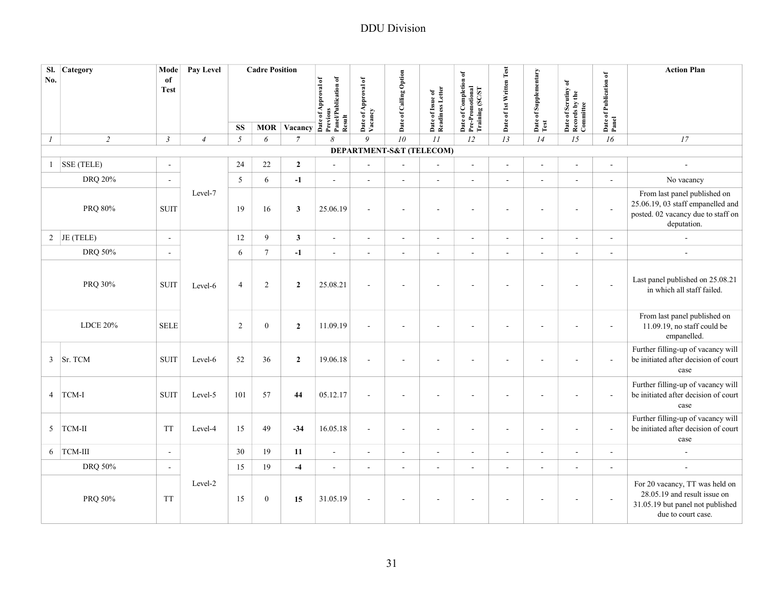| SI.<br>No.       | <b>Category</b> | Mode<br>of               | Pay Level      |                | <b>Cadre Position</b> |                                                                                                                                                                                                                                                                                                                                                             |                          |                                |                        |                                      |                                                             |                          |                               |                                                    |                                 | <b>Action Plan</b>                                                                                                       |
|------------------|-----------------|--------------------------|----------------|----------------|-----------------------|-------------------------------------------------------------------------------------------------------------------------------------------------------------------------------------------------------------------------------------------------------------------------------------------------------------------------------------------------------------|--------------------------|--------------------------------|------------------------|--------------------------------------|-------------------------------------------------------------|--------------------------|-------------------------------|----------------------------------------------------|---------------------------------|--------------------------------------------------------------------------------------------------------------------------|
|                  |                 | <b>Test</b>              |                |                |                       | MOR Vacancy $\overrightarrow{B}$ $\overrightarrow{B}$ $\overrightarrow{C}$ $\overrightarrow{C}$ $\overrightarrow{C}$ $\overrightarrow{C}$ $\overrightarrow{C}$ $\overrightarrow{C}$ $\overrightarrow{C}$ $\overrightarrow{C}$ $\overrightarrow{C}$ $\overrightarrow{C}$ $\overrightarrow{C}$ $\overrightarrow{C}$ $\overrightarrow{C}$ $\overrightarrow{C}$ |                          | Date of Approval of<br>Vacancy | Date of Calling Option | Date of Issue of<br>Readiness Letter | Date of Completion of<br>Pre-Promotional<br>Training (SC/ST | Date of 1st Written Test | Date of Supplementary<br>Test | Date of Scrutiny of<br>Records by the<br>Committee | Date of Publication of<br>Panel |                                                                                                                          |
|                  |                 |                          |                | <b>SS</b>      |                       |                                                                                                                                                                                                                                                                                                                                                             | Result                   |                                |                        |                                      |                                                             |                          |                               |                                                    |                                 |                                                                                                                          |
| $\boldsymbol{I}$ | $\overline{c}$  | $\mathfrak{Z}$           | $\overline{4}$ | $\mathfrak{I}$ | 6                     | $\overline{7}$                                                                                                                                                                                                                                                                                                                                              | 8                        | 9                              | 10                     | II                                   | 12                                                          | 13                       | 14                            | 15                                                 | 16                              | $\ensuremath{\mathit{17}}$                                                                                               |
|                  |                 |                          |                |                |                       |                                                                                                                                                                                                                                                                                                                                                             |                          | DEPARTMENT-S&T (TELECOM)       |                        |                                      |                                                             |                          |                               |                                                    |                                 |                                                                                                                          |
|                  | $1$ SSE (TELE)  | $\overline{\phantom{a}}$ |                | 24             | $22\,$                | $\overline{2}$                                                                                                                                                                                                                                                                                                                                              | $\blacksquare$           | $\sim$                         | $\sim$                 | $\overline{a}$                       | ä,                                                          | $\overline{\phantom{a}}$ | $\sim$                        | ä,                                                 | $\overline{\phantom{a}}$        | $\sim$                                                                                                                   |
|                  | DRQ 20%         | $\sim$                   |                | 5              | 6                     | $-1$                                                                                                                                                                                                                                                                                                                                                        | $\overline{a}$           | $\sim$                         | $\sim$                 | $\blacksquare$                       | ä,                                                          | $\blacksquare$           | $\sim$                        | $\overline{\phantom{a}}$                           | $\sim$                          | No vacancy                                                                                                               |
|                  | PRQ 80%         | <b>SUIT</b>              | Level-7        | 19             | 16                    | $\mathbf{3}$                                                                                                                                                                                                                                                                                                                                                | 25.06.19                 | $\sim$                         | ÷.                     | $\overline{\phantom{a}}$             | $\overline{\phantom{a}}$                                    | ÷.                       |                               | $\overline{\phantom{a}}$                           | $\sim$                          | From last panel published on<br>25.06.19, 03 staff empanelled and<br>posted. 02 vacancy due to staff on<br>deputation.   |
|                  | 2 JE (TELE)     | $\sim$                   |                | $12\,$         | 9                     | $\mathbf{3}$                                                                                                                                                                                                                                                                                                                                                | $\overline{\phantom{a}}$ | $\sim$                         | $\sim$                 | $\blacksquare$                       | $\overline{a}$                                              | $\sim$                   | $\mathbf{r}$                  | $\blacksquare$                                     | ÷,                              | ÷,                                                                                                                       |
|                  | DRQ 50%         | $\overline{a}$           |                | 6              | $\tau$                | $-1$                                                                                                                                                                                                                                                                                                                                                        | $\overline{a}$           | $\sim$                         | $\sim$                 | $\overline{a}$                       | ä,                                                          |                          | $\sim$                        | ä,                                                 | $\overline{a}$                  | $\overline{a}$                                                                                                           |
|                  | PRQ 30%         | <b>SUIT</b>              | Level-6        | $\overline{4}$ | $\overline{2}$        | $\overline{2}$                                                                                                                                                                                                                                                                                                                                              | 25.08.21                 |                                | $\blacksquare$         | $\overline{\phantom{a}}$             |                                                             |                          |                               | ä,                                                 | ÷,                              | Last panel published on 25.08.21<br>in which all staff failed.                                                           |
|                  | LDCE 20%        | <b>SELE</b>              |                | $\overline{c}$ | $\boldsymbol{0}$      | $\mathbf{2}$                                                                                                                                                                                                                                                                                                                                                | 11.09.19                 | $\sim$                         | ÷.                     | ÷,                                   | $\overline{a}$                                              |                          |                               | $\overline{a}$                                     | $\overline{\phantom{a}}$        | From last panel published on<br>11.09.19, no staff could be<br>empanelled.                                               |
| $\mathbf{3}$     | Sr. TCM         | <b>SUIT</b>              | Level-6        | 52             | 36                    | $\overline{2}$                                                                                                                                                                                                                                                                                                                                              | 19.06.18                 |                                |                        |                                      |                                                             |                          |                               |                                                    |                                 | Further filling-up of vacancy will<br>be initiated after decision of court<br>case                                       |
|                  | 4 TCM-I         | <b>SUIT</b>              | Level-5        | 101            | 57                    | 44                                                                                                                                                                                                                                                                                                                                                          | 05.12.17                 | ×.                             |                        | ÷,                                   | ٠                                                           |                          |                               |                                                    | $\blacksquare$                  | Further filling-up of vacancy will<br>be initiated after decision of court<br>case                                       |
|                  | 5 TCM-II        | <b>TT</b>                | Level-4        | 15             | 49                    | $-34$                                                                                                                                                                                                                                                                                                                                                       | 16.05.18                 | $\sim$                         | $\sim$                 | $\sim$                               | $\overline{a}$                                              | ÷.                       |                               | $\overline{a}$                                     | $\sim$                          | Further filling-up of vacancy will<br>be initiated after decision of court<br>case                                       |
|                  | 6 TCM-III       | $\sim$                   |                | 30             | 19                    | 11                                                                                                                                                                                                                                                                                                                                                          | $\overline{\phantom{a}}$ | $\sim$                         | $\blacksquare$         | $\blacksquare$                       | ÷,                                                          | $\sim$                   | $\sim$                        | ÷,                                                 | ÷,                              | $\sim$                                                                                                                   |
|                  | DRQ 50%         | $\overline{\phantom{a}}$ |                | 15             | 19                    | $-4$                                                                                                                                                                                                                                                                                                                                                        | $\overline{\phantom{a}}$ | $\sim$                         | $\blacksquare$         | $\blacksquare$                       | ä,                                                          | $\blacksquare$           | $\sim$                        | ÷,                                                 | $\sim$                          | $\sim$                                                                                                                   |
|                  | PRQ 50%         | <b>TT</b>                | Level-2        | 15             | $\boldsymbol{0}$      | 15                                                                                                                                                                                                                                                                                                                                                          | 31.05.19                 | $\sim$                         | ÷.                     | $\overline{\phantom{a}}$             | ä,                                                          |                          |                               | $\overline{\phantom{a}}$                           | $\sim$                          | For 20 vacancy, TT was held on<br>28.05.19 and result issue on<br>31.05.19 but panel not published<br>due to court case. |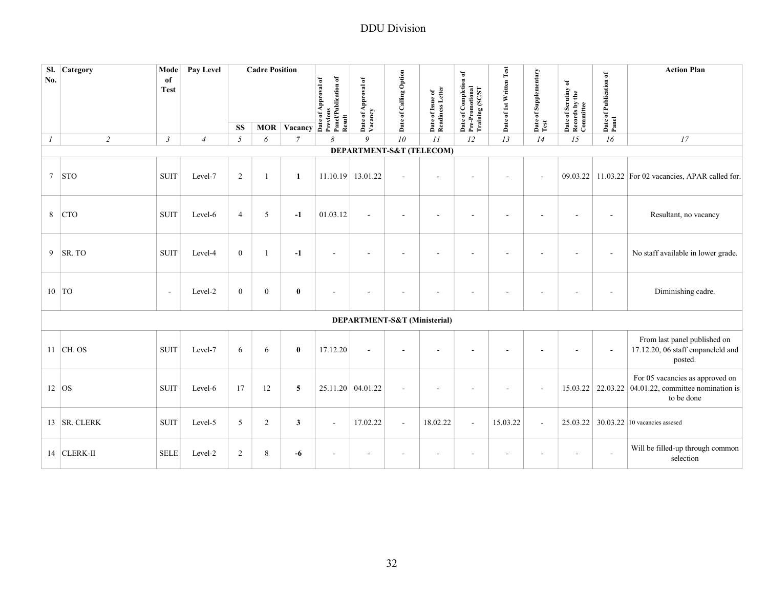| SI.<br>No. | Category       | Mode<br>of<br><b>Test</b> | Pay Level      |                  | <b>Cadre Position</b> | MOR Vacancy $\overline{\text{Area}}$ $\overline{\text{Area}}$ $\overline{\text{Area}}$ $\overline{\text{Area}}$ $\overline{\text{Area}}$ $\overline{\text{Area}}$ $\overline{\text{Area}}$ $\overline{\text{Area}}$ $\overline{\text{Area}}$ $\overline{\text{Area}}$ $\overline{\text{Area}}$ $\overline{\text{Area}}$ $\overline{\text{Area}}$ $\overline{\text{Area}}$ $\overline{\text{Area}}$ $\overline{\text{Area}}$ $\overline{\text{Area}}$ $\overline{\text{Area}}$ $\overline{\text{Area}}$ |                   | Date of Approval of<br>Vacancy | Date of Calling Option       | Date of Issue of<br>Readiness Letter | of Completion of<br>Date of Completion<br>Pre-Promotional<br>Training (SC/ST | Date of 1st Written Test | Date of Supplementary<br>Test | Date of Scrutiny of<br>Records by the<br>Committee | Date of Publication of<br>Panel | <b>Action Plan</b>                                                                 |
|------------|----------------|---------------------------|----------------|------------------|-----------------------|--------------------------------------------------------------------------------------------------------------------------------------------------------------------------------------------------------------------------------------------------------------------------------------------------------------------------------------------------------------------------------------------------------------------------------------------------------------------------------------------------------|-------------------|--------------------------------|------------------------------|--------------------------------------|------------------------------------------------------------------------------|--------------------------|-------------------------------|----------------------------------------------------|---------------------------------|------------------------------------------------------------------------------------|
|            | $\overline{2}$ |                           |                | <b>SS</b>        |                       | $\overline{7}$                                                                                                                                                                                                                                                                                                                                                                                                                                                                                         |                   | $\overline{Q}$                 | 10                           | 11                                   | 12                                                                           | 13                       |                               | 15                                                 | 16                              |                                                                                    |
| $\cal I$   |                | $\mathfrak{Z}$            | $\overline{4}$ | $\sqrt{2}$       | 6                     |                                                                                                                                                                                                                                                                                                                                                                                                                                                                                                        | 8                 |                                |                              | DEPARTMENT-S&T (TELECOM)             |                                                                              |                          | 14                            |                                                    |                                 | 17                                                                                 |
|            |                |                           |                |                  |                       |                                                                                                                                                                                                                                                                                                                                                                                                                                                                                                        |                   |                                |                              |                                      |                                                                              |                          |                               |                                                    |                                 |                                                                                    |
| $\tau$     | <b>STO</b>     | <b>SUIT</b>               | Level-7        | 2                | 1                     | 1                                                                                                                                                                                                                                                                                                                                                                                                                                                                                                      | 11.10.19 13.01.22 |                                | $\sim$                       |                                      |                                                                              |                          | $\sim$                        | 09.03.22                                           |                                 | 11.03.22 For 02 vacancies, APAR called for.                                        |
| 8          | <b>CTO</b>     | <b>SUIT</b>               | Level-6        | $\overline{4}$   | 5                     | $-1$                                                                                                                                                                                                                                                                                                                                                                                                                                                                                                   | 01.03.12          |                                | ÷,                           | ÷                                    |                                                                              |                          |                               |                                                    | $\sim$                          | Resultant, no vacancy                                                              |
|            | $9$ SR. TO     | <b>SUIT</b>               | Level-4        | $\boldsymbol{0}$ |                       | $-1$                                                                                                                                                                                                                                                                                                                                                                                                                                                                                                   | ä,                |                                | $\overline{\phantom{a}}$     |                                      |                                                                              |                          |                               |                                                    | ÷.                              | No staff available in lower grade.                                                 |
| $10$ TO    |                | $\overline{\phantom{a}}$  | Level-2        | $\mathbf{0}$     | $\boldsymbol{0}$      | $\bf{0}$                                                                                                                                                                                                                                                                                                                                                                                                                                                                                               |                   |                                | $\overline{a}$               |                                      |                                                                              |                          |                               |                                                    |                                 | Diminishing cadre.                                                                 |
|            |                |                           |                |                  |                       |                                                                                                                                                                                                                                                                                                                                                                                                                                                                                                        |                   |                                | DEPARTMENT-S&T (Ministerial) |                                      |                                                                              |                          |                               |                                                    |                                 |                                                                                    |
|            | $11$ CH. OS    | <b>SUIT</b>               | Level-7        | 6                | 6                     | $\bf{0}$                                                                                                                                                                                                                                                                                                                                                                                                                                                                                               | 17.12.20          |                                |                              |                                      |                                                                              |                          |                               |                                                    |                                 | From last panel published on<br>17.12.20, 06 staff empaneleld and<br>posted.       |
| $12$ OS    |                | <b>SUIT</b>               | Level-6        | 17               | 12                    | 5                                                                                                                                                                                                                                                                                                                                                                                                                                                                                                      | 25.11.20 04.01.22 |                                | $\overline{\phantom{a}}$     |                                      |                                                                              |                          | $\blacksquare$                | 15.03.22                                           | 22.03.22                        | For 05 vacancies as approved on<br>04.01.22, committee nomination is<br>to be done |
|            | 13 SR. CLERK   | <b>SUIT</b>               | Level-5        | $\mathfrak{S}$   | $\overline{2}$        | $\mathbf{3}$                                                                                                                                                                                                                                                                                                                                                                                                                                                                                           | $\sim$            | 17.02.22                       | $\Box$                       | 18.02.22                             | $\omega$                                                                     | 15.03.22                 | $\blacksquare$                |                                                    |                                 | 25.03.22 30.03.22 10 vacancies assesed                                             |
|            | 14 CLERK-II    | <b>SELE</b>               | Level-2        | 2                | 8                     | -6                                                                                                                                                                                                                                                                                                                                                                                                                                                                                                     | $\blacksquare$    | $\sim$                         | $\blacksquare$               | $\overline{\phantom{a}}$             | $\overline{a}$                                                               |                          | $\blacksquare$                | $\blacksquare$                                     | $\sim$                          | Will be filled-up through common<br>selection                                      |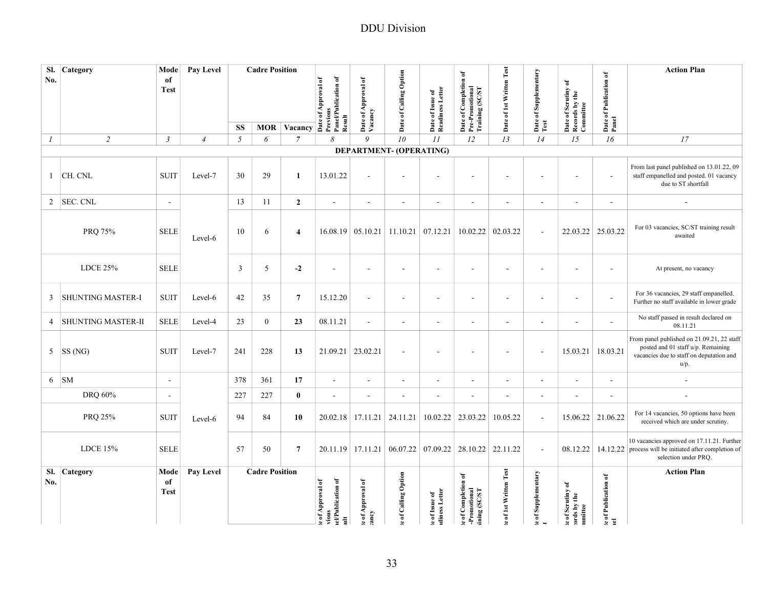| SI.              | Category                  | Mode           | Pay Level      |           | <b>Cadre Position</b> |                         |                                                                         |                                                       |                          |                                                             | $\mathfrak{b}$                                             |                          |                               |                                                    |                                          | <b>Action Plan</b>                                                                                                  |
|------------------|---------------------------|----------------|----------------|-----------|-----------------------|-------------------------|-------------------------------------------------------------------------|-------------------------------------------------------|--------------------------|-------------------------------------------------------------|------------------------------------------------------------|--------------------------|-------------------------------|----------------------------------------------------|------------------------------------------|---------------------------------------------------------------------------------------------------------------------|
| No.              |                           | of             |                |           |                       |                         |                                                                         |                                                       |                          |                                                             |                                                            |                          |                               | $\mathbf{\hat{e}}$                                 |                                          |                                                                                                                     |
|                  |                           | <b>Test</b>    |                |           |                       |                         | of Approval of                                                          |                                                       |                          |                                                             |                                                            |                          |                               |                                                    |                                          |                                                                                                                     |
|                  |                           |                |                |           |                       |                         |                                                                         |                                                       |                          |                                                             |                                                            |                          |                               |                                                    |                                          |                                                                                                                     |
|                  |                           |                |                | <b>SS</b> |                       | <b>MOR Vacancy</b>      | Panel/Publication of<br><b>Previous</b><br>Result<br>$_{\rm \bf{Date}}$ | Date of Approval of<br>Vacancy                        | Date of Calling Option   | Date of Issue of<br>Readiness Letter                        | Date of Completion o<br>Pre-Promotional<br>Training (SC/ST | Date of 1st Written Test | Date of Supplementary<br>Test | Date of Scrutiny of<br>Records by the<br>Committee | Date of Publication of<br>Panel          |                                                                                                                     |
| $\boldsymbol{l}$ | $\overline{2}$            | $\mathfrak{Z}$ | $\overline{4}$ | 5         | 6                     | $\overline{7}$          | 8                                                                       | 9                                                     | 10 <sup>2</sup>          | II                                                          | 12                                                         | 13                       | 14                            | 15                                                 | 16                                       | 17                                                                                                                  |
|                  |                           |                |                |           |                       |                         |                                                                         | DEPARTMENT- (OPERATING)                               |                          |                                                             |                                                            |                          |                               |                                                    |                                          |                                                                                                                     |
| $\mathbf{1}$     | CH. CNL                   | <b>SUIT</b>    | Level-7        | 30        | 29                    | 1                       | 13.01.22                                                                | $\sim$                                                | $\overline{\phantom{a}}$ | $\overline{\phantom{a}}$                                    |                                                            | ÷,                       |                               |                                                    | $\sim$                                   | From last panel published on 13.01.22, 09<br>staff empanelled and posted. 01 vacancy<br>due to ST shortfall         |
| $\overline{2}$   | <b>SEC. CNL</b>           | $\sim$         |                | 13        | 11                    | $\overline{2}$          | $\sim$                                                                  | $\sim$                                                | $\blacksquare$           | $\blacksquare$                                              | $\sim$                                                     | $\blacksquare$           | $\sim$                        | $\sim$                                             | $\sim$                                   | $\overline{\phantom{a}}$                                                                                            |
|                  |                           |                |                |           |                       |                         |                                                                         |                                                       |                          |                                                             |                                                            |                          |                               |                                                    |                                          |                                                                                                                     |
|                  | PRQ 75%                   | <b>SELE</b>    |                | 10        | 6                     | $\overline{\mathbf{4}}$ |                                                                         | $16.08.19 \mid 05.10.21 \mid 11.10.21 \mid 07.12.21$  |                          |                                                             | 10.02.22                                                   | 02.03.22                 | $\overline{\phantom{a}}$      |                                                    | 22.03.22 25.03.22                        | For 03 vacancies, SC/ST training result                                                                             |
|                  |                           |                | Level-6        |           |                       |                         |                                                                         |                                                       |                          |                                                             |                                                            |                          |                               |                                                    |                                          | awaited                                                                                                             |
|                  |                           |                |                |           |                       |                         |                                                                         |                                                       |                          |                                                             |                                                            |                          |                               |                                                    |                                          |                                                                                                                     |
|                  | <b>LDCE 25%</b>           | <b>SELE</b>    |                | 3         | 5                     | $-2$                    | $\blacksquare$                                                          |                                                       | $\blacksquare$           | $\sim$                                                      | $\sim$                                                     | $\blacksquare$           | $\sim$                        |                                                    | $\sim$                                   | At present, no vacancy                                                                                              |
|                  |                           |                |                |           |                       |                         |                                                                         |                                                       |                          |                                                             |                                                            |                          |                               |                                                    |                                          |                                                                                                                     |
| 3                | <b>SHUNTING MASTER-I</b>  | <b>SUIT</b>    | Level-6        | 42        | 35                    | $\overline{7}$          | 15.12.20                                                                | $\sim$                                                | $\sim$                   | $\overline{\phantom{a}}$                                    |                                                            | ÷,                       | $\sim$                        | $\sim$                                             | ÷,                                       | For 36 vacancies, 29 staff empanelled.<br>Further no staff available in lower grade                                 |
|                  |                           |                |                |           |                       |                         |                                                                         |                                                       |                          |                                                             |                                                            |                          |                               |                                                    |                                          |                                                                                                                     |
| $\overline{4}$   | <b>SHUNTING MASTER-II</b> | <b>SELE</b>    | Level-4        | 23        | $\overline{0}$        | 23                      | 08.11.21                                                                | $\sim$                                                | $\overline{\phantom{a}}$ | $\sim$                                                      |                                                            | $\blacksquare$           | $\sim$                        | $\overline{\phantom{a}}$                           | $\overline{a}$                           | No staff passed in result declared on<br>08.11.21                                                                   |
|                  |                           |                |                |           |                       |                         |                                                                         |                                                       |                          |                                                             |                                                            |                          |                               |                                                    |                                          | From panel published on 21.09.21, 22 staff                                                                          |
| 5                | SS(NG)                    | <b>SUIT</b>    | Level-7        | 241       | 228                   | 13                      |                                                                         | 21.09.21 23.02.21                                     | $\blacksquare$           | $\blacksquare$                                              | $\sim$                                                     | $\blacksquare$           | $\sim$                        | 15.03.21                                           | 18.03.21                                 | posted and 01 staff u/p. Remaining                                                                                  |
|                  |                           |                |                |           |                       |                         |                                                                         |                                                       |                          |                                                             |                                                            |                          |                               |                                                    |                                          | vacancies due to staff on deputation and<br>u/p.                                                                    |
| 6                | <b>SM</b>                 | $\blacksquare$ |                | 378       | 361                   | 17                      | $\blacksquare$                                                          | $\blacksquare$                                        | $\blacksquare$           | $\blacksquare$                                              | $\overline{\phantom{a}}$                                   | $\overline{\phantom{a}}$ | $\blacksquare$                | $\blacksquare$                                     | $\blacksquare$                           |                                                                                                                     |
|                  | DRO 60%                   | $\blacksquare$ |                | 227       | 227                   | $\bf{0}$                | $\sim$                                                                  | $\sim$                                                | $\blacksquare$           | $\overline{\phantom{a}}$                                    | $\sim$                                                     | $\blacksquare$           | $\sim$                        |                                                    | $\overline{\phantom{a}}$                 | $\sim$                                                                                                              |
|                  |                           |                |                |           |                       |                         |                                                                         |                                                       |                          |                                                             |                                                            |                          |                               |                                                    |                                          |                                                                                                                     |
|                  | PRQ 25%                   | <b>SUIT</b>    | Level-6        | 94        | 84                    | 10                      |                                                                         | $20.02.18$   17.11.21   24.11.21                      |                          | 10.02.22                                                    | 23.03.22                                                   | 10.05.22                 | $\bar{\phantom{a}}$           |                                                    | 15.06.22 21.06.22                        | For 14 vacancies, 50 options have been<br>received which are under scrutiny.                                        |
|                  |                           |                |                |           |                       |                         |                                                                         |                                                       |                          |                                                             |                                                            |                          |                               |                                                    |                                          |                                                                                                                     |
|                  | LDCE $15%$                | <b>SELE</b>    |                | 57        | 50                    | $\overline{7}$          |                                                                         | 20.11.19 17.11.21 06.07.22 07.09.22 28.10.22 22.11.22 |                          |                                                             |                                                            |                          | $\mathbb{Z}^2$                |                                                    |                                          | 10 vacancies approved on 17.11.21. Further<br>$08.12.22$   14.12.22   process will be initiated after completion of |
|                  |                           |                |                |           |                       |                         |                                                                         |                                                       |                          |                                                             |                                                            |                          |                               |                                                    |                                          | selection under PRO.                                                                                                |
| SI.              | Category                  | Mode           | Pay Level      |           | <b>Cadre Position</b> |                         |                                                                         |                                                       |                          |                                                             | $\overline{\bullet}$                                       |                          |                               |                                                    |                                          | <b>Action Plan</b>                                                                                                  |
| No.              |                           | of             |                |           |                       |                         |                                                                         |                                                       |                          |                                                             |                                                            |                          |                               |                                                    |                                          |                                                                                                                     |
|                  |                           | <b>Test</b>    |                |           | of Approval of        |                         |                                                                         |                                                       |                          |                                                             |                                                            |                          |                               |                                                    |                                          |                                                                                                                     |
|                  |                           |                |                |           |                       |                         | el/Publication of<br>vious                                              | e of Approval of                                      | e of Calling Option      | $\boldsymbol{x}$ of Issue of $\boldsymbol{u}$ diness Letter | of Completion<br>-Promotional<br>ining (SC/ST              | of 1st Written Test      | e of Supplementary            | of Scrutiny of<br>ords by the<br>mmittee           | <b><i>x</i></b> of Publication of<br>tel |                                                                                                                     |
|                  |                           |                |                |           |                       |                         | 블                                                                       | <b>Aurey</b>                                          |                          |                                                             | $\bullet$                                                  |                          |                               | $\bullet$                                          |                                          |                                                                                                                     |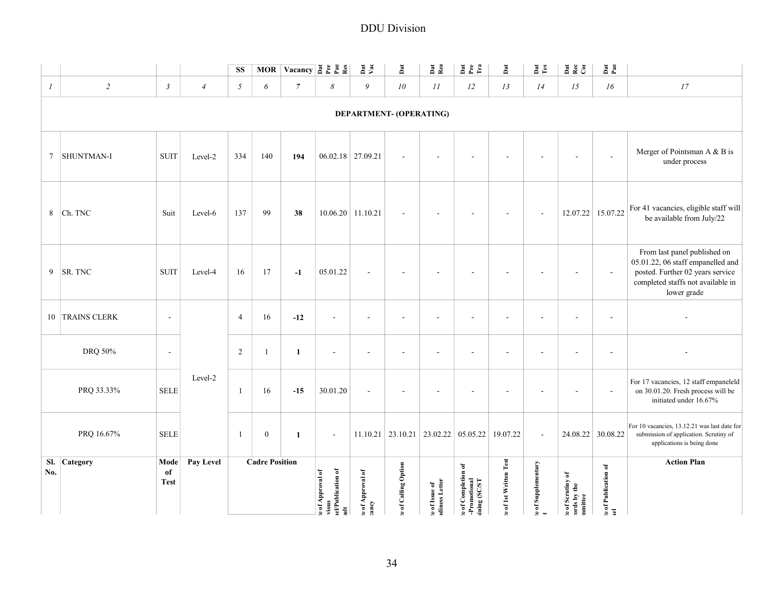|                     |                     |                           |                |                |                       |                |                                                                     |                           | <b>DDU</b> Division      |                                |                                                    |                       |                                    |                                            |                            |                                                                                                                                                           |
|---------------------|---------------------|---------------------------|----------------|----------------|-----------------------|----------------|---------------------------------------------------------------------|---------------------------|--------------------------|--------------------------------|----------------------------------------------------|-----------------------|------------------------------------|--------------------------------------------|----------------------------|-----------------------------------------------------------------------------------------------------------------------------------------------------------|
|                     |                     |                           |                | SS             |                       |                | MOR Vacancy $\frac{8}{6}$ $\frac{8}{6}$ $\frac{8}{6}$ $\frac{8}{6}$ | $\frac{Dat}{Va}$          | Dat                      | Dat<br>Rea                     | E L<br>E<br>F<br>F<br>E                            | <b>Bat</b>            | $_{\rm Te}^{\rm at}$               | <b>A</b> & G                               | $D_{\text{all}}$           |                                                                                                                                                           |
| $\mathcal{I}$       | $\sqrt{2}$          | $\mathfrak{Z}$            | $\overline{4}$ | 5              | 6                     | $\overline{7}$ | $\boldsymbol{\delta}$                                               | 9                         | 10                       | $\cal II$                      | 12                                                 | 13                    | 14                                 | 15                                         | 16                         | $\ensuremath{\mathit{17}}$                                                                                                                                |
|                     |                     |                           |                |                |                       |                |                                                                     |                           | DEPARTMENT- (OPERATING)  |                                |                                                    |                       |                                    |                                            |                            |                                                                                                                                                           |
| $7\phantom{.0}$     | SHUNTMAN-I          | <b>SUIT</b>               | Level-2        | 334            | 140                   | 194            | 06.02.18 27.09.21                                                   |                           | $\blacksquare$           |                                |                                                    |                       |                                    |                                            | $\sim$                     | Merger of Pointsman A & B is<br>under process                                                                                                             |
| 8                   | Ch. TNC             | Suit                      | Level-6        | 137            | 99                    | 38             |                                                                     | $10.06.20$ 11.10.21       | $\sim$                   | $\overline{\phantom{a}}$       | $\blacksquare$                                     |                       | $\sim$                             | 12.07.22                                   | 15.07.22                   | For 41 vacancies, eligible staff will<br>be available from July/22                                                                                        |
| 9                   | SR. TNC             | <b>SUIT</b>               | Level-4        | 16             | $17\,$                | $-1$           | 05.01.22                                                            | $\sim$                    | $\overline{\phantom{a}}$ |                                |                                                    |                       |                                    |                                            | $\overline{\phantom{a}}$   | From last panel published on<br>05.01.22, 06 staff empanelled and<br>posted. Further 02 years service<br>completed staffs not available in<br>lower grade |
| 10                  | <b>TRAINS CLERK</b> | $\sim$                    |                | $\overline{4}$ | 16                    | $-12$          | $\blacksquare$                                                      | $\sim$                    | $\blacksquare$           | $\sim$                         | $\sim$                                             |                       | $\sim$                             | $\sim$                                     | $\sim$                     |                                                                                                                                                           |
|                     | DRQ 50%             | $\overline{\phantom{a}}$  |                | 2              | 1                     | $\mathbf{1}$   | $\sim$                                                              | $\sim$                    | $\overline{\phantom{a}}$ | $\sim$                         | $\blacksquare$                                     | $\sim$                | $\sim$                             | $\blacksquare$                             | $\sim$                     |                                                                                                                                                           |
|                     | PRQ 33.33%          | <b>SELE</b>               | Level-2        | $\mathbf{1}$   | 16                    | $-15$          | 30.01.20                                                            | $\sim$                    | $\overline{\phantom{a}}$ | $\overline{\phantom{a}}$       | $\overline{a}$                                     |                       |                                    | $\overline{\phantom{a}}$                   | $\blacksquare$             | For 17 vacancies, 12 staff empaneleld<br>on 30.01.20. Fresh process will be<br>initiated under 16.67%                                                     |
|                     | PRQ 16.67%          | <b>SELE</b>               |                | 1              | $\boldsymbol{0}$      | 1              | $\blacksquare$                                                      |                           |                          |                                | $11.10.21$   23.10.21   23.02.22   05.05.22        | 19.07.22              | $\sim$                             |                                            | 24.08.22 30.08.22          | For 10 vacancies, 13.12.21 was last date for<br>submission of application. Scrutiny of<br>applications is being done                                      |
| Sl. Category<br>No. |                     | Mode<br>of<br><b>Test</b> | Pay Level      |                | <b>Cadre Position</b> |                | el/Publication of<br>e of Approval of<br>vious<br>$\frac{1}{2}$     | e of Approval of<br>:ancy | e of Calling Option      | e of Issue of<br>idness Letter | e of Completion of<br>-Promotional<br>ining (SC/ST | e of 1st Written Test | $\epsilon$ of Supplementary<br>$t$ | e of Scrutiny of<br>ords by the<br>nmittee | e of Publication of<br>Iel | <b>Action Plan</b>                                                                                                                                        |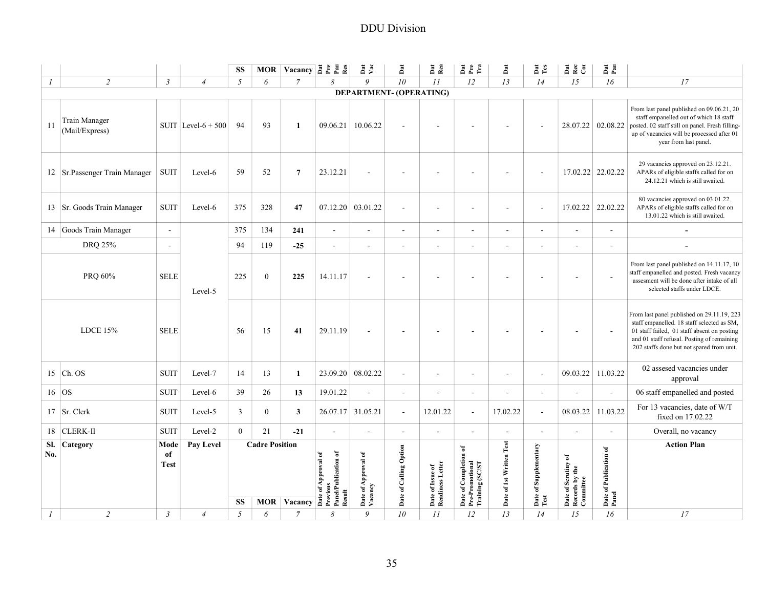|                  |                                        |                           |                       |                  |                       |                |                                                                                                                                                                                                                                                                                                                                                                                                                                                                                                                                           |                                | <b>DDU</b> Division      |                                      |                                                                 |                          |                               |                                                         |                                 |                                                                                                                                                                                                                                    |
|------------------|----------------------------------------|---------------------------|-----------------------|------------------|-----------------------|----------------|-------------------------------------------------------------------------------------------------------------------------------------------------------------------------------------------------------------------------------------------------------------------------------------------------------------------------------------------------------------------------------------------------------------------------------------------------------------------------------------------------------------------------------------------|--------------------------------|--------------------------|--------------------------------------|-----------------------------------------------------------------|--------------------------|-------------------------------|---------------------------------------------------------|---------------------------------|------------------------------------------------------------------------------------------------------------------------------------------------------------------------------------------------------------------------------------|
|                  |                                        |                           |                       | <b>SS</b>        |                       |                | MOR Vacancy $\frac{8}{6}$ $\frac{8}{6}$ $\frac{8}{6}$ $\frac{8}{6}$                                                                                                                                                                                                                                                                                                                                                                                                                                                                       | Dat<br>Vat                     | P <sub>at</sub>          | Dat<br>Rea                           | ă c c                                                           | Dat                      | Dat<br>Tes                    | ā & ā                                                   | Dat<br>Pau                      |                                                                                                                                                                                                                                    |
| $\mathcal{I}$    | $\overline{c}$                         | $\mathfrak{Z}$            | $\overline{4}$        | 5                | 6                     | $\overline{7}$ | 8                                                                                                                                                                                                                                                                                                                                                                                                                                                                                                                                         | 9                              | 10 <sup>°</sup>          | II                                   | 12                                                              | 13                       | 14                            | 15                                                      | 16                              | 17                                                                                                                                                                                                                                 |
|                  |                                        |                           |                       |                  |                       |                |                                                                                                                                                                                                                                                                                                                                                                                                                                                                                                                                           | DEPARTMENT- (OPERATING)        |                          |                                      |                                                                 |                          |                               |                                                         |                                 |                                                                                                                                                                                                                                    |
| 11               | <b>Train Manager</b><br>(Mail/Express) |                           | SUIT Level- $6 + 500$ | 94               | 93                    | 1              | 09.06.21                                                                                                                                                                                                                                                                                                                                                                                                                                                                                                                                  | 10.06.22                       |                          |                                      |                                                                 |                          |                               |                                                         | 28.07.22 02.08.22               | From last panel published on 09.06.21, 20<br>staff empanelled out of which 18 staff<br>posted. 02 staff still on panel. Fresh filling-<br>up of vacancies will be processed after 01<br>year from last panel.                      |
|                  | 12 Sr.Passenger Train Manager          | <b>SUIT</b>               | Level-6               | 59               | 52                    | $\overline{7}$ | 23.12.21                                                                                                                                                                                                                                                                                                                                                                                                                                                                                                                                  |                                |                          |                                      |                                                                 |                          |                               |                                                         | 17.02.22 22.02.22               | 29 vacancies approved on 23.12.21.<br>APARs of eligible staffs called for on<br>24.12.21 which is still awaited.                                                                                                                   |
|                  | 13   Sr. Goods Train Manager           | <b>SUIT</b>               | Level-6               | 375              | 328                   | 47             | 07.12.20                                                                                                                                                                                                                                                                                                                                                                                                                                                                                                                                  | 03.01.22                       |                          | $\overline{\phantom{a}}$             |                                                                 |                          | $\overline{\phantom{a}}$      | 17.02.22                                                | 22.02.22                        | 80 vacancies approved on 03.01.22.<br>APARs of eligible staffs called for on<br>13.01.22 which is still awaited.                                                                                                                   |
|                  | 14 Goods Train Manager                 | $\sim$                    |                       | 375              | 134                   | 241            | $\sim$                                                                                                                                                                                                                                                                                                                                                                                                                                                                                                                                    | $\blacksquare$                 | $\blacksquare$           | $\sim$                               | $\sim$                                                          | $\blacksquare$           | $\overline{\phantom{a}}$      | $\sim$                                                  | $\sim$                          |                                                                                                                                                                                                                                    |
|                  | DRQ 25%                                | $\overline{\phantom{a}}$  |                       | 94               | 119                   | $-25$          | $\blacksquare$                                                                                                                                                                                                                                                                                                                                                                                                                                                                                                                            | $\overline{\phantom{a}}$       | $\overline{\phantom{a}}$ | $\overline{\phantom{a}}$             | $\blacksquare$                                                  | $\overline{\phantom{a}}$ | $\overline{a}$                | $\overline{\phantom{a}}$                                |                                 |                                                                                                                                                                                                                                    |
|                  | PRQ 60%                                | <b>SELE</b>               | Level-5               | 225              | $\bf{0}$              | 225            | 14.11.17                                                                                                                                                                                                                                                                                                                                                                                                                                                                                                                                  |                                |                          |                                      |                                                                 |                          |                               | $\sim$                                                  |                                 | From last panel published on 14.11.17, 10<br>staff empanelled and posted. Fresh vacancy<br>assesment will be done after intake of all<br>selected staffs under LDCE.                                                               |
|                  | LDCE 15%                               | <b>SELE</b>               |                       | 56               | 15                    | 41             | 29.11.19                                                                                                                                                                                                                                                                                                                                                                                                                                                                                                                                  |                                |                          |                                      |                                                                 |                          |                               |                                                         |                                 | From last panel published on 29.11.19, 223<br>staff empanelled. 18 staff selected as SM,<br>01 staff failed, 01 staff absent on posting<br>and 01 staff refusal. Posting of remaining<br>202 staffs done but not spared from unit. |
|                  | $15$ Ch. OS                            | <b>SUIT</b>               | Level-7               | 14               | 13                    | 1              | 23.09.20                                                                                                                                                                                                                                                                                                                                                                                                                                                                                                                                  | 08.02.22                       | $\overline{\phantom{a}}$ | $\overline{\phantom{a}}$             | $\overline{\phantom{a}}$                                        | $\overline{\phantom{a}}$ | $\overline{\phantom{a}}$      | 09.03.22                                                | 11.03.22                        | 02 assesed vacancies under<br>approval                                                                                                                                                                                             |
|                  | 16 OS                                  | <b>SUIT</b>               | Level-6               | 39               | 26                    | 13             | 19.01.22                                                                                                                                                                                                                                                                                                                                                                                                                                                                                                                                  | $\blacksquare$                 | $\blacksquare$           | $\overline{\phantom{a}}$             | $\sim$                                                          | $\blacksquare$           | $\overline{\phantom{a}}$      | $\overline{\phantom{a}}$                                | $\sim$                          | 06 staff empanelled and posted                                                                                                                                                                                                     |
|                  | 17 Sr. Clerk                           | <b>SUIT</b>               | Level-5               | 3                | $\boldsymbol{0}$      | 3              |                                                                                                                                                                                                                                                                                                                                                                                                                                                                                                                                           | 26.07.17 31.05.21              | $\sim$                   | 12.01.22                             | $\omega$                                                        | 17.02.22                 | $\sim$                        | 08.03.22                                                | 11.03.22                        | For 13 vacancies, date of W/T<br>fixed on 17.02.22                                                                                                                                                                                 |
|                  | 18 CLERK-II                            | <b>SUIT</b>               | Level-2               | $\boldsymbol{0}$ | 21                    | $-21$          | $\overline{\phantom{a}}$                                                                                                                                                                                                                                                                                                                                                                                                                                                                                                                  | $\overline{\phantom{a}}$       | $\overline{\phantom{a}}$ | $\overline{\phantom{a}}$             | $\overline{\phantom{a}}$                                        | $\overline{\phantom{a}}$ | $\overline{a}$                | $\overline{\phantom{a}}$                                |                                 | Overall, no vacancy                                                                                                                                                                                                                |
| No.              | Sl. Category                           | Mode<br>of<br><b>Test</b> | Pay Level             |                  | <b>Cadre Position</b> |                | MOR Vacancy $\overrightarrow{AB}$ $\overrightarrow{AB}$ $\overrightarrow{AB}$ $\overrightarrow{BC}$ $\overrightarrow{AB}$ $\overrightarrow{BC}$ $\overrightarrow{BC}$ $\overrightarrow{BC}$ $\overrightarrow{BC}$ $\overrightarrow{BC}$ $\overrightarrow{BC}$ $\overrightarrow{BC}$ $\overrightarrow{BC}$ $\overrightarrow{BC}$ $\overrightarrow{BC}$ $\overrightarrow{BC}$ $\overrightarrow{BC}$ $\overrightarrow{BC}$ $\overrightarrow{BC}$ $\overrightarrow{BC}$ $\overrightarrow{BC}$ $\overrightarrow{BC}$ $\overrightarrow{BC}$ $\$ | Date of Approval of<br>Vacancy | Date of Calling Option   | Date of Issue of<br>Readiness Letter | Date of Completion of<br>  Pre-Promotional<br>  Training (SC/ST | Date of 1st Written Test | Date of Supplementary<br>Test | đ<br>Date of Scrutiny of<br>Records by the<br>Committee | Date of Publication of<br>Panel | <b>Action Plan</b>                                                                                                                                                                                                                 |
| $\boldsymbol{l}$ | $\overline{c}$                         | $\mathfrak{Z}$            | $\overline{4}$        | <b>SS</b><br>5   | 6                     | $\overline{7}$ | $\boldsymbol{\delta}$                                                                                                                                                                                                                                                                                                                                                                                                                                                                                                                     | 9                              | ${\it 10}$               | $\bar{H}$                            | 12                                                              | 13                       | $\cal{I}4$                    | 15                                                      | $16\,$                          | 17                                                                                                                                                                                                                                 |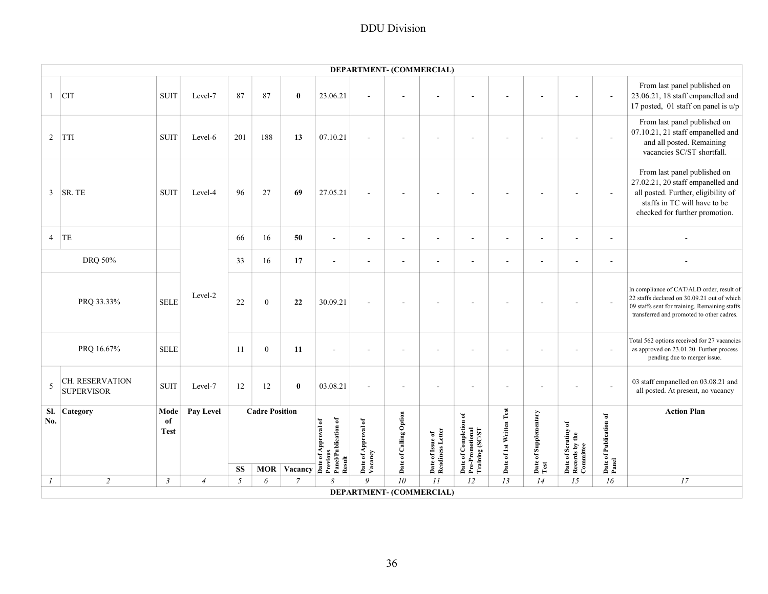|                |                                      |                           |                |     |                                     |                |                                                                   |                                | DEPARTMENT- (COMMERCIAL) |                                      |                                                             |                          |                             |                                                    |                                 |                                                                                                                                                                                        |
|----------------|--------------------------------------|---------------------------|----------------|-----|-------------------------------------|----------------|-------------------------------------------------------------------|--------------------------------|--------------------------|--------------------------------------|-------------------------------------------------------------|--------------------------|-----------------------------|----------------------------------------------------|---------------------------------|----------------------------------------------------------------------------------------------------------------------------------------------------------------------------------------|
| $\mathbf{1}$   | <b>CIT</b>                           | <b>SUIT</b>               | Level-7        | 87  | 87                                  | $\bf{0}$       | 23.06.21                                                          |                                |                          |                                      |                                                             |                          |                             |                                                    |                                 | From last panel published on<br>23.06.21, 18 staff empanelled and<br>17 posted, 01 staff on panel is $u/p$                                                                             |
| 2              | <b>TTI</b>                           | <b>SUIT</b>               | Level-6        | 201 | 188                                 | 13             | 07.10.21                                                          | ä,                             |                          |                                      |                                                             |                          |                             | $\sim$                                             |                                 | From last panel published on<br>07.10.21, 21 staff empanelled and<br>and all posted. Remaining<br>vacancies SC/ST shortfall.                                                           |
| $\mathfrak{Z}$ | SR. TE                               | <b>SUIT</b>               | Level-4        | 96  | 27                                  | 69             | 27.05.21                                                          |                                |                          |                                      |                                                             |                          |                             |                                                    |                                 | From last panel published on<br>27.02.21, 20 staff empanelled and<br>all posted. Further, eligibility of<br>staffs in TC will have to be<br>checked for further promotion.             |
| $\overline{4}$ | TE                                   |                           |                | 66  | 16                                  | 50             | $\sim$                                                            | $\overline{\phantom{a}}$       | $\overline{\phantom{a}}$ | $\overline{\phantom{a}}$             | $\sim$                                                      | $\sim$                   | $\sim$                      | $\sim$                                             | $\overline{\phantom{a}}$        |                                                                                                                                                                                        |
|                | DRQ 50%                              |                           |                | 33  | 16                                  | 17             | $\overline{\phantom{a}}$                                          | $\overline{\phantom{a}}$       | $\overline{\phantom{a}}$ | $\sim$                               | $\sim$                                                      | $\overline{a}$           | $\sim$                      | $\sim$                                             | $\overline{\phantom{a}}$        |                                                                                                                                                                                        |
|                | PRQ 33.33%                           | <b>SELE</b>               | Level-2        | 22  | $\mathbf{0}$                        | 22             | 30.09.21                                                          |                                |                          |                                      |                                                             |                          |                             |                                                    |                                 | In compliance of CAT/ALD order, result of<br>22 staffs declared on 30.09.21 out of which<br>09 staffs sent for training. Remaining staffs<br>transferred and promoted to other cadres. |
|                | PRQ 16.67%                           | <b>SELE</b>               |                | 11  | $\boldsymbol{0}$                    | 11             | $\sim$                                                            |                                |                          |                                      |                                                             |                          |                             |                                                    |                                 | Total 562 options received for 27 vacancies<br>as approved on 23.01.20. Further process<br>pending due to merger issue.                                                                |
| 5              | CH. RESERVATION<br><b>SUPERVISOR</b> | <b>SUIT</b>               | Level-7        | 12  | 12                                  | $\bf{0}$       | 03.08.21                                                          | ä,                             |                          |                                      |                                                             |                          |                             |                                                    |                                 | 03 staff empanelled on 03.08.21 and<br>all posted. At present, no vacancy                                                                                                              |
| Sl.<br>No.     | Category                             | Mode<br>of<br><b>Test</b> | Pay Level      | SS  | <b>Cadre Position</b><br><b>MOR</b> | Vacancy        | Date of Approval of<br>Previous<br>Panel/Publication of<br>Result | Date of Approval of<br>Vacancy | Date of Calling Option   | Date of Issue of<br>Readiness Letter | Date of Completion of<br>Pre-Promotional<br>Training (SC/ST | Date of 1st Written Test | of Supplementary<br>Date of | Date of Scrutiny of<br>Records by the<br>Committee | Date of Publication of<br>Panel | <b>Action Plan</b>                                                                                                                                                                     |
| $\mathcal{I}$  | $\overline{c}$                       | $\mathfrak{Z}$            | $\overline{4}$ | 5   | 6                                   | $\overline{7}$ | 8                                                                 | 9                              | ${\it 10}$               | II                                   | 12                                                          | 13                       | 14                          | 15                                                 | 16                              | 17                                                                                                                                                                                     |
|                |                                      |                           |                |     |                                     |                |                                                                   |                                | DEPARTMENT- (COMMERCIAL) |                                      |                                                             |                          |                             |                                                    |                                 |                                                                                                                                                                                        |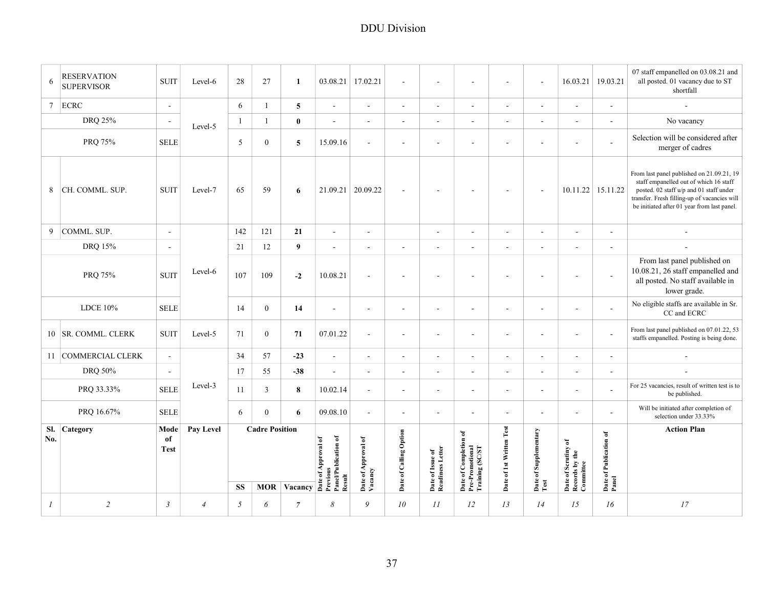| <b>RESERVATION</b><br>6<br><b>SUPERVISOR</b> | <b>SUIT</b>               | Level-6        | 28             | 27                                  | - 1          |          | 03.08.21 17.02.21                 | $\sim$                   | $\sim$                        | $\sim$ | $\sim$                             | $\sim$                        |                                                 |                             | 07 staff empanelled on 03.08.21 and<br>$16.03.21$   19.03.21   all posted. 01 vacancy due to ST<br>shortfall                                                                                                                  |
|----------------------------------------------|---------------------------|----------------|----------------|-------------------------------------|--------------|----------|-----------------------------------|--------------------------|-------------------------------|--------|------------------------------------|-------------------------------|-------------------------------------------------|-----------------------------|-------------------------------------------------------------------------------------------------------------------------------------------------------------------------------------------------------------------------------|
| $7$ ECRC                                     | $\sim$                    |                | 6              |                                     | $5^{\circ}$  | $\sim$   | $\sim$                            | $\sim$                   | $\sim$                        | $\sim$ | $\sim$                             | $\sim$                        | $\overline{\phantom{a}}$                        | $\sim$                      | $\sim$                                                                                                                                                                                                                        |
| <b>DRQ 25%</b>                               |                           | Level-5        | $\overline{1}$ |                                     |              | $\sim$   | $\sim$                            | $\sim$                   | $\sim$ $-$                    | $\sim$ | $\sim$                             | $\sim$                        | $\sim$                                          | $\sim$                      | No vacancy                                                                                                                                                                                                                    |
| PRQ 75%                                      | <b>SELE</b>               |                | 5 <sup>5</sup> | $\theta$                            | $\sim$       | 15.09.16 | $\sim$                            | $\sim$                   |                               | $\sim$ | $\overline{\phantom{a}}$           | $\sim$                        | $\overline{\phantom{a}}$                        |                             | Selection will be considered after<br>merger of cadres                                                                                                                                                                        |
| 8 CH. COMML. SUP.                            | SUIT                      | Level-7        | 65             | 59                                  | -6           |          | $\vert$ 21.09.21 $\vert$ 20.09.22 | $\overline{\phantom{a}}$ |                               | $\sim$ | $\sim$                             |                               | $10.11.22$ 15.11.22                             |                             | From last panel published on 21.09.21, 19<br>staff empanelled out of which 16 staff<br>posted. 02 staff u/p and 01 staff under<br>transfer. Fresh filling-up of vacancies will<br>be initiated after 01 year from last panel. |
| 9 COMML. SUP.                                | $\sim$                    |                | 142            | 121                                 | 21           | $\sim$   | $\sim$                            |                          | $\sim$                        | $\sim$ | $\sim$                             | $\sim$                        | $\sim$                                          | $\sim$                      | $\sim$                                                                                                                                                                                                                        |
| DRQ 15%                                      | $\sim$                    |                | 21             | 12                                  | - 9          | $\sim$   | $\sim$                            | $\sim$                   | $\sim$                        | $\sim$ | $\sim$                             | $\sim$                        | $\sim$                                          | $\sim$                      | $\sim$                                                                                                                                                                                                                        |
| PRQ 75%                                      | SUIT                      | Level-6        | 107            | 109                                 | $-2$         | 10.08.21 | $\sim$                            | $\sim$                   | $\sim$                        | $\sim$ | $\sim$                             | $\sim$                        | $\sim$                                          |                             | From last panel published on<br>10.08.21, 26 staff empanelled and<br>all posted. No staff available in<br>lower grade.                                                                                                        |
| <b>LDCE 10%</b>                              | <b>SELE</b>               |                | 14             | $\theta$                            | 14           | $\sim$   | $\sim$                            | $\sim$                   | $\sim$                        | $\sim$ | $\sim$                             | $\sim$                        | $\sim$                                          |                             | No eligible staffs are available in Sr.<br>CC and ECRC                                                                                                                                                                        |
| 10 SR. COMML. CLERK                          | SUIT                      | Level-5        | 71             | $\overline{0}$                      | 71           | 07.01.22 | $\sim$                            | $\sim$                   | $\sim$                        | $\sim$ | $\sim$                             | $\sim$                        | $\sim$                                          |                             | From last panel published on 07.01.22, 53<br>staffs empanelled. Posting is being done.                                                                                                                                        |
| 11 COMMERCIAL CLERK                          | $\sim$                    |                | 34             | 57                                  | $-23$        | $\sim$   | $\sim$                            | $\sim$                   | $\sim$                        | $\sim$ | $\sim$                             | $\sim$                        | $\sim$                                          | $\sim$                      | $\sim$                                                                                                                                                                                                                        |
| DRQ 50%                                      |                           |                | 17             | 55                                  | $-38$        | $\sim$   | $\sim$                            | $\sim$                   | $\sim$                        | $\sim$ | $\sim$                             | $\sim$                        | $\sim$                                          | $\sim$                      | $\sim$                                                                                                                                                                                                                        |
| PRQ 33.33%                                   | <b>SELE</b>               | Level-3        | 11             | $\overline{3}$                      | $\mathbf{8}$ | 10.02.14 | $\sim$                            | $\sim$                   | $\sim$                        | $\sim$ | $\sim$                             | $\sim$                        | $\sim$                                          |                             | For 25 vacancies, result of written test is to<br>be published.                                                                                                                                                               |
| PRQ 16.67%                                   | <b>SELE</b>               |                | 6              | $\overline{0}$                      |              | 09.08.10 |                                   | $\sim$                   | $\sim$                        | $\sim$ | $\sim$                             | $\sim$                        | $\sim$                                          |                             | Will be initiated after completion of<br>selection under 33.33%                                                                                                                                                               |
| Sl. Category<br>No.                          | Mode<br>of<br><b>Test</b> | Pay Level      | <b>SS</b>      | <b>Cadre Position</b><br><b>MOR</b> | Vacancy      |          | $\sim$                            | Option                   | 'Issue of<br>ess Letter<br>≏≃ | डू है। | $\sum_{i=1}^{n}$<br>1st<br>ិ៍<br>≏ | ិ<br>$\overline{\phantom{0}}$ | ate of Scrutiny of<br>ecords by the<br>ommittee | ំដ<br>Date of Publ<br>Panel | <b>Action Plan</b>                                                                                                                                                                                                            |
| $\overline{2}$<br>$\overline{I}$             | $\mathfrak{Z}$            | $\overline{4}$ | 5 <sup>5</sup> | 6                                   | -7           | 8        | 9                                 | 10 <sup>°</sup>          | II                            | 12     | 13                                 | 14                            | 15                                              | 16                          | 17                                                                                                                                                                                                                            |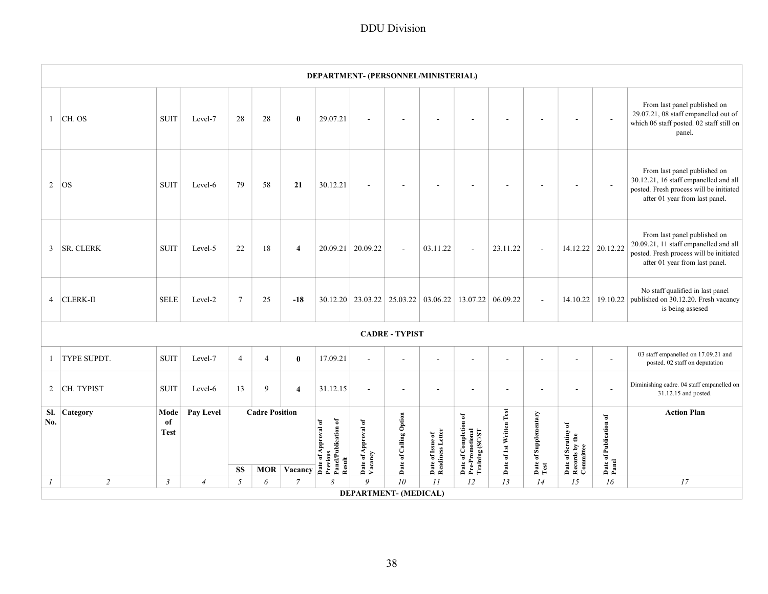| From last panel published on<br>29.07.21, 08 staff empanelled out of<br>29.07.21<br>CH. OS<br><b>SUIT</b><br>Level-7<br>28<br>28<br>$\bf{0}$<br>$\mathbf{1}$<br>$\overline{a}$<br>$\sim$<br>$\blacksquare$<br>which 06 staff posted. 02 staff still on<br>panel.<br>From last panel published on<br>30.12.21, 16 staff empanelled and all<br>Level-6<br>79<br>58<br>21<br>30.12.21<br>2<br><b>OS</b><br><b>SUIT</b><br>$\overline{\phantom{a}}$<br>$\overline{\phantom{a}}$<br>$\overline{\phantom{a}}$<br>$\overline{a}$<br>$\overline{a}$<br>$\overline{\phantom{a}}$<br>posted. Fresh process will be initiated<br>after 01 year from last panel.<br>From last panel published on<br>20.09.21, 11 staff empanelled and all<br>14.12.22 20.12.22<br>20.09.21   20.09.22<br>03.11.22<br>3<br><b>SR. CLERK</b><br><b>SUIT</b><br>Level-5<br>22<br>18<br>$\overline{4}$<br>23.11.22<br>$\sim$<br>ä,<br>$\sim$<br>posted. Fresh process will be initiated<br>after 01 year from last panel.<br>No staff qualified in last panel<br><b>SELE</b><br>$\tau$<br><b>CLERK-II</b><br>Level-2<br>25<br>$-18$<br>$30.12.20$   23.03.22   25.03.22   03.06.22  <br>13.07.22 06.09.22<br>14.10.22 19.10.22<br>published on 30.12.20. Fresh vacancy<br>$\overline{4}$<br>$\sim$<br>is being assesed<br><b>CADRE - TYPIST</b><br>03 staff empanelled on 17.09.21 and<br>TYPE SUPDT.<br><b>SUIT</b><br>Level-7<br>$\mathbf{0}$<br>17.09.21<br>$\overline{4}$<br>$\overline{4}$<br>1<br>$\sim$<br>$\sim$<br>$\sim$<br>$\sim$<br>$\overline{a}$<br>$\overline{a}$<br>$\overline{a}$<br>posted. 02 staff on deputation |
|------------------------------------------------------------------------------------------------------------------------------------------------------------------------------------------------------------------------------------------------------------------------------------------------------------------------------------------------------------------------------------------------------------------------------------------------------------------------------------------------------------------------------------------------------------------------------------------------------------------------------------------------------------------------------------------------------------------------------------------------------------------------------------------------------------------------------------------------------------------------------------------------------------------------------------------------------------------------------------------------------------------------------------------------------------------------------------------------------------------------------------------------------------------------------------------------------------------------------------------------------------------------------------------------------------------------------------------------------------------------------------------------------------------------------------------------------------------------------------------------------------------------------------------------------------------------------------------------------|
|                                                                                                                                                                                                                                                                                                                                                                                                                                                                                                                                                                                                                                                                                                                                                                                                                                                                                                                                                                                                                                                                                                                                                                                                                                                                                                                                                                                                                                                                                                                                                                                                      |
|                                                                                                                                                                                                                                                                                                                                                                                                                                                                                                                                                                                                                                                                                                                                                                                                                                                                                                                                                                                                                                                                                                                                                                                                                                                                                                                                                                                                                                                                                                                                                                                                      |
|                                                                                                                                                                                                                                                                                                                                                                                                                                                                                                                                                                                                                                                                                                                                                                                                                                                                                                                                                                                                                                                                                                                                                                                                                                                                                                                                                                                                                                                                                                                                                                                                      |
|                                                                                                                                                                                                                                                                                                                                                                                                                                                                                                                                                                                                                                                                                                                                                                                                                                                                                                                                                                                                                                                                                                                                                                                                                                                                                                                                                                                                                                                                                                                                                                                                      |
|                                                                                                                                                                                                                                                                                                                                                                                                                                                                                                                                                                                                                                                                                                                                                                                                                                                                                                                                                                                                                                                                                                                                                                                                                                                                                                                                                                                                                                                                                                                                                                                                      |
|                                                                                                                                                                                                                                                                                                                                                                                                                                                                                                                                                                                                                                                                                                                                                                                                                                                                                                                                                                                                                                                                                                                                                                                                                                                                                                                                                                                                                                                                                                                                                                                                      |
| Diminishing cadre. 04 staff empanelled on<br>CH. TYPIST<br><b>SUIT</b><br>Level-6<br>13<br>9<br>31.12.15<br>$\overline{2}$<br>$\overline{\mathbf{4}}$<br>÷.<br>÷.<br>31.12.15 and posted.                                                                                                                                                                                                                                                                                                                                                                                                                                                                                                                                                                                                                                                                                                                                                                                                                                                                                                                                                                                                                                                                                                                                                                                                                                                                                                                                                                                                            |
| Sl.<br>Pay Level<br><b>Cadre Position</b><br>Date of 1st Written Test<br><b>Action Plan</b><br>Category<br>Mode<br>Date of Supplementary<br>Test<br>Date of Calling Option<br>Date of Completion of<br>Pre-Promotional<br>Training (SC/ST<br>Date of Publication of<br>Panel<br>Panel/Publication of<br>No.<br>of<br>of Approval of<br>Date of Approval of<br>Vacancy<br>Date of Scrutiny of<br>Records by the<br>Committee<br><b>Test</b><br>Date of Issue of<br>Readiness Letter<br>Date of A <sub>l</sub><br>Previous<br>Result<br><b>SS</b><br><b>MOR</b><br>Vacancy                                                                                                                                                                                                                                                                                                                                                                                                                                                                                                                                                                                                                                                                                                                                                                                                                                                                                                                                                                                                                             |
| 10<br>13<br>$\overline{c}$<br>9<br>II<br>12<br>16<br>17<br>$\boldsymbol{l}$<br>$\mathfrak{Z}$<br>$\overline{4}$<br>5<br>$\overline{7}$<br>14<br>15<br>6<br>8<br>DEPARTMENT- (MEDICAL)                                                                                                                                                                                                                                                                                                                                                                                                                                                                                                                                                                                                                                                                                                                                                                                                                                                                                                                                                                                                                                                                                                                                                                                                                                                                                                                                                                                                                |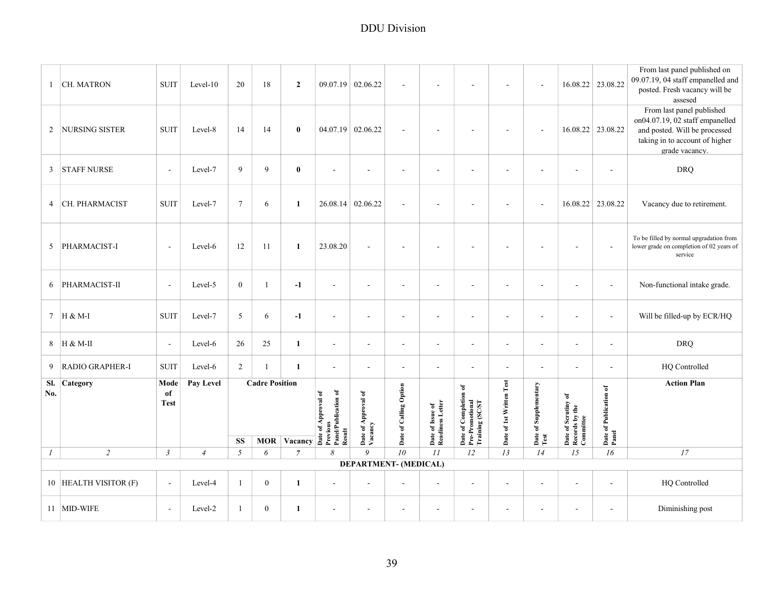| CH. MATRON<br>$\mathbf{1}$              | <b>SUIT</b>               | $Level-10$     | 20             | 18                                  | $\overline{2}$ |                                                                   | 09.07.19 02.06.22              | $\overline{\phantom{a}}$ |                                      |                                                             |                          | $\sim$                        |                                                    | 16.08.22 23.08.22               | From last panel published on<br>09.07.19, 04 staff empanelled and<br>posted. Fresh vacancy will be<br>assesed                                     |
|-----------------------------------------|---------------------------|----------------|----------------|-------------------------------------|----------------|-------------------------------------------------------------------|--------------------------------|--------------------------|--------------------------------------|-------------------------------------------------------------|--------------------------|-------------------------------|----------------------------------------------------|---------------------------------|---------------------------------------------------------------------------------------------------------------------------------------------------|
| <b>NURSING SISTER</b><br>$\overline{2}$ | <b>SUIT</b>               | Level-8        | 14             | 14                                  | $\bf{0}$       |                                                                   | 04.07.19 02.06.22              | ÷,                       |                                      |                                                             |                          | $\sim$                        |                                                    | 16.08.22 23.08.22               | From last panel published<br>on04.07.19, 02 staff empanelled<br>and posted. Will be processed<br>taking in to account of higher<br>grade vacancy. |
| 3<br><b>STAFF NURSE</b>                 | $\overline{a}$            | Level-7        | 9              | 9                                   | $\bf{0}$       | $\sim$                                                            | ÷,                             | L,                       |                                      |                                                             |                          | L,                            |                                                    |                                 | <b>DRQ</b>                                                                                                                                        |
| CH. PHARMACIST<br>$\overline{4}$        | <b>SUIT</b>               | Level-7        | $\tau$         | 6                                   | $\mathbf{1}$   |                                                                   | 26.08.14 02.06.22              | $\sim$                   | $\sim$                               | $\blacksquare$                                              | ÷,                       | $\sim$                        |                                                    | 16.08.22 23.08.22               | Vacancy due to retirement.                                                                                                                        |
| PHARMACIST-I<br>5                       | $\overline{\phantom{a}}$  | Level-6        | 12             | 11                                  | $\mathbf{1}$   | 23.08.20                                                          | ÷,                             | $\overline{\phantom{a}}$ |                                      |                                                             |                          | ÷.                            | $\sim$                                             |                                 | To be filled by normal upgradation from<br>lower grade on completion of 02 years of<br>service                                                    |
| PHARMACIST-II<br>6                      | ÷,                        | Level-5        | $\mathbf{0}$   | $\mathbf{1}$                        | $-1$           | $\sim$                                                            | ٠                              | ä,                       |                                      |                                                             |                          | ä,                            | ÷.                                                 |                                 | Non-functional intake grade.                                                                                                                      |
| $7\overline{ }$<br>H & M-I              | <b>SUIT</b>               | Level-7        | 5              | 6                                   | $-1$           | $\sim$                                                            | ÷,                             | $\overline{\phantom{a}}$ | $\sim$                               | $\sim$                                                      |                          | ÷,                            | $\mathbb{Z}^2$                                     |                                 | Will be filled-up by ECR/HQ                                                                                                                       |
| 8<br>Н & М-ІІ                           | $\overline{\phantom{a}}$  | Level-6        | 26             | 25                                  | $\mathbf{1}$   | $\blacksquare$                                                    | $\blacksquare$                 | $\blacksquare$           | $\blacksquare$                       | $\overline{\phantom{a}}$                                    | $\overline{a}$           | ÷                             | $\blacksquare$                                     | $\overline{\phantom{a}}$        | <b>DRQ</b>                                                                                                                                        |
| <b>RADIO GRAPHER-I</b><br>9             | <b>SUIT</b>               | Level-6        | $\overline{2}$ |                                     | $\mathbf{1}$   | $\blacksquare$                                                    | ÷,                             | ÷,                       |                                      | $\blacksquare$                                              | ÷,                       | $\overline{\phantom{a}}$      | $\blacksquare$                                     |                                 | HQ Controlled                                                                                                                                     |
| Sl.<br>Category<br>No.                  | Mode<br>of<br><b>Test</b> | Pay Level      | <b>SS</b>      | <b>Cadre Position</b><br><b>MOR</b> | Vacancy        | Date of Approval of<br>Previous<br>Panel/Publication of<br>Result | Date of Approval of<br>Vacancy | Date of Calling Option   | Date of Issue of<br>Readiness Letter | Date of Completion of<br>Pre-Promotional<br>Training (SC/ST | Date of 1st Written Test | Date of Supplementary<br>Test | Date of Scrutiny of<br>Records by the<br>Committee | Date of Publication of<br>Panel | <b>Action Plan</b>                                                                                                                                |
| $\sqrt{2}$<br>$\boldsymbol{l}$          | $\mathfrak{Z}$            | $\overline{4}$ | $\sqrt{2}$     | 6                                   | $\overline{7}$ | 8                                                                 | 9                              | 10 <sup>2</sup>          | II                                   | 12                                                          | 13                       | 14                            | 15                                                 | 16                              | 17                                                                                                                                                |
| DEPARTMENT- (MEDICAL)                   |                           |                |                |                                     |                |                                                                   |                                |                          |                                      |                                                             |                          |                               |                                                    |                                 |                                                                                                                                                   |
| 10 HEALTH VISITOR (F)                   | $\sim$                    | Level-4        | $\mathbf{1}$   | $\boldsymbol{0}$                    | $\mathbf{1}$   | $\sim$                                                            | $\sim$                         | $\overline{a}$           | $\blacksquare$                       | $\sim$                                                      | ÷,                       | ÷,                            | $\sim$                                             |                                 | HQ Controlled                                                                                                                                     |
| 11 MID-WIFE                             | $\blacksquare$            | Level-2        | $\mathbf{1}$   | $\mathbf{0}$                        | $\mathbf{1}$   | $\sim$                                                            | $\sim$                         | $\sim$                   | $\sim$                               | $\sim$                                                      | $\sim$                   | $\sim$                        | $\sim$                                             | $\sim$                          | Diminishing post                                                                                                                                  |